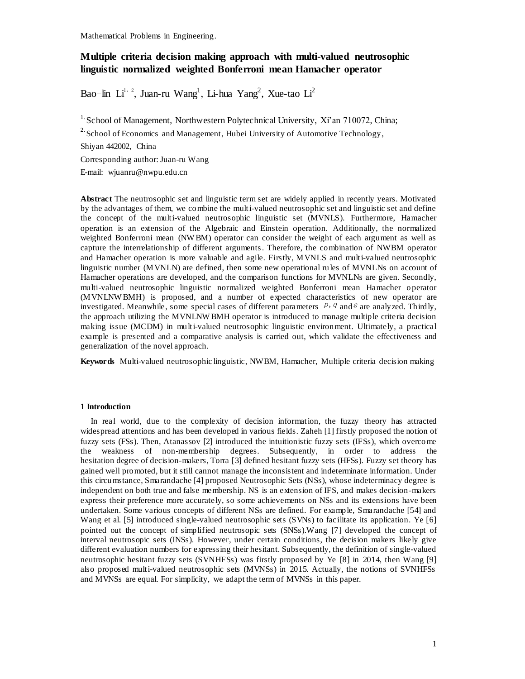# **Multiple criteria decision making approach with multi-valued neutrosophic linguistic normalized weighted Bonferroni mean Hamacher operator**

Bao-lin Li<sup>1, 2</sup>, Juan-ru Wang<sup>1</sup>, Li-hua Yang<sup>2</sup>, Xue-tao Li<sup>2</sup>

<sup>1.</sup> School of Management, Northwestern Polytechnical University, Xi'an 710072, China;  $2\textdegree$  School of Economics and Management, Hubei University of Automotive Technology,

Shiyan 442002, China

Corresponding author: Juan-ru Wang

E-mail: wjuanru@nwpu.edu.cn

**Abstract** The neutrosophic set and linguistic term set are widely applied in recently years. Motivated by the advantages of them, we combine the multi-valued neutrosophic set and linguistic set and define the concept of the multi-valued neutrosophic linguistic set (MVNLS). Furthermore, Hamacher operation is an extension of the Algebraic and Einstein operation. Additionally, the normalized weighted Bonferroni mean (NW BM) operator can consider the weight of each argument as well as capture the interrelationship of different arguments. Therefore, the combination of NWBM operator and Hamacher operation is more valuable and agile. Firstly, MVNLS and multi-valued neutrosophic linguistic number (MVNLN) are defined, then some new operational rules of MVNLNs on account of Hamacher operations are developed, and the comparison functions for MVNLNs are given. Secondly, multi-valued neutrosophic linguistic normalized weighted Bonferroni mean Hamacher o perator (MVNLNW BMH) is proposed, and a number of expected characteristics of new operator are investigated. Meanwhile, some special cases of different parameters  $p, q$  and  $\epsilon$  are analyzed. Thirdly, the approach utilizing the MVNLNW BMH operator is introduced to manage multiple criteria decision making issue (MCDM) in multi-valued neutrosophic linguistic environment. Ultimately, a practical example is presented and a comparative analysis is carried out, which validate the effectiveness and generalization of the novel approach.

**Keywords** Multi-valued neutrosophic linguistic, NWBM, Hamacher, Multiple criteria decision making

## **1 Introduction**

 In real world, due to the complexity of decision information, the fuzzy theory has attracted widespread attentions and has been developed in various fields. Zaheh [1] firstly proposed the notion of fuzzy sets (FSs). Then, Atanassov [2] introduced the intuitionistic fuzzy sets (IFSs), which overcome the weakness of non-membership degrees. Subsequently, in order to address the hesitation degree of decision-makers, Torra [3] defined hesitant fuzzy sets (HFSs). Fuzzy set theory has gained well promoted, but it still cannot manage the inconsistent and indeterminate information. Under this circumstance, Smarandache [4] proposed Neutrosophic Sets (NSs), whose indeterminacy degree is independent on both true and false membership. NS is an extension of IFS, and makes decision-makers express their preference more accurately, so some achievements on NSs and its extensions have been undertaken. Some various concepts of different NSs are defined. For example, Smarandache [54] and Wang et al. [5] introduced single-valued neutrosophic sets (SVNs) to facilitate its application. Ye [6] pointed out the concept of simplified neutrosopic sets (SNSs).Wang [7] developed the concept of interval neutrosopic sets (INSs). However, under certain conditions, the decision makers likely give different evaluation numbers for expressing their hesitant. Subsequently, the definition of single-valued neutrosophic hesitant fuzzy sets (SVNHFSs) was firstly proposed by Ye [8] in 2014, then Wang [9] also proposed multi-valued neutrosophic sets (MVNSs) in 2015. Actually, the notions of SVNHFSs and MVNSs are equal. For simplicity, we adapt the term of MVNSs in this paper.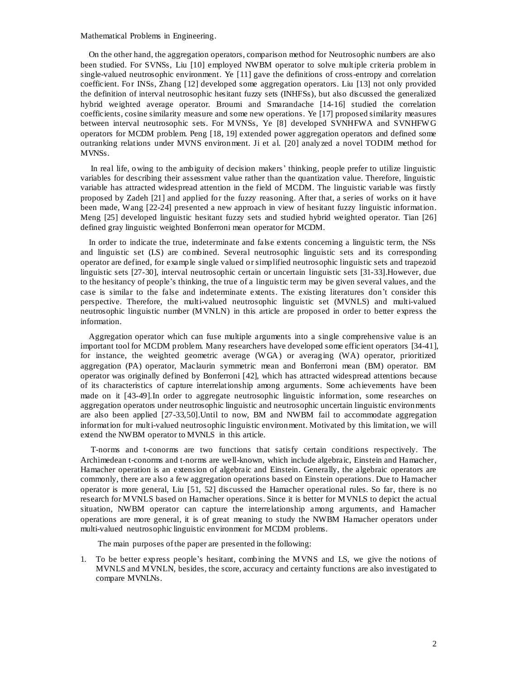On the other hand, the aggregation operators, comparison method for Neutrosophic numbers are also been studied. For SVNSs, Liu [10] employed NWBM operator to solve multiple criteria problem in single-valued neutrosophic environment. Ye [11] gave the definitions of cross-entropy and correlation coefficient. For INSs, Zhang [12] developed some aggregation operators. Liu [13] not only provided the definition of interval neutrosophic hesitant fuzzy sets (INHFSs), but also discussed the generalized hybrid weighted average operator. Broumi and Smarandache [14-16] studied the correlation coefficients, cosine similarity measure and some new operations. Ye [17] proposed similarity measures between interval neutrosophic sets. For MVNSs, Ye [8] developed SVNHFWA and SVNHFW G operators for MCDM problem. Peng [18, 19] extended power aggregation operators and defined some outranking relations under MVNS environment. Ji et al. [20] analyzed a novel TODIM method for MVNSs.

In real life, owing to the ambiguity of decision makers' thinking, people prefer to utilize linguistic variables for describing their assessment value rather than the quantization value. Therefore, linguistic variable has attracted widespread attention in the field of MCDM. The linguistic variable was firstly proposed by Zadeh [21] and applied for the fuzzy reasoning. After that, a series of works on it have been made, Wang [22-24] presented a new approach in view of hesitant fuzzy linguistic information. Meng [25] developed linguistic hesitant fuzzy sets and studied hybrid weighted operator. Tian [26] defined gray linguistic weighted Bonferroni mean operator for MCDM.

In order to indicate the true, indeterminate and false extents concerning a linguistic term, the NSs and linguistic set (LS) are combined. Several neutrosophic linguistic sets and its corresponding operator are defined, for example single valued or simplified neutrosophic linguistic sets and trapezoid linguistic sets [27-30], interval neutrosophic certain or uncertain linguistic sets [31-33].However, due to the hesitancy of people's thinking, the true of a linguistic term may be given several values, and the case is similar to the false and indeterminate extents. The existing literatures don't consider this perspective. Therefore, the multi-valued neutrosophic linguistic set (MVNLS) and multi-valued neutrosophic linguistic number (MVNLN) in this article are proposed in order to better express the information.

Aggregation operator which can fuse multiple arguments into a single comprehensive value is an important tool for MCDM problem. Many researchers have developed some efficient operators [34-41], for instance, the weighted geometric average (WGA) or averaging (WA) operator, prioritized aggregation (PA) operator, Maclaurin symmetric mean and Bonferroni mean (BM) operator. BM operator was originally defined by Bonferroni [42], which has attracted widespread attentions because of its characteristics of capture interrelationship among arguments. Some achievements have been made on it [43-49].In order to aggregate neutrosophic linguistic information, some researches on aggregation operators under neutrosophic linguistic and neutrosophic uncertain linguistic environments are also been applied [27-33,50].Until to now, BM and NWBM fail to accommodate aggregation information for multi-valued neutrosophic linguistic environment. Motivated by this limitation, we will extend the NWBM operator to MVNLS in this article.

T-norms and t-conorms are two functions that satisfy certain conditions respectively. The Archimedean t-conorms and t-norms are well-known, which include algebraic, Einstein and Hamacher, Hamacher operation is an extension of algebraic and Einstein. Generally, the algebraic operators are commonly, there are also a few aggregation operations based on Einstein operations. Due to Hamacher operator is more general, Liu [51, 52] discussed the Hamacher operational rules. So far, there is no research for MVNLS based on Hamacher operations. Since it is better for MVNLS to depict the actual situation, NWBM operator can capture the interrelationship among arguments, and Hamacher operations are more general, it is of great meaning to study the NWBM Hamacher operators under multi-valued neutrosophic linguistic environment for MCDM problems.

The main purposes of the paper are presented in the following:

1. To be better express people's hesitant, combining the MVNS and LS, we give the notions of MVNLS and MVNLN, besides, the score, accuracy and certainty functions are also investigated to compare MVNLNs.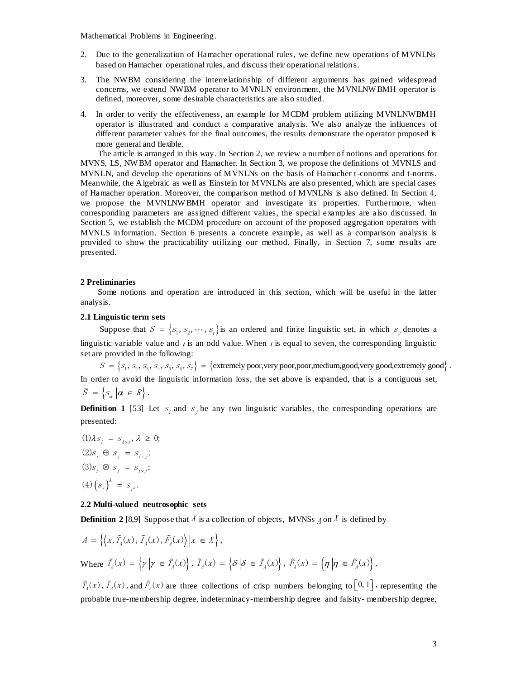- 2. Due to the generalization of Hamacher operational rules, we define new operations of MVNLNs based on Hamacher operational rules, and discuss their operational relations.
- 3. The NWBM considering the interrelationship of different arguments has gained widespread concerns, we extend NWBM operator to MVNLN environment, the MVNLNW BMH operator is defined, moreover, some desirable characteristics are also studied.
- 4. In order to verify the effectiveness, an example for MCDM problem utilizing MVNLNWBMH operator is illustrated and conduct a comparative analysis. We also analyze the influences of different parameter values for the final outcomes, the results demonstrate the operator proposed is more general and flexible.

The article is arranged in this way. In Section 2, we review a number of notions and operations for MVNS, LS, NW BM operator and Hamacher. In Section 3, we propose the definitions of MVNLS and MVNLN, and develop the operations of MVNLNs on the basis of Hamacher t-conorms and t-norms. Meanwhile, the Algebraic as well as Einstein for MVNLNs are also presented, which are special cases of Hamacher operation. Moreover, the comparison method of MVNLNs is also defined. In Section 4, we propose the MVNLNWBMH operator and investigate its properties. Furthermore, when corresponding parameters are assigned different values, the special examples are also discussed. In Section 5, we establish the MCDM procedure on account of the proposed aggregation operators with MVNLS information. Section 6 presents a concrete example, as well as a comparison analysis is provided to show the practicability utilizing our method. Finally, in Section 7, some results are presented.

#### **2 Preliminaries**

Some notions and operation are introduced in this section, which will be useful in the latter analysis.

## **2.1 Linguistic term sets**

Suppose that  $S = \{s_1, s_2, \dots, s_i\}$  is an ordered and finite linguistic set, in which  $s_j$  denotes a stic variable value and *t* is an odd value. When *t* is equal to seven, the corresponding linguistic e provided in the f linguistic variable value and  $\iota$  is an odd value. When  $\iota$  is equal to seven, the corresponding linguistic set are provided in the following:

In order to avoid the linguistic information loss, the set above is expanded, that is a contiguous set,  $\overline{S} = \left\{ S_{\alpha} \middle| \alpha \in R \right\}.$ 

**Definition 1** [53] Let  $s_i$  and  $s_j$  be any two linguistic variables, the corresponding operations are presented:

 $(4) (s_i)^{\lambda} = s_{i^{\lambda}}.$  $(1)\lambda s_i = s_{\lambda \times i}, \lambda \geq 0;$  $(2)$  $s_i \oplus s_j = s_{i+j}$ ;  $(3)$ s<sub>i</sub>  $\otimes$  s<sub>j</sub> = s<sub>ixj</sub>;

## **2.2 Multi-valued neutrosophic sets**

**Definition 2** [8,9] Suppose that X is a collection of objects, MVNSs  $\Lambda$  on X is defined by

$$
A = \left\{ \left\langle x, \tilde{T}_A(x), \tilde{T}_A(x), \tilde{F}_A(x) \right\rangle | x \in X \right\},
$$
  
Where  $\tilde{T}_A(x) = \left\{ \gamma \middle| \gamma \in \tilde{T}_A(x) \right\}, \tilde{T}_A(x) = \left\{ \delta \middle| \delta \in \tilde{T}_A(x) \right\}, \tilde{F}_A(x) = \left\{ \eta \middle| \eta \in \tilde{F}_A(x) \right\},$ 

 $\tilde{T}_A(x)$ ,  $\tilde{T}_A(x)$ , and  $\tilde{F}_A(x)$  are three collections of crisp numbers belonging to  $[0,1]$ , representing the probable true-membership degree, indeterminacy-membership degree and falsity- membership degree,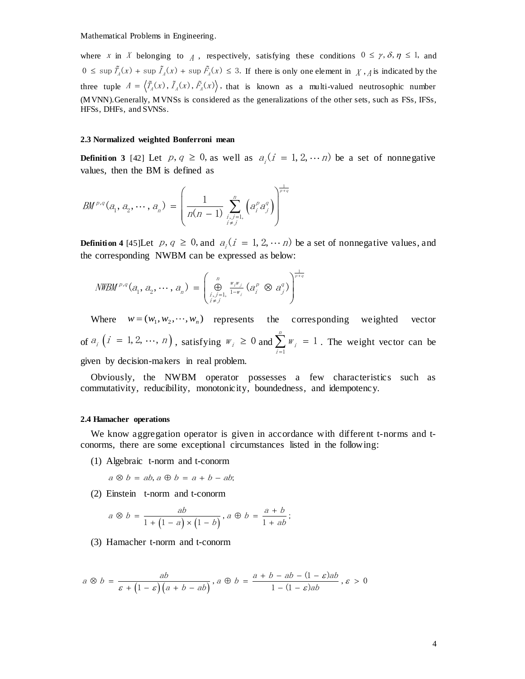where x in X belonging to  $\Lambda$ , respectively, satisfying these conditions  $0 \le \gamma$ ,  $\delta$ ,  $\eta \le 1$ , and where X in X belonging to  $\Lambda$ , respectively, satisfying these conditions  $0 \le \gamma$ ,  $\delta$ ,  $\eta \le 1$ , and  $0 \le \sup \tilde{T}_A(x) + \sup \tilde{T}_A(x) + \sup \tilde{F}_A(x) \le 3$ . If there is only one element in  $\Lambda$ ,  $\Lambda$  is indicated by the three tuple  $A = \langle \tilde{T}_A(x), \tilde{T}_A(x), \tilde{F}_A(x) \rangle$ , that is known as a multi-valued neutrosophic number (MVNN).Generally, MVNSs is considered as the generalizations of the other sets, such as FSs, IFSs, HFSs, DHFs, and SVNSs.

#### **2.3 Normalized weighted Bonferroni mean**

**Definition 3** [42] Let  $p, q \ge 0$ , as well as  $a_i$  ( $i = 1, 2, \dots n$ ) be a set of nonnegative values, then the BM is defined as

values, then the BM is defined as  
\n
$$
BM^{p,q}(a_1, a_2, \dots, a_n) = \left(\frac{1}{n(n-1)} \sum_{\substack{i,j=1,\\i \neq j}}^n \left(a_i^p a_j^q\right)\right)^{\frac{1}{p+q}}
$$

**Definition 4** [45] Let  $p, q \ge 0$ , and  $a_i$   $(i = 1, 2, \dots n)$  be a set of nonnegative values, and

the corresponding NWBM can be expressed as below:  
\n
$$
NWBM^{p,q}(a_1, a_2, \cdots, a_n) = \left(\bigoplus_{\substack{i,j=1, \ j \neq j}}^n \frac{w_i w_j}{1 - w_i} (a_i^p \otimes a_j^q)\right)^{\frac{1}{p+q}}
$$

Where  $w = (w_1, w_2, \dots, w_n)$  represents the corresponding weighted vector of  $a_i$   $(i = 1, 2, \dots, n)$ , satisfying  $w_i \ge 0$  and 1  $\sum_{i=1}^{n} w_i = 1$  $\sum_{i=1}^{\infty}$  i  $\sum_{i=1}^{n} w_i = 1$ . The weight vector can be given by decision-makers in real problem.

Obviously, the NWBM operator possesses a few characteristics such as commutativity, reducibility, monotonicity, boundedness, and idempotency.

## **2.4 Hamacher operations**

We know aggregation operator is given in accordance with different t-norms and tconorms, there are some exceptional circumstances listed in the following:

- (1) Algebraic t-norm and t-conorm
	- $a \otimes b = ab$ ,  $a \oplus b = a + b ab$ ;
- 

(2) Einstein t-norm and t-conorm  
\n
$$
a \otimes b = \frac{ab}{1 + (1 - a) \times (1 - b)}, a \oplus b = \frac{a + b}{1 + ab};
$$

(3) Hamacher t-norm and t-conorm

$$
a \otimes b = \frac{ab}{\varepsilon + (1 - \varepsilon)(a + b - ab)}, a \oplus b = \frac{a + b - ab - (1 - \varepsilon)ab}{1 - (1 - \varepsilon)ab}, \varepsilon > 0
$$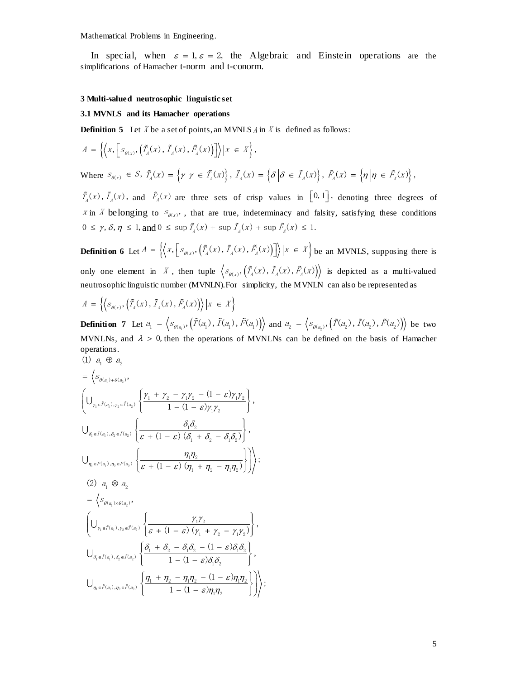In special, when  $\varepsilon = 1$ ,  $\varepsilon = 2$ , the Algebraic and Einstein operations are the simplifications of Hamacher t-norm and t-conorm.

#### **3 Multi-valued neutrosophic linguistic set**

## **3.1 MVNLS and its Hamacher operations**

**Definition 5** Let *X* be a set of points, an MVNLS *A* in *X* is defined as follows:  
\n
$$
A = \left\{ \left\langle x, \left[ s_{\theta(x)}, \left( \tilde{T}_A(x), \tilde{T}_A(x), \tilde{F}_A(x) \right) \right] \right\rangle | x \in X \right\},
$$

$$
\text{Where } S_{\theta(x)} \in S, \ \tilde{T}_A(x) = \left\{ \gamma \Big| \gamma \in \tilde{T}_A(x) \right\}, \ \tilde{T}_A(x) = \left\{ \delta \Big| \delta \in \tilde{T}_A(x) \right\}, \ \tilde{F}_A(x) = \left\{ \eta \Big| \eta \in \tilde{F}_A(x) \right\},
$$

 $\tilde{T}_A(x)$ ,  $\tilde{T}_A(x)$ , and  $\tilde{F}_A(x)$  are three sets of crisp values in  $[0,1]$ , denoting three degrees of x in X belonging to  $S_{\theta(x)}$ , that are true, indeterminacy and falsity, satisfying these conditions x in x belonging to  $S_{\theta(x)}$ , that are true, indeterminacy and fals<br>  $0 \le \gamma$ ,  $\delta$ ,  $\eta \le 1$ , and  $0 \le \sup \tilde{T}_A(x) + \sup \tilde{T}_A(x) + \sup \tilde{F}_A(x) \le 1$ .

**Definition 6** Let  $A = \left\{ \left\langle x, \left[ s_{\theta(x)}, \left( \tilde{T}_A(x), \tilde{T}_A(x), \tilde{F}_A(x) \right) \right] \right\rangle | x \in X \right\}$  be an MVNLS, supposing there is only one element in X, then tuple  $\langle s_{\theta(x)}, (\tilde{T}_A(x), \tilde{T}_A(x), \tilde{F}_A(x)) \rangle$  is depicted as a multi-valued neutrosophic linguistic number (MVNLN).For simplicity, the MVNLN can also be represented as

$$
A = \left\{ \left\langle s_{\theta(x)}, \left( \tilde{T}_A(x), \tilde{T}_A(x), \tilde{F}_A(x) \right) \right\rangle \middle| x \in X \right\}
$$

**Definition 7** Let  $a_1 = \left\langle s_{\theta(a_1)}, \tilde{T}(a_1), \tilde{T}(a_1), \tilde{F}(a_1) \right\rangle$  and  $a_2 = \left\langle s_{\theta(a_2)}, \tilde{T}(a_2), \tilde{T}(a_2), \tilde{F}(a_2) \right\rangle$  be two MVNLNs, and  $\lambda > 0$ , then the operations of MVNLNs can be defined on the basis of Hamacher operations.<br>
(1)  $a_1 \oplus a_2$ (1)  $a_1 \oplus a_2$ 

$$
= \left\langle s_{\theta(a_1)+\theta(a_2)}, \right\rangle
$$
\n
$$
\left(\bigcup_{\gamma_1 \in \tilde{T}(a_1), \gamma_2 \in \tilde{T}(a_2)} \left\{ \frac{\gamma_1 + \gamma_2 - \gamma_1 \gamma_2 - (1 - \varepsilon) \gamma_1 \gamma_2}{1 - (1 - \varepsilon) \gamma_1 \gamma_2} \right\},\right\}
$$
\n
$$
\bigcup_{\delta_1 \in \tilde{I}(a_1), \delta_2 \in \tilde{I}(a_2)} \left\{ \frac{\delta_1 \delta_2}{\varepsilon + (1 - \varepsilon) (\delta_1 + \delta_2 - \delta_1 \delta_2)} \right\},\
$$
\n
$$
\bigcup_{\eta_1 \in \tilde{F}(a_1), \eta_2 \in \tilde{F}(a_2)} \left\{ \frac{\eta_1 \eta_2}{\varepsilon + (1 - \varepsilon) (\eta_1 + \eta_2 - \eta_1 \eta_2)} \right\} \right\},\
$$
\n
$$
(2) \ a_1 \otimes a_2
$$
\n
$$
= \left\langle s_{\theta(a_1)\times\theta(a_2)}, \left( \frac{\gamma_1 \gamma_2}{\varepsilon + (1 - \varepsilon) (\gamma_1 + \gamma_2 - \gamma_1 \gamma_2)} \right\rangle, \left( \bigcup_{\gamma_1 \in \tilde{F}(a_1), \gamma_2 \in \tilde{I}(a_2)} \left\{ \frac{\delta_1 + \delta_2 - \delta_1 \delta_2 - (1 - \varepsilon) \delta_1 \delta_2}{1 - (1 - \varepsilon) \delta_1 \delta_2} \right\},\
$$
\n
$$
\bigcup_{\eta_1 \in \tilde{F}(a_1), \eta_2 \in \tilde{F}(a_2)} \left\{ \frac{\eta_1 + \eta_2 - \eta_1 \eta_2 - (1 - \varepsilon) \eta_1 \eta_2}{1 - (1 - \varepsilon) \eta_1 \eta_2} \right\} \right\},\
$$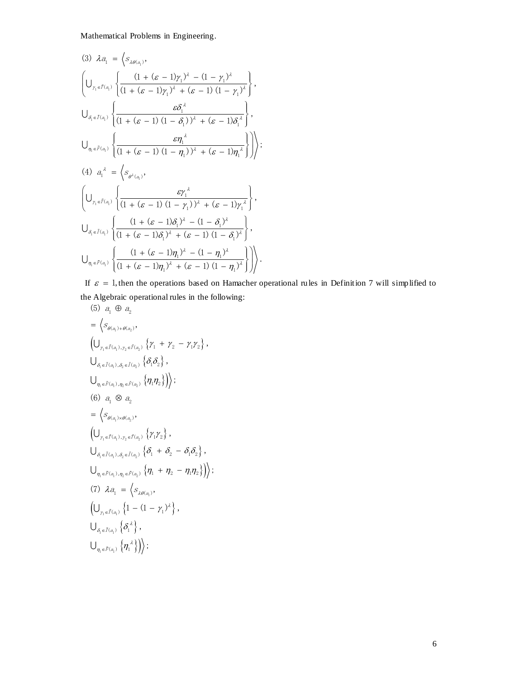$$
(3) \ \lambda a_{1} = \left\langle s_{\lambda\theta(a_{1})}, \left\{ \frac{(1 + (\varepsilon - 1)\gamma_{1})^{\lambda} - (1 - \gamma_{1})^{\lambda}}{(1 + (\varepsilon - 1)\gamma_{1})^{\lambda} + (\varepsilon - 1)(1 - \gamma_{1})^{\lambda}} \right\},\
$$
\n
$$
\bigcup_{\delta_{1} \in \tilde{I}(a_{1})} \left\{ \frac{\varepsilon \delta_{1}^{\lambda}}{(1 + (\varepsilon - 1)(1 - \delta_{1}))^{\lambda} + (\varepsilon - 1)\delta_{1}^{\lambda}} \right\},\
$$
\n
$$
\bigcup_{\eta_{1} \in \tilde{F}(a_{1})} \left\{ \frac{\varepsilon \eta_{1}^{\lambda}}{(1 + (\varepsilon - 1)(1 - \eta_{1}))^{\lambda} + (\varepsilon - 1)\eta_{1}^{\lambda}} \right\} \right\},\
$$
\n
$$
(4) \ a_{1}^{\lambda} = \left\langle s_{\theta^{\lambda}(a_{1})}, \left\{ \frac{\varepsilon \eta_{1}^{\lambda}}{(1 + (\varepsilon - 1)(1 - \eta_{1}))^{\lambda} + (\varepsilon - 1)\eta_{1}^{\lambda}} \right\} \right\rangle,
$$
\n
$$
\bigcup_{\delta_{1} \in \tilde{I}(a_{1})} \left\{ \frac{\varepsilon \gamma_{1}^{\lambda}}{(1 + (\varepsilon - 1)(1 - \gamma_{1}))^{\lambda} + (\varepsilon - 1)\gamma_{1}^{\lambda}} \right\},\
$$
\n
$$
\bigcup_{\delta_{1} \in \tilde{I}(a_{1})} \left\{ \frac{(1 + (\varepsilon - 1)\delta_{1})^{\lambda} - (1 - \delta_{1})^{\lambda}}{(1 + (\varepsilon - 1)\delta_{1})^{\lambda} + (\varepsilon - 1)(1 - \delta_{1})^{\lambda}} \right\},\
$$
\n
$$
\bigcup_{\eta_{1} \in \tilde{F}(a_{1})} \left\{ \frac{(1 + (\varepsilon - 1)\eta_{1})^{\lambda} - (1 - \eta_{1})^{\lambda}}{(1 + (\varepsilon - 1)\eta_{1})^{\lambda} + (\varepsilon - 1)(1 - \eta_{1})^{\lambda}} \right\} \right\}.
$$

If  $\varepsilon = 1$ , then the operations based on Hamacher operational rules in Definition 7 will simplified to the Algebraic operational rules in the following:<br>
(5)  $a_1 \oplus a_2$ 

(5) 
$$
a_1 \oplus a_2
$$
  
\n
$$
= \left\langle s_{\theta(a_1)+\theta(a_2)}, \right\rangle
$$
  
\n
$$
\left(\bigcup_{\gamma_1 \in \tilde{\Gamma}(a_1), \gamma_2 \in \tilde{\Gamma}(a_2)} \left\{ \gamma_1 + \gamma_2 - \gamma_1 \gamma_2 \right\}, \right)
$$
  
\n
$$
\bigcup_{\delta_1 \in \tilde{I}(a_1), \delta_2 \in \tilde{I}(a_2)} \left\{ \delta_1 \delta_2 \right\},
$$
  
\n
$$
\bigcup_{\eta_1 \in \tilde{F}(a_1), \eta_2 \in \tilde{F}(a_2)} \left\{ \eta_1 \eta_2 \right\} \right) \rangle;
$$
  
\n(6)  $a_1 \otimes a_2$   
\n
$$
= \left\langle s_{\theta(a_1) \times \theta(a_2)}, \left( \bigcup_{\gamma_1 \in \tilde{I}(a_1), \gamma_2 \in \tilde{I}(a_2)} \left\{ \gamma_1 \gamma_2 \right\}, \right) \right\rangle
$$
  
\n
$$
\bigcup_{\delta_1 \in \tilde{I}(a_1), \delta_2 \in \tilde{I}(a_2)} \left\{ \delta_1 + \delta_2 - \delta_1 \delta_2 \right\},
$$
  
\n
$$
\bigcup_{\eta_1 \in \tilde{F}(a_1), \eta_2 \in \tilde{F}(a_2)} \left\{ \eta_1 + \eta_2 - \eta_1 \eta_2 \right\} \right) \rangle;
$$
  
\n(7)  $\lambda a_1 = \left\langle s_{\lambda \theta(a_1)}, \left( \bigcup_{\gamma_1 \in \tilde{I}(a_1)} \left\{ 1 - (1 - \gamma_1)^{\lambda} \right\}, \right) \right\rangle$   
\n
$$
\bigcup_{\delta_1 \in \tilde{I}(a_1)} \left\{ \delta_1^{\lambda} \right\},
$$
  
\n
$$
\bigcup_{\eta_1 \in \tilde{F}(a_1)} \left\{ \eta_1^{\lambda} \right\} \right) \rangle;
$$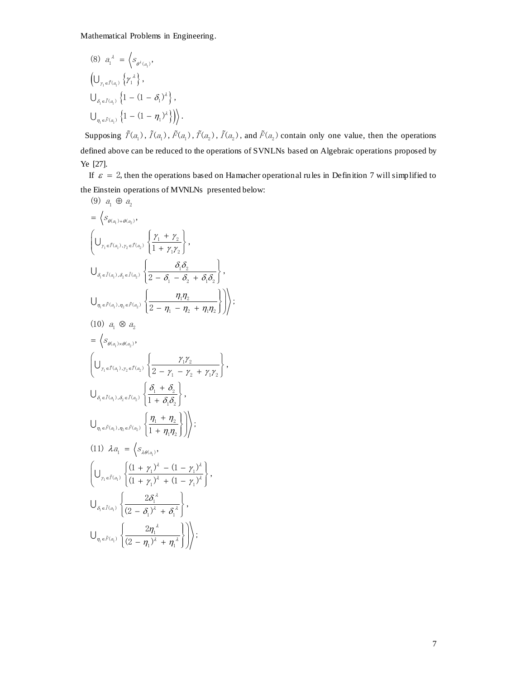(8) 
$$
a_1^{\lambda} = \left\langle s_{\theta^{\lambda}(a_1)}, \right\rangle
$$
  
\n
$$
\left(\bigcup_{\gamma_1 \in \tilde{I}(a_1)} \left\{ \gamma_1^{\lambda} \right\}, \right.
$$
\n
$$
\bigcup_{\delta_1 \in \tilde{I}(a_1)} \left\{ 1 - (1 - \delta_1)^{\lambda} \right\},
$$
\n
$$
\bigcup_{\eta_1 \in \tilde{F}(a_1)} \left\{ 1 - (1 - \eta_1)^{\lambda} \right\} \right\rangle.
$$

Supposing  $\tilde{T}(a_1)$ ,  $\tilde{T}(a_1)$ ,  $\tilde{F}(a_1)$ ,  $\tilde{T}(a_2)$ ,  $\tilde{T}(a_2)$ , and  $\tilde{F}(a_2)$  contain only one value, then the operations defined above can be reduced to the operations of SVNLNs based on Algebraic operations proposed by Ye [27].

If  $\varepsilon = 2$ , then the operations based on Hamacher operational rules in Definition 7 will simplified to the Einstein operations of MVNLNs presented below:<br>
(9)  $a_1 \oplus a_2$ 

$$
(9) \ a_1 \oplus a_2
$$
\n
$$
= \left\langle s_{\theta(a_1)+\theta(a_2)}, \right\rangle
$$
\n
$$
\left(\bigcup_{\gamma_1 \in \tilde{T}(a_1), \gamma_2 \in \tilde{T}(a_2)} \left\{ \frac{\gamma_1 + \gamma_2}{1 + \gamma_1 \gamma_2} \right\}, \right)
$$
\n
$$
\bigcup_{\delta_1 \in \tilde{I}(a_1), \delta_2 \in \tilde{I}(a_2)} \left\{ \frac{\delta_1 \delta_2}{2 - \delta_1 - \delta_2 + \delta_1 \delta_2} \right\},
$$
\n
$$
\bigcup_{\eta_1 \in \tilde{F}(a_1), \eta_2 \in \tilde{F}(a_2)} \left\{ \frac{\eta_1 \eta_2}{2 - \eta_1 - \eta_2 + \eta_1 \eta_2} \right\} \right),
$$
\n
$$
(10) \ a_1 \otimes a_2
$$
\n
$$
= \left\langle s_{\theta(a_1) \times \theta(a_2)}, \right\rangle
$$
\n
$$
\left(\bigcup_{\gamma_1 \in \tilde{T}(a_1), \gamma_2 \in \tilde{T}(a_2)} \left\{ \frac{\gamma_1 \gamma_2}{2 - \gamma_1 - \gamma_2 + \gamma_1 \gamma_2} \right\}, \right)
$$
\n
$$
\bigcup_{\delta_1 \in \tilde{I}(a_1), \delta_2 \in \tilde{I}(a_2)} \left\{ \frac{\delta_1 + \delta_2}{1 + \delta_1 \delta_2} \right\},
$$
\n
$$
\bigcup_{\eta_1 \in \tilde{F}(a_1), \eta_2 \in \tilde{F}(a_2)} \left\{ \frac{\eta_1 + \eta_2}{1 + \eta_1 \eta_2} \right\} \right),
$$
\n
$$
(11) \ a_1 = \left\langle s_{\lambda \theta(a_1)}, \left(\frac{\eta_1 + \eta_2}{1 + \eta_1 \eta_2}\right) \right\rangle
$$
\n
$$
\bigcup_{\delta_1 \in \tilde{I}(a_1)} \left\{ \frac{(1 + \gamma_1)^{\lambda} - (1 - \gamma_1)^{\lambda}}{(1 + \gamma_1)^{\lambda} + (1 - \gamma_1)^{\lambda}} \right\},
$$
\n
$$
\bigcup_{\delta
$$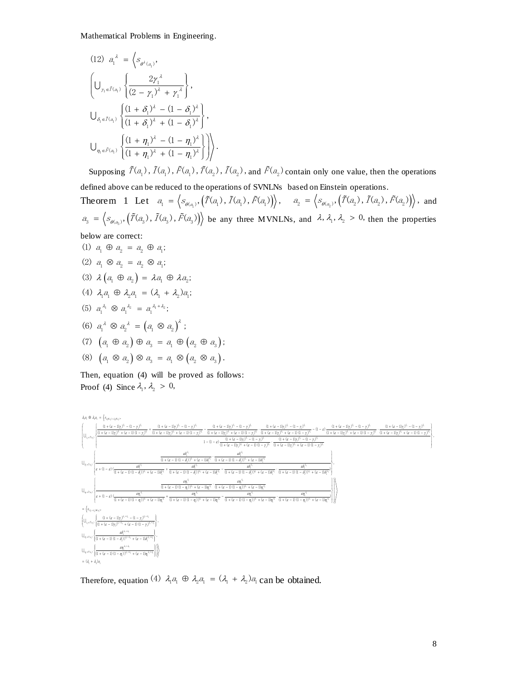(12) 
$$
a_1^{\lambda} = \left\langle s_{\theta^{\lambda}(a_1)},
$$
  
\n
$$
\left\{ \bigcup_{\gamma_1 \in \tilde{T}(a_1)} \left\{ \frac{2\gamma_1^{\lambda}}{(2-\gamma_1)^{\lambda} + \gamma_1^{\lambda}} \right\}, \right\}
$$
\n
$$
\bigcup_{\delta_i \in \tilde{I}(a_i)} \left\{ \frac{(1+\delta_1)^{\lambda} - (1-\delta_1)^{\lambda}}{(1+\delta_1)^{\lambda} + (1-\delta_1)^{\lambda}} \right\}, \bigcup_{\eta_1 \in \tilde{F}(a_i)} \left\{ \frac{(1+\eta_1)^{\lambda} - (1-\eta_1)^{\lambda}}{(1+\eta_1)^{\lambda} + (1-\eta_1)^{\lambda}} \right\} \right\}.
$$

Supposing  $\tilde{T}(a_1)$ ,  $\tilde{T}(a_1)$ ,  $\tilde{T}(a_1)$ ,  $\tilde{T}(a_2)$ ,  $\tilde{T}(a_2)$ , and  $\tilde{F}(a_2)$  contain only one value, then the operations defined above can be reduced to the operations of SVNLNs based on Einstein operations.

defined above can be reduced to the operations of SVNLIVS based on Einstein operations.<br>Theorem 1 Let  $a_1 = \langle s_{\theta(a_1)}, (\tilde{T}(a_1), \tilde{T}(a_1), \tilde{F}(a_1)) \rangle$ ,  $a_2 = \langle s_{\theta(a_2)}, (\tilde{T}(a_2), \tilde{T}(a_2), \tilde{F}(a_2)) \rangle$ , and  $a_3 = \langle s_{\theta(a_3)}, (\tilde{T}(a_3), \tilde{T}(a_3), \tilde{F}(a_3)) \rangle$  be any three MVNLNs, and  $\lambda$ ,  $\lambda_1$ ,  $\lambda_2 > 0$ , then the properties

below are correct:

(1)  $a_1 \oplus a_2 = a_2 \oplus a_1$ ; (2)  $a_1 \otimes a_2 = a_2 \otimes a_1$ ; (3)  $\lambda(a, \oplus a) = \lambda a, \oplus \lambda a$ ; (4)  $\lambda_1 a_1 \oplus \lambda_2 a_1 = (\lambda_1 + \lambda_2) a_1$ ; (5)  $a_1^{\lambda_1} \otimes a_1^{\lambda_2} = a_1^{\lambda_1 + \lambda_2}$ ; (6)  $a_1^{\lambda} \otimes a_2^{\lambda} = (a_1 \otimes a_2)^{\lambda}$ ; (7)  $\left(a_1 \oplus a_2\right) \oplus a_2 = a_1 \oplus \left(a_2 \oplus a_2\right);$ (8)  $\left(a_1 \otimes a_2\right) \otimes a_3 = a_1 \otimes \left(a_2 \otimes a_3\right)$ .

Then, equation (4) will be proved as follows: Proof (4) Since  $\lambda_1$ ,  $\lambda_2 > 0$ ,



Therefore, equation (4)  $\lambda_1 a_1 \oplus \lambda_2 a_1 = (\lambda_1 + \lambda_2)a_1$  can be obtained.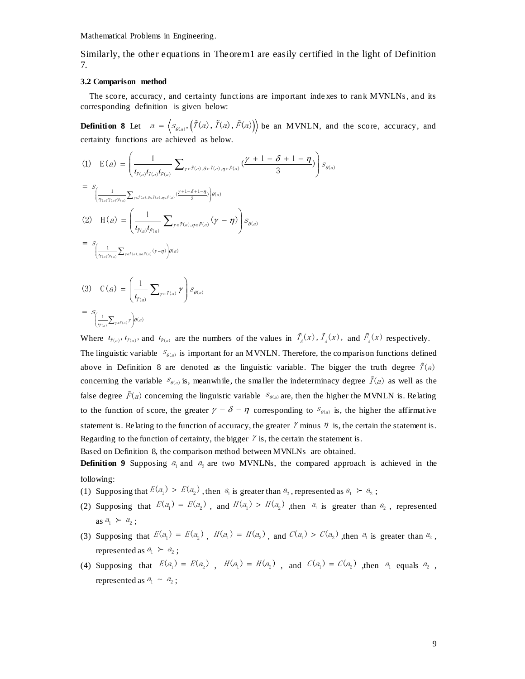Similarly, the other equations in Theorem1 are easily certified in the light of Definition 7.

#### **3.2 Comparison method**

The score, accuracy, and certainty functions are important inde xes to rank MVNLNs , and its corresponding definition is given below:

**Definition 8** Let  $a = \langle s_{\theta(a)}, (\tilde{T}(a), \tilde{T}(a), \tilde{F}(a)) \rangle$  be an MVNLN, and the score, accuracy, and

$$
\begin{aligned}\n\text{certainty functions are achieved as below.} \\
(1) \quad E(a) &= \left(\frac{1}{t_{\tilde{f}(a)}t_{\tilde{f}(a)}t_{\tilde{f}(a)}}\sum_{\gamma \in \tilde{f}(a), \delta \in \tilde{I}(a), \eta \in \tilde{F}(a)} \left(\frac{\gamma+1-\delta+1-\eta}{3}\right)\right) s_{\theta(a)} \\
&= s_{\left(\frac{1}{t_{\tilde{f}(a)}t_{\tilde{f}(a)}t_{\tilde{f}(a)}}\sum_{\gamma \in \tilde{f}(a), \delta \in \tilde{I}(a), \eta \in \tilde{F}(a)} \left(\frac{\gamma+1-\delta+1-\eta}{3}\right)\right) \theta(a)} \\
(2) \quad H(a) &= \left(\frac{1}{t_{\tilde{f}(a)}t_{\tilde{f}(a)}}\sum_{\gamma \in \tilde{f}(a), \eta \in \tilde{F}(a)} (\gamma-\eta)\right) s_{\theta(a)} \\
&= s_{\left(\frac{1}{t_{\tilde{f}(a)}t_{\tilde{f}(a)}}\sum_{\gamma \in \tilde{I}(a), \eta \in \tilde{F}(a)} (\gamma-\eta)\right) \theta(a)} \\
(3) \quad C(a) &= \left(\frac{1}{\sum_{\gamma \in \tilde{f}(a)} \gamma\right) s_{\theta(a)}\n\end{aligned}
$$

$$
(3) \quad C(a) = \left(\frac{1}{t_{\tilde{f}(a)}} \sum_{\gamma \in \tilde{I}(a)} \gamma\right) S_{\theta(a)}
$$

$$
= S_{\left(\frac{1}{t_{\tilde{f}(a)}} \sum_{\gamma \in \tilde{I}(a)} \gamma\right) \theta(a)}
$$

Where  $l_{\tilde{f}(a)}, l_{\tilde{f}(a)}$  and  $l_{\tilde{f}(a)}$  are the numbers of the values in  $\tilde{T}_A(x)$ ,  $\tilde{T}_A(x)$ , and  $\tilde{F}_A(x)$  respectively. The linguistic variable  $S_{\theta(a)}$  is important for an MVNLN. Therefore, the comparison functions defined above in Definition 8 are denoted as the linguistic variable. The bigger the truth degree  $\tilde{T}(a)$ concerning the variable  $S_{\theta(a)}$  is, meanwhile, the smaller the indeterminacy degree  $\tilde{I}(a)$  as well as the false degree  $\tilde{F}(a)$  concerning the linguistic variable  $S_{\theta(a)}$  are, then the higher the MVNLN is. Relating to the function of score, the greater  $\gamma - \delta - \eta$  corresponding to  $S_{\theta(a)}$  is, the higher the affirmative statement is. Relating to the function of accuracy, the greater  $\gamma$  minus  $\eta$  is, the certain the statement is. Regarding to the function of certainty, the bigger  $\gamma$  is, the certain the statement is.

Based on Definition 8, the comparison method between MVNLNs are obtained.

**Definition 9** Supposing  $a_1$  and  $a_2$  are two MVNLNs, the compared approach is achieved in the following:

- (1) Supposing that  $E(a_1) > E(a_2)$ , then  $a_1$  is greater than  $a_2$ , represented as  $a_1 \succ a_2$ ;
- (2) Supposing that  $E(a_1) = E(a_2)$ , and  $H(a_1) > H(a_2)$ , then  $a_1$  is greater than  $a_2$ , represented as  $a_1 \succ a_2$ ;
- (3) Supposing that  $E(a_1) = E(a_2)$ ,  $H(a_1) = H(a_2)$ , and  $C(a_1) > C(a_2)$ , then  $a_1$  is greater than  $a_2$ , represented as  $a_1 \succ a_2$ ;
- (4) Supposing that  $E(a_1) = E(a_2)$ ,  $H(a_1) = H(a_2)$ , and  $C(a_1) = C(a_2)$ , then  $a_1$  equals  $a_2$ , represented as  $a_1 \sim a_2$ ;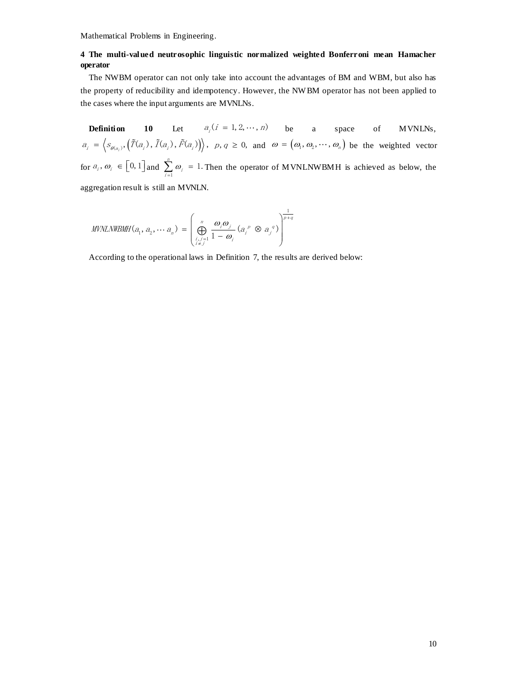## **4 The multi-valued neutrosophic linguistic normalized weighted Bonferroni mean Hamacher operator**

The NWBM operator can not only take into account the advantages of BM and WBM, but also has the property of reducibility and idempotency. However, the NW BM operator has not been applied to the cases where the input arguments are MVNLNs.

**Definition** 10 Let  $a_i$  ( $i = 1, 2, \dots, n$ ) be a space of MVNLNs,  $a_i = \left\langle s_{\theta(a_i)}, (\tilde{T}(a_i), \tilde{T}(a_i), \tilde{F}(a_i)) \right\rangle$ ,  $p, q \ge 0$ , and  $\omega = (\omega_1, \omega_2, \dots, \omega_n)$  be the weighted vector for  $a_i$ ,  $\omega_i \in [0, 1]$  and  $\sum_{i=1}$  $\sum_{i=1}^{n} \omega_i = 1.$  $\sum_{i=1}^{\infty}$   $\sum_{i=1}^{\infty}$ ω  $\sum_{i=1}^{n} \omega_i = 1$ . Then the operator of MVNLNWBMH is achieved as below, the aggregation result is still an MVNLN.

$$
\textit{MVNLNWBMH}(a_1, a_2, \cdots a_n) = \left(\bigoplus_{\substack{i,j=1\\i \neq j}}^n \frac{\omega_i \omega_j}{1 - \omega_i} (a_i^p \otimes a_j^q) \right)^{\frac{1}{p+q}}
$$

According to the operational laws in Definition 7, the results are derived below: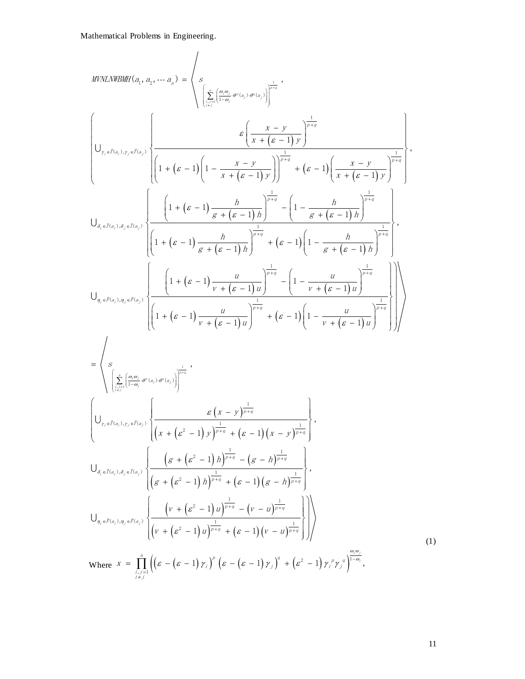$$
MPALNIB3H1(a_1, a_2, \dots, a_n) = \left\langle \sum_{\substack{r \mid (a_1, a_2, \dots, a_n) \neq (a_1), p(r) \neq 0}} \frac{c\left(\frac{x - y}{x + (c - 1)y}\right)^{\frac{1}{p + q}}}{\left(1 + (c - 1)\left(1 - \frac{x - y}{x + (c - 1)y}\right)^{\frac{1}{p + q}} + (c - 1)\left(\frac{x - y}{x + (c - 1)y}\right)^{\frac{1}{p + q}}\right)}\right\}
$$
\n
$$
U_{s, z, l(a_1), s, z, l(a_2)} \left\{ \frac{\left(1 + (c - 1)\frac{h}{s + (c - 1)}\right)^{\frac{1}{p + q}} - \left(1 - \frac{h}{s + (c - 1)}\right)^{\frac{1}{p + q}}}{\left(1 + (c - 1)\frac{h}{s + (c - 1)}\right)^{\frac{1}{p + q}} + (c - 1)\left(1 - \frac{h}{s + (c - 1)}\right)^{\frac{1}{p + q}}}\right\}
$$
\n
$$
U_{s, z, l(a_1), s, z, l(a_2)} \left\{ \frac{\left(1 + (c - 1)\frac{h}{s + (c - 1)}\right)^{\frac{1}{p + q}} + (c - 1)\left(1 - \frac{h}{s + (c - 1)}\right)^{\frac{1}{p + q}}}{\left(1 - \frac{h}{r + (c - 1)}\right)^{\frac{1}{p + q}}}\right\}
$$
\n
$$
= \left\langle \sum_{\substack{(\frac{x}{\sqrt{2}})^{(\frac{a_1, a_2}{\sqrt{2}})(1 - a_1, \theta(x_1), \theta(x_2))}} \frac{1}{\sqrt{2}}\right\rangle}{\left(1 + (c - 1)\frac{u}{r + (c - 1)}\right)^{\frac{1}{p + q}} + (c - 1)\left(1 - \frac{u}{r + (c - 1)}\right)^{\frac{1}{p + q}}}\right\}
$$
\n
$$
= \left\langle \sum_{\substack{(\frac{x}{\sqrt{2}})^{(\frac{a_1, a_2}{\sqrt{2}})(1 - a_1, \theta(x_1), \theta(x_2))}} \frac{c\left(\frac{x}{\sqrt{2}} - 1\right)^{\frac{1}{p + q} -
$$

(1)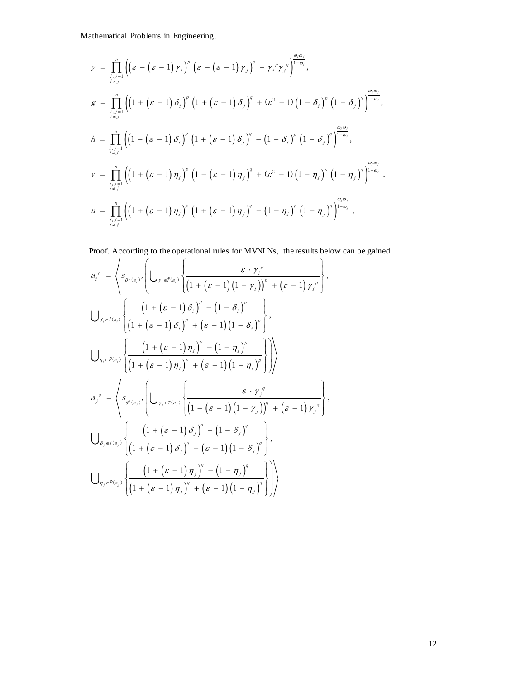$$
y = \prod_{\substack{i,j=1 \ i \neq j}}^{n} \left( \left( \varepsilon - \left( \varepsilon - 1 \right) \gamma_{i} \right)^{p} \left( \varepsilon - \left( \varepsilon - 1 \right) \gamma_{j} \right)^{q} - \gamma_{i}^{p} \gamma_{j}^{q} \right)^{\frac{\omega_{i} \omega_{j}}{1 - \omega_{i}}},
$$
\n
$$
g = \prod_{\substack{i,j=1 \ i \neq j}}^{n} \left( \left( 1 + \left( \varepsilon - 1 \right) \delta_{i} \right)^{p} \left( 1 + \left( \varepsilon - 1 \right) \delta_{j} \right)^{q} + \left( \varepsilon^{2} - 1 \right) \left( 1 - \delta_{i} \right)^{p} \left( 1 - \delta_{j} \right)^{q} \right)^{\frac{\omega_{i} \omega_{j}}{1 - \omega_{i}}},
$$
\n
$$
h = \prod_{\substack{i,j=1 \ i \neq j}}^{n} \left( \left( 1 + \left( \varepsilon - 1 \right) \delta_{i} \right)^{p} \left( 1 + \left( \varepsilon - 1 \right) \delta_{j} \right)^{q} - \left( 1 - \delta_{i} \right)^{p} \left( 1 - \delta_{j} \right)^{q} \right)^{\frac{\omega_{i} \omega_{j}}{1 - \omega_{i}}},
$$
\n
$$
v = \prod_{\substack{i,j=1 \ i \neq j}}^{n} \left( \left( 1 + \left( \varepsilon - 1 \right) \eta_{i} \right)^{p} \left( 1 + \left( \varepsilon - 1 \right) \eta_{j} \right)^{q} + \left( \varepsilon^{2} - 1 \right) \left( 1 - \eta_{i} \right)^{p} \left( 1 - \eta_{j} \right)^{q} \right)^{\frac{\omega_{i} \omega_{j}}{1 - \omega_{i}}}.
$$
\n
$$
u = \prod_{\substack{i,j=1 \ i \neq j}}^{n} \left( \left( 1 + \left( \varepsilon - 1 \right) \eta_{i} \right)^{p} \left( 1 + \left( \varepsilon - 1 \right) \eta_{j} \right)^{q} - \left( 1 - \eta_{i} \right)^{p} \left( 1 - \eta_{j} \right)^{q} \right)^{\frac{\
$$

y = 
$$
\prod_{i \neq j} \left( (s - (s - 1) r_i) (s - (s - 1) r_j) - r_i^2 r_j^4 \right)^{1/2}
$$
,  
\n
$$
g = \prod_{i \neq j} \left( (1 + (s - 1) \delta_i)^2 (1 + (s - 1) \delta_i)^3 + (s^2 - 1) (1 - \delta_i)^7 (1 - \delta_j)^4 \right)^{1/2}.
$$
\n
$$
h = \prod_{i \neq j} \left( (1 + (s - 1) \delta_i)^2 (1 + (s - 1) \delta_i)^3 - (1 - \delta_i)^7 (1 - \delta_j)^9 \right)^{1/2}.
$$
\n
$$
v = \prod_{i \neq j} \left( (1 + (s - 1) \eta_i)^7 (1 + (s - 1) \eta_j)^7 + (s^2 - 1) (1 - \eta_i)^2 (1 - \eta_j)^7 \right)^{1/2}.
$$
\n
$$
v = \prod_{i \neq j} \left( (1 + (s - 1) \eta_i)^7 (1 + (s - 1) \eta_j)^7 - (1 - \eta_i)^7 (1 - \eta_j)^7 \right)^{1/2}.
$$
\n
$$
u = \prod_{i \neq j} \left( (1 + (s - 1) \eta_i)^7 (1 + (s - 1) \eta_j)^7 - (1 - \eta_i)^7 (1 - \eta_j)^7 \right)^{1/2}.
$$
\nProof. According to the operational rules for MVNLNs, the results below can be gained  
\n
$$
a_i^p = \begin{cases} s_{\varphi(x_i)} \left( \bigcup_{r_1 \neq i \neq i} \left( \frac{s \cdot r_i^6}{(1 + (s - 1) (1 - r_i))^7 + (s - 1) r_i^7} \right), \\ (1 + (s - 1) \delta_i)^7 - (1 - \delta_i)^7 \end{cases}
$$
\n
$$
\bigcup_{\delta_i \in \mathcal{I}(\alpha_i)} \left\{ \frac{(1 + (s - 1) \eta_i)^7 + (s - 1)(1 - \eta_i)^7}{(1 + (s - 1) \eta_i)^7 + (s - 1)(1 - \eta_i)^7} \right\}
$$
\n
$$
u = \begin{cases} s_{\varphi(x_i)} \left( \frac{1 + (s - 1) \eta_i}{(1 + (s - 1) \eta_i)^7 + (s - 1)(1 - \eta_i
$$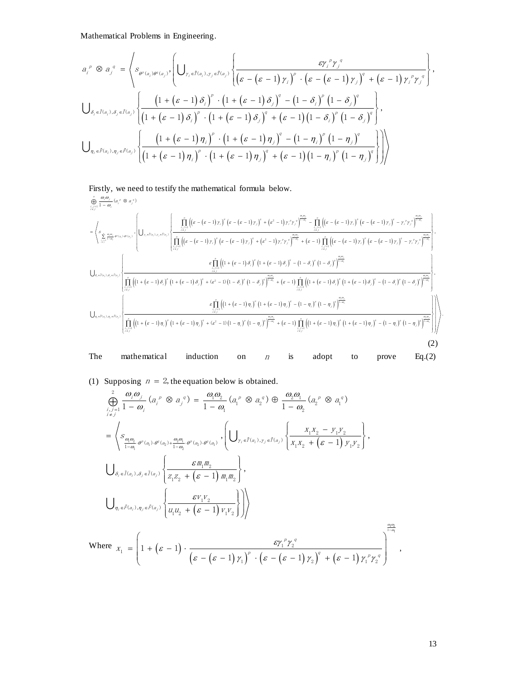Mathematical Problems in Engineering.  
\n
$$
a_i^p \otimes a_j^q = \left\langle s_{\theta^p(a_i)\theta^q(a_j)}, \left( \bigcup_{\gamma_i \in \tilde{T}(a_i), \gamma_j \in \tilde{T}(a_j)} \left\{ \frac{\epsilon \gamma_i^p \gamma_j^q}{\left(\epsilon - (\epsilon - 1) \gamma_i\right)^p \cdot \left(\epsilon - (\epsilon - 1) \gamma_j\right)^q + (\epsilon - 1) \gamma_i^p \gamma_j^q} \right\} \right\rangle,
$$
\n
$$
\bigcup_{\delta_i \in \tilde{I}(a_i), \delta_j \in \tilde{I}(a_j)} \left\{ \frac{\left(1 + (\epsilon - 1) \delta_i\right)^p \cdot \left(1 + (\epsilon - 1) \delta_j\right)^q - \left(1 - \delta_i\right)^p \left(1 - \delta_j\right)^q}{\left(1 + (\epsilon - 1) \delta_i\right)^p \cdot \left(1 + (\epsilon - 1) \delta_j\right)^q + (\epsilon - 1) \left(1 - \delta_i\right)^p \left(1 - \delta_j\right)^q} \right\},
$$
\n
$$
\bigcup_{\eta_i \in \tilde{F}(a_i), \eta_j \in \tilde{F}(a_j)} \left\{ \frac{\left(1 + (\epsilon - 1) \eta_i\right)^p \cdot \left(1 + (\epsilon - 1) \eta_j\right)^q - \left(1 - \eta_i\right)^p \left(1 - \eta_j\right)^q}{\left(1 + (\epsilon - 1) \eta_i\right)^p \cdot \left(1 + (\epsilon - 1) \eta_j\right)^q + (\epsilon - 1) \left(1 - \eta_i\right)^p \left(1 - \eta_j\right)^q} \right\} \right\}
$$

Firstly, we need to testify the mathematical formula below.  $\left(\left(\varepsilon-\left(\varepsilon-1\right)\gamma_{_I}\right)\right)\left(\varepsilon-\left(\varepsilon-1\right)\gamma_{_J}\right)\right. \nonumber \\ \left. +\left(\varepsilon^2-1\right)\gamma_{_I}\gamma_{_J}{}^g\right)^{1-\gamma} \nonumber \\ \left. -\prod\left[\left(\varepsilon-\left(\varepsilon-1\right)\gamma_{_I}\right)\right]\left(\varepsilon-\left(\varepsilon-1\right)\gamma_{_J}\right) \right. \nonumber \\ \left. -\left(\varepsilon-1\right)\gamma_{_J}\right)^{1-\gamma_{_I}\gamma_{_J}{}^g}\left\{ \varepsilon^{\gamma_{_I}\gamma_{_J$  $\sum_{\substack{i,j=1 \ j \neq j}}^{n_i m_j} \sum_{\substack{\varnothing(\alpha_i) = \varnothing(\alpha_i) = \varnothing(\alpha_i) \\ \varnothing(\beta)}} \left| \bigcup_{\substack{r_i \neq i(\alpha_i), r_j \in I(\alpha_j)}} \right| \frac{\prod\limits_{\substack{i,j=1 \ j \neq j}}^{n_i (k_i - (s - 1) r_i)} \left(e^{-(s - 1) r_j} \right)}{\prod\limits_{\substack{i,j=1 \ j \neq j}}^{n_i (k_i - (s - 1) r_i)} \left(e^{-(s - 1) r_j} \right)^{\varnothing} + \left(e^{s - 1} \right) r_i r_j r_j \$ (1<sup>-1</sup>)<br>
Firstly, we need to<br>  $\oint_{\substack{r,l=1 \ (l,s) \ l\neq j}}^{\infty, \omega_j} (a_i^p \otimes a_j^q)$  $\int_{0}^{2}$  1  $\int_{0}^{2} y^{2} y^{2} y^{2} y^{2} dy = \int_{0}^{2} \left( \left( \varepsilon - (\varepsilon - 1) y \right)^{2} \left( \varepsilon - (\varepsilon - 1) y \right)^{2} - y^{2} y^{2} \right)^{\frac{1}{2}}$  $\prod_{\substack{j=1 \ j \neq j}}^{n} \left(\left(\varepsilon-\left(\varepsilon-1\right) \gamma_{i}\right)^{s}\left(\varepsilon-\left(\varepsilon-1\right) \gamma_{j}\right)^{s} +\left(\varepsilon^{2}-1\right) \gamma_{i}{}^{\rho} \gamma_{j}{}^{s}\right)^{\frac{\alpha_{j} \alpha_{j}}{1-\alpha_{j}}} - \prod_{\substack{j=1 \ j \neq j}}^{n}$  $\left\{\left.\bigcup_{\substack{\frac{\theta(\theta)}{1-\theta_1} \theta^*(x_i) \cdot \theta^*(x_j)}}\right\}\right\} \cup \left\{\bigcup_{\substack{\gamma_1 \in \tilde{I}(x_i), \gamma_2 \in \tilde{I}(x_j)}}\left\{\frac{\displaystyle\prod_{\substack{\gamma_1 \mid x_j \in \gamma_2 \\ \gamma_2 \neq j}}} {\displaystyle\prod_{\substack{\gamma_1 \mid x_j \in \gamma_1 \\ \gamma_2 \neq j}}} \left(\left(\varepsilon-\left(\varepsilon-1\right)\gamma_1\right)^p \left(\varepsilon-\left(\varepsilon-1\right)\gamma_j\right)^q + \left(\varepsilon^2$  $\prod_{\substack{i,j=1 \ i\neq j}}^{n}$ eed to testify the mathematical formula below.<br>
)<br>  $\int_{\frac{r}{\sqrt{x}}|f|^{n}} \left( (s - (s - 1)z_{i})^{p} (s - (s - 1)z_{i})^{q} + (s^{2} - 1)z_{i}^{p}z_{j}^{q} \right)^{\frac{q_{i}q_{i}}{1-q_{i}}} - \prod_{\frac{r}{\sqrt{x}}|f|^{n}} \left( (s - (s - 1)z_{i})^{p} (s - (s - 1)z_{i})^{q} \right)$  $\begin{split} &\left(\varepsilon-1\right)\gamma_{i}\right)^{p}\left(\varepsilon-\left(\varepsilon-1\right)\gamma_{j}\right)^{q}+\left(\varepsilon^{2}-1\right)\gamma_{i}{}^{p}\gamma_{j}{}^{q}\right)^{\frac{\alpha_{i}\alpha_{j}}{\alpha_{i}}} -\prod_{\substack{i,j=1 \\ i\neq j}}^{n}\left(\left(\varepsilon-\left(\varepsilon-1\right)\gamma_{i}\right)^{p}\left(\varepsilon-\left(\varepsilon-1\right)\gamma_{j}\right)^{q}-\gamma_{i}{}^{p}\gamma_{j}{}^{q}\right)^{\frac{\alpha_{i}\alpha_{j}}{\alpha_{i}}}\right)\\ &\left(\gamma_{i}\right)^$  $\sum_{j,i=1 \atop i \neq j}^s \frac{\theta_j \theta_j}{\theta_j \theta_j \theta_j \theta_j \theta_j \theta_j}, \ \bigcup_{\mathcal{T}_i \in \tilde{I}(a_i), \mathcal{T}_j \in \tilde{I}(a_j)} \left\{ \frac{\prod\limits_{j,i=1 \atop j \neq j}^s \left[\left(\varepsilon - \left(\varepsilon -1\right) \gamma_j\right)^\sigma \left(\varepsilon - \left(\varepsilon -1\right) \gamma_j\right)^\sigma + \left(\varepsilon^2-1\right) \gamma_i^\rho \gamma_j^\sigma \right] \right\}_{i=0}^{\theta_j \theta_j}}{\prod\limits_{i=0 \atop j$  $\begin{split} \frac{\partial \rho}{\partial t} & \int\limits_{\mathcal{F}_{\mathcal{M}}^{\mathcal{M}}} \int\limits_{\mathcal{F}_{\mathcal{M}}^{\mathcal{M}}} \rho^{s}(\mathbf{a}_{i}^{p} \otimes \mathbf{a}_{j}^{q}) \\ & \times \sum\limits_{\mathcal{H}_{\mathcal{M}}^{\mathcal{M}}} \int\limits_{\mathcal{F}_{\mathcal{M}}^{\mathcal{M}}} \int\limits_{\mathcal{F}_{\mathcal{M}}^{\mathcal{M}}} \left( \left( \mathcal{E} - \left( \mathcal{E} - 1 \right) \gamma_{i} \right)^{p} \left( \mathcal{E} \prod_{i=1}^n$  $\frac{\sum_{i=0}^{n_i} \sigma_i}{\sum_{i=0}^{n_i} \sigma_i} = \prod_{i=0}^{n_i} \left( \left( \mathcal{E} - \left( \mathcal{E} - 1 \right) \gamma_i \right)^p \left( \mathcal{E} - \left( \mathcal{E} - 1 \right) \gamma_j \right)^q - \gamma_i^p \gamma_j^q \right)^{\frac{\alpha_i \alpha_j}{1 - \alpha_j}}$  $\left|\sum_{\stackrel{\scriptstyle \alpha\in\sigma_{\alpha}}{j=\alpha_{\beta}}\theta^{*}(x_{i})\cdot\theta^{*}(x_{j})},\right|\left|\bigcup_{\stackrel{\scriptstyle \gamma_{\alpha}\in\{\alpha_{\beta}\},\gamma_{\beta}\in\hat{d}(x_{j})\}}\left|\frac{\prod_{\stackrel{\scriptstyle \gamma_{\alpha}\in\gamma_{\beta}}{j=\beta_{\gamma}}}\left|\left(\varepsilon-\left(\varepsilon-1\right)\gamma_{\beta}\right)^{\sigma}\left(\varepsilon-\left(\varepsilon-1\right)\gamma_{\beta}\right)^{\sigma}+\left(\varepsilon^{2}-1\right)\gamma_{\beta}^{*}\gamma_{\beta}^{*}\right)^{\frac{\$ mathematical formula below.<br>  $\varepsilon - (\varepsilon - 1) \gamma_i)^{\circ} (\varepsilon - (\varepsilon - 1) \gamma_j)^{\circ} + (\varepsilon^2 - 1) \gamma_i^{\circ} \gamma_j^{\circ} \Big|_{\substack{z = 0 \\ z \neq j}}^{\frac{\sigma(\sigma)}{1 - \sigma_i}} - \prod_{\substack{i = 1 \\ z \neq j}}^{n} ((\varepsilon - (\varepsilon - 1) \gamma_i)^{\circ} (\varepsilon - (\varepsilon - 1) \gamma_j)^{\circ} - \gamma_i^{\circ} \gamma_j^{\circ} \Big|_{\substack{z = 0 \\ z =$  $\begin{split} \sigma_0 \stackrel{\alpha_1}{\longrightarrow} \sigma_1 \stackrel{\alpha_2}{\longrightarrow} \sigma_2 \stackrel{\alpha_3}{\longrightarrow} \sigma_3 \end{split} \hspace{.5cm}\nonumber \left. \begin{split} \sigma_1 \stackrel{\alpha_2}{\longrightarrow} \left\{ \begin{aligned} \prod_{\substack{i,j=1 \\ i \neq j}}^{n} \left[ \left( \varepsilon - \left( \varepsilon - 1 \right) \gamma_i \right)^{\varepsilon} \left( \varepsilon - \left( \varepsilon - 1 \right) \gamma_j \right)^{\varepsilon} + \left( \varepsilon^2 - 1 \right) \gamma_i^{\varepsilon} \gamma_j^{\vare$ é,  $\begin{split} \sum_{i=n_j}^{(n_j)} \; &= \; \prod_{i=1}^n \; \left( \left( \mathcal{E} - \left( \mathcal{E} - 1 \right) \gamma_j \right)^{\sigma} \left( \mathcal{E} - \left( \mathcal{E} - 1 \right) \gamma_j \right)^q - \gamma_j{}^\sigma \gamma_j{}^q \right)^{\frac{\sigma_j(\sigma_j)}{1-\sigma_j}} \end{split}$  $\begin{split} \frac{\partial f}{\partial x_{j}} \leq \left\{\int\limits_{\mathcal{H}_{\mathcal{F}}\left(\mathcal{B}\left(x_{j}\right),y_{j}\in\mathcal{H}_{\mathcal{G}}\right)}\left\{\int\limits_{\mathcal{H}_{\mathcal{F}}\left(\mathcal{B}\left(x_{j}\right),y_{j}\in\mathcal{H}_{\mathcal{G}}\right)}\frac{\displaystyle{\int\limits_{\mathcal{H}_{\mathcal{F}}}\int\limits_{\mathcal{H}_{\mathcal{F}}}\left(\left(\mathcal{E}-\left(\mathcal{E}-1\right)\gamma_{j}\right)^{p}\left(\mathcal{E}-\left(\mathcal{E}-1\right)\gamma$  $\frac{j-1}{x}$ Firstly, we need to testify the mathematical formula below.<br>  $\int_{\frac{1}{2}x_1^2}^{\frac{1}{2} \frac{1}{2} \cdot \frac{1}{2} \cdot \frac{1}{2} \cdot \frac{1}{2} \cdot \frac{1}{2}} \frac{d\theta_1}{\theta_2} d\theta_1^{(2)} \otimes d\theta_2^{(3)} d\theta_3^{(4)} d\theta_4^{(5)} d\theta_5^{(6)}$   $= \left\langle s_{\frac{x_1^2}{2} \frac{\theta_1 \theta_2$  $\begin{split} &\left(\left(\varepsilon-\left(\varepsilon-1\right)\gamma_{i}\right)^{s}\left(\varepsilon-\left(\varepsilon-1\right)\gamma_{j}\right)^{s}+\left(\varepsilon^{2}-1\right)\gamma_{i}^{s}\gamma_{j}^{s}\right)^{\frac{\alpha_{i}\alpha_{j}}{1-\alpha_{i}}}-\prod_{\substack{i,j=1\\i\neq j}}^{n}\left(\left(\varepsilon-\left(\varepsilon-1\right)\gamma_{i}\right)^{s}\left(\varepsilon-\left(\varepsilon-1\right)\gamma_{j}\right)^{s}\left(\varepsilon-\left(\varepsilon-1\right)\gamma_{j}\right)^{s}\right)\\ &-\left(\varepsilon-1\right)\gamma$ the mathematical formula below.<br>  $\prod_{\substack{i,j=1 \ j \neq j}}^{n} \left( \left( \varepsilon - (\varepsilon - 1) y_{i} \right)^{s} \left( \varepsilon - (\varepsilon - 1) y_{j} \right)^{s} + \left( \varepsilon^{2} - 1 \right) y_{i}^{p} y_{j}^{q} \right)^{\frac{\alpha_{i}\alpha_{j}}{1-\alpha_{j}}} - \prod_{\substack{i,j=1 \ i \neq j}}^{n} \left( \left( \varepsilon - (\varepsilon - 1) y_{i} \right)^{s} \left( \varepsilon - (\v$  $\prod\left(\left(\varepsilon-\left(\varepsilon-1\right)\gamma_{i}\right)^{p}\left(\varepsilon-\left(\varepsilon-1\right)\gamma_{j}\right)^{q}+\left(\varepsilon^{2}-1\right)\gamma_{i}{}^{p}\gamma_{j}{}^{q}\right)^{1-\omega_{i}}+\left(\varepsilon-1\right)\prod\left(\left(\varepsilon-\left(\varepsilon-1\right)\gamma_{i}\right)^{p}\left(\varepsilon-\left(\varepsilon-1\right)\gamma_{j}\right)^{q}-\gamma_{i}{}^{p}\gamma_{j}{}^{q}\right)^{1-\omega_{i}}$  $\left(\left(1+\left(\varepsilon-1\right)\delta_{\varepsilon}\right)\right)\left(1+\left(\varepsilon-1\right)\delta_{\varepsilon}\right) = \left(1-\delta_{\varepsilon}\right)\left(\left(1-\delta_{\varepsilon}\right)\right)$  $\left(\left(1+(\varepsilon-1)\,\delta_{j}\right)\right)\,\,\left(1+(\varepsilon-1)\,\delta_{j}\right)\,\,+\,(\varepsilon^2-1)\,\left(1-\delta_{j}\right)\,\,\left(1-\delta_{j}\right)\,\,\left(1-\varepsilon\right)\,\,\prod\,\left(\left(1+(\varepsilon-1)\,\delta_{j}\right)\,\,\,\left(1+(\varepsilon-1)\,\delta_{j}\right)\,\,\,\left(1+(\varepsilon-1)\,\delta_{j}\right)\,\,\left(1-\delta_{j}\right)\,\,\left(1-\delta_{j}\right)\,\,\right)$  $\sum_{\substack{i,j=1 \ j \neq j}}^{n} \left| \left( \varepsilon - (\varepsilon - 1) \gamma_i \right)^p \left( \varepsilon - (\varepsilon - 1) \gamma_j \right)^q + \left( \varepsilon^2 - 1 \right) \gamma_i^p \gamma_j^q \right|_{\substack{i,j=1 \ j \neq j}}^{\substack{\alpha, \alpha_j \\ \alpha, \beta}} \left| \left( \varepsilon - (\varepsilon - 1) \gamma_i \right)^p \left( \varepsilon - (\varepsilon - 1) \gamma_j \right)^q - \gamma_i^p \gamma_j^q \right|_{\substack{i,j=1 \ j \neq j}}^{\substack{\alpha, \alpha_j \\ \$  $\prod_{\stackrel{r}{\leadsto f^{-1}}}^n$ 1 ,  $\prod_{\substack{j=1 \ i \neq j}}^{n}$ 2 1)  $(1 + s)^p (1 + s)^q$ ,  $\begin{aligned} \left(\frac{\partial}{\partial \rho}\right)^p & \left(\varepsilon - \left(\varepsilon - 1\right)\gamma_j\right)^p \left(\varepsilon - \left(\varepsilon - 1\right)\right) \end{aligned}$  $\frac{1}{\left(\varepsilon - (s - 1) \gamma_j\right)^s + \left(\varepsilon - 1\right) \gamma_i \gamma_j} - \frac{1}{\frac{1}{\varepsilon} \frac{1}{\varepsilon}}$ <br>  $- \left(\varepsilon - 1\right) \gamma_j \right)^s + \left(\varepsilon^2 - 1\right) \gamma_i^s \gamma_j^s \Big|_{s = 0}^{\frac{\alpha_j \alpha_j}{1 - \alpha_j}} + \left(\varepsilon - 1\right) \frac{1}{\frac{1}{\varepsilon}}$ <br>  $1 + \left(\varepsilon - 1\right) \delta_j \Big)^s \left(1 + \left(\varepsilon - 1\right) \delta_j\right$  $\frac{\prod\limits_{\substack{i,j=1\\i\neq j}}^{n} \left[\left(k-(\varepsilon-1)y_{i}\right)\left(\varepsilon-\left(\varepsilon-1\right)y_{j}\right)+\left(\varepsilon-1\right)y_{i}y_{j}\right]}{\varepsilon}\right]^{n} + \left(\varepsilon-1\right)\prod\limits_{\substack{i,j=1\\i\neq j}}^{n} \left[\left(k-(\varepsilon-1)y_{i}\right)\left(\varepsilon-\left(\varepsilon-1\right)y_{i}\right)\right]^{n} + \left(\varepsilon-1\right)\prod\limits_{\substack{i,j=1\\i\neq j}}^{n} \left[\left(1+\left(\varepsilon-1\right)\$  $\sum_{\substack{i,j=1 \ i \neq j}}^{\left \lfloor \prod\limits_{i \neq j}^{\left \lfloor \int\limits_{i \neq j}^{\left \lfloor \int\limits_{i \neq j}^{\left \lfloor \int\limits_{i \neq j}^{\left \lfloor \int\limits_{i \neq j}^{\left \lfloor \int\limits_{i \neq j}^{\left \lfloor \int\limits_{i \neq j}^{\left \lfloor \int\limits_{i \neq j}^{\left \lfloor \int\limits_{i \neq j}^{\left \lfloor \int\limits_{i \neq j}^{\left \lfloor \int\limits_{i \neq j}^{\left \lfloor \int\limits_{i \neq j$  $\label{eq:tau} \begin{split} \hat{\tau}_{(s_r),\tau_j,\varepsilon}(\zeta_{s_r}) = \left\{ \begin{aligned} &\left[ \prod_{\substack{i=1 \\ i \neq j}}^n \left( \left( \varepsilon - \left( \varepsilon - 1 \right) \gamma_i \right)^{\varepsilon} \left( \varepsilon - \left( \varepsilon - 1 \right) \gamma_j \right)^{\varepsilon} + \left( \varepsilon^2 - 1 \right) \gamma_j \gamma_j \gamma_j \right)^{\frac{\alpha_j \alpha_j}{1 - \alpha_j}} - \prod_{\substack{i=1 \\ i \neq j}}^n \left( \left( \varepsilon - \left( \varepsilon - 1 \right$  $\frac{1}{\prod_{i=1}^n}$  $\prod_{\substack{i,j \ i \neq j}}^{n}$  $\begin{aligned} \mathcal{E}\prod_{\substack{i,j=1\\i\neq j}}^{n}\left(\left[1+\left(\varepsilon-1\right)\delta_{i}\right)^{\sigma}\left(1+\left(\varepsilon-1\right)\delta_{j}\right)^{\sigma}-\left(1-\delta_{i}\right)^{\sigma}\left(1-\delta_{j}\right)^{\sigma}\right]^{\overline{\gamma-\omega_{i}}}\\ \bar{\gamma_{i}}\right)^{\sigma}\left(1+\left(\varepsilon-1\right)\delta_{j}\right)^{\sigma}+\left(\varepsilon^{2}-1\right)\left(1-\delta_{i}\right)^{\sigma}\left(1-\delta_{j}\right)^{\sigma}\right]^{\overline{\gamma-\omega_{i}}}+\left(\varepsilon-1\right)\prod_{i,j$  $\label{eq:tau} \begin{split} \tau_i\circ i\omega_i,\tau_j\circ i\omega_j\end{split} \times \begin{split} \underbrace{\left[\prod_{\stackrel{i,j=1}{i\neq j}}^{s}\Big(\Big(\varepsilon-\big(\varepsilon-1\big)\gamma_j\Big)^{\varepsilon}\Big(\varepsilon-\big(\varepsilon-1\big)\gamma_j\Big)^{\varepsilon}+\big(\varepsilon^2-1\big)\gamma_j^{\varepsilon}\gamma_j\Big)^{\frac{\alpha_i\alpha_j}{1-\alpha_j}}-\prod_{\stackrel{i,j=1}{i\neq j}}^{s}\Big(\Big(\varepsilon-\big(\varepsilon-1\big)\gamma_j\Big)^{\varepsilon}\Big(\varepsilon-\big(\varepsilon$  $\left(\varepsilon - 1\right)\delta_j$ <sup>q</sup> -  $\left(\varepsilon - 1\right)\delta_j$ 1)  $\gamma_i$ )<sup>o</sup>  $\left(\varepsilon - (\varepsilon - 1) \gamma_j\right)^{\alpha} - \gamma_i^{\alpha} \gamma_j^{\alpha} \Bigg|_{1-\alpha_j}^{\frac{\alpha_j \alpha_j}{1-\alpha_j}}\right\},$ <br> $\varepsilon - 1$ )  $\gamma_i$ )<sup>o</sup>  $\left(\varepsilon - (\varepsilon - 1) \gamma_j\right)^{\alpha} - \gamma_i^{\alpha} \gamma_j^{\alpha} \Bigg|_{1-\alpha_j}^{\frac{\alpha_j \alpha_j}{1-\alpha_j}}\right\},$  $\begin{array}{c} \gamma_{i,j} \left( c - (c-1) \gamma_{j} \right)^{a} + (c^{2} - 1) \gamma_{i}^{a} \gamma_{j}^{a} + (c - 1) \frac{1}{\gamma_{i,j}} \left[ (c^{2} - (c-1) \gamma_{i})^{a} - (c^{2} - 1) \gamma_{i,j}^{a} \right] \end{array}$  $\mathcal{E}\left[\prod_{\substack{i,j=1\\i\neq j}}^{n}\left(\left(1+\left(\varepsilon-1\right)\delta_{i}\right)^{s}\left(1+\left(\varepsilon-1\right)\delta_{j}\right)^{s}-\left(1-\delta_{i}\right)^{s}\left(1-\delta_{j}\right)^{s}\right]\right)\right]^{n_{\text{max}}}$  $\begin{array}{c}\left(\prod\limits_{j,i=1\atop i\neq j}^{n}\left|\left(\varepsilon-\left(\varepsilon-1\right)\gamma_{i}\right)^{s}\left(\varepsilon-\left(\varepsilon-1\right)\gamma_{j}\right)^{s}+\left(\varepsilon^{2}-1\right)\gamma_{i}^{s}\gamma_{j}\right)^{\frac{\alpha_{i}\alpha_{j}}{1-\alpha_{i}}} -\prod\limits_{j,i=1\atop i\neq j}\limits^{n}\left|\left(\varepsilon-\left(\varepsilon-1\right)\gamma_{i}\right)^{s}\left(\varepsilon-\left(\varepsilon-1\right)\gamma_{j}\right)^{s}-\gamma_{i}^{s}\gamma_{j}\right)^{\frac{\alpha_{i$ .∫=1<br>≉∫  $\overline{\phantom{a}}$ .j=1<br>≉j  $-\epsilon$  $\left[\begin{array}{c} \tilde{f} \ \tilde{f} \end{array}\right]\left(\left(\varepsilon-\left(\varepsilon-1\right)\gamma_{i}\right)^{c}\left(\varepsilon-\left(\varepsilon-1\right)\gamma_{i}\right)^{c}+\left(\varepsilon^{2}-1\right)\gamma_{i}^{c}\gamma_{j}^{c}\right]^{\frac{\omega_{i}\omega_{j}}{1-\omega_{i}}} -\prod_{i=1}^{n}\left(\left(\varepsilon-\left(\varepsilon-1\right)\gamma_{i}\right)^{c}\left(\varepsilon-\left(\varepsilon-1\right)\gamma_{i}\right)^{c}-\gamma_{i}^{c}\gamma_{j}^{c}\right]^{\frac{\omega_{i}\omega_{j}}{$  $\left(\bigcup_{\substack{i_1,\dots,i_{(n_i),r_j}\in I(x_j)\\ \sum_{\substack{i_1\neq j\\i_2\neq j}}}\prod_{\substack{i_1\\i_2\neq j}}^n\left(\left(s-(\varepsilon-1)\gamma_i\right)^\circ\left(\varepsilon-\left(\varepsilon-1\right)\gamma_j\right)^\circ+\left(\varepsilon^2-1\right)\gamma_i^\circ\gamma_j^\circ\right)^{\frac{\alpha_i\alpha_j}{1-\alpha_j}}-\prod_{\substack{i_1\\i_2\neq j}}^n\left(\left(s-\left(\varepsilon-1\right)\gamma_i\right)^\circ\left(\varepsilon-\left(\varepsilon-1\right)\gamma_j^\circ\right$  $\frac{1}{\sum_{i=1}^{n} (s^{2} - 1) \gamma_{i}^{2} + (s^{2} - 1) \gamma_{i}^{2} \gamma_{j}^{2}} + (s - 1) \frac{1}{\sum_{i=1}^{n} (s^{2} - 1) \gamma_{i}^{2} \gamma_{j}^{2}} + (s - 1) \frac{1}{\sum_{i=1}^{n} (s^{2} - 1) \gamma_{i}^{2}} + (s - 1) \frac{1}{\sum_{i=1}^{n} (s^{2} - 1) \gamma_{i}} \left[ (s - (s - 1) \gamma_{i})^{2} (s^{2} - 1) \gamma_{i}^{2} \gamma_{$  $\left\{\prod_{\substack{i,j=1 \ i\neq j}} \left|\left(\varepsilon-\left(\varepsilon-1\right)\gamma_{i}\right)^{\varrho}\left(\varepsilon-\left(\varepsilon-1\right)\gamma_{j}\right)^{\varrho} +\left(\varepsilon^{2}-1\right)\gamma_{i}^{\varrho}\gamma_{j}^{\varrho}\right|^{1-\omega_{i}} +\left(\varepsilon-1\right)\prod_{\substack{i,j=1 \ i\neq j}} \left|\left(\varepsilon-\left(\varepsilon-1\right)\gamma_{i}\right)^{\varrho}\left(\varepsilon-\left(\varepsilon-1\right)\gamma_{j}\right)^{\varrho}-\gamma_{i}^{\varrho}\gamma_{j}^{\varrho}\right|$ ΠI  $\begin{array}{c} \displaystyle \varepsilon\int\limits_{\tau_{\varepsilon/2}^{(\varepsilon_{\varepsilon})}}^{\varepsilon} \left\{\vphantom{\int\limits_{\tau_{\varepsilon/2}^{(\varepsilon_{\varepsilon})}}^{(\varepsilon_{\varepsilon_{\varepsilon}})} \left( \left(1+\left(\varepsilon-1\right)\delta_{\varepsilon}\right)^{\varepsilon}\left(1+\left(\varepsilon-1\right)\delta_{\varepsilon}\right)^{\varepsilon}\right)^{2} \right. \left. -\left(1-\delta_{\varepsilon}\right)^{\varepsilon}\left(1-\delta_{\varepsilon}\right)^{\varepsilon}\right)^{2-\alpha_{\varepsilon}}\$  $\left(\left(1+\left(\varepsilon-1\right)\eta_{\varepsilon}\right) \right) \left(1+\left(\varepsilon-1\right)\eta_{\varepsilon}\right) \left(-\left(1-\eta_{\varepsilon}\right) \right) \left(1-\eta_{\varepsilon}\right) \right)$  $\left(\left(1+(\varepsilon-1)\,\eta_{_I}\right)\,\,\left(1+(\varepsilon-1)\,\eta_{_J}\right)\right.\nonumber\\ +\left. \left(\varepsilon^2-1\right)\left(1-\eta_{_I}\right)\,\,\left(1-\eta_{_J}\right)\,\,\right]^{+\, -\gamma}\,\, +\,(\varepsilon-1)\,\prod\,\left(\left(1+(\varepsilon-1)\,\eta_{_J}\right)\,\,\left(1+(\varepsilon-1)\,\eta_{_J}\right)\,\,\,-\,\left(1-\eta_{_J}\right)\,\,\left(1-\eta_{_J}\right)\,\,\right]^{+\, \gamma}\,\,$  $\frac{\sum\limits_{\substack{i,j=1 \ i\neq j}}^{n}\left(\left[1+\left(\varepsilon-1\right)\delta_{i}\right)^{p}\left(1+\left(\varepsilon-1\right)\delta_{j}\right)^{q}+\left(\varepsilon^{2}-1\right)\left(1-\delta_{i}\right)^{p}\left(1-\delta_{j}\right)^{q}\right]^{n,\sigma_{j}}}{\sum\limits_{\substack{i,j=1 \ s\neq j}}^{n}\left(\left[1+\left(\varepsilon-1\right)\delta_{i}\right)^{p}\left(1+\left(\varepsilon-1\right)\delta_{j}\right)^{q}\right]^{n,\sigma_{j}}+\left(\varepsilon-1\right)\prod\limits_{\substack{i,j$ 1  $\prod_{\substack{i,j=1 \ i \neq j}}^{n}$  $\begin{array}{l} \displaystyle \left(1+\left(\varepsilon-1\right)\sigma_{j}\right)^{2}\left(1+\left(\varepsilon-1\right)\sigma_{j}\right)^{2}+\left(\varepsilon-1\right)\left(1-\sigma_{j}\right)^{2}\left(1+\left(\varepsilon-1\right)\sigma_{j}\right)^{2}\right. \\ \displaystyle \qquad \qquad \displaystyle \left. \qquad \qquad \displaystyle \int_{\frac{\varepsilon_{j}^{\prime}-1}{\varepsilon_{j}^{\prime}}}^{\frac{\varepsilon_{j}^{\prime}-1}{\varepsilon_{j}^{\prime}-1}} \left(\left[ \left(1+\left(\varepsilon-1\right)\eta_{j}\right)^{2}\left($ 1  $\begin{equation} \begin{minipage}[b]{0.9\textwidth} {\scriptsize \begin{equation}\label{eq:22} \left\{ \begin{aligned} \mathcal{E} \prod_{i \neq j=1}^{m} \left( \left( 1 + \left( \varepsilon -1 \right) \delta_{i} \right)^{p} \left( 1 + \left( \varepsilon -1 \right) \delta_{j} \right)^{q} - \left( 1 - \delta_{j} \right)^{p} \left( 1 - \delta_{j} \right)^{q} \right)^{1 - \omega_{j}} \right\} \ \frac{1}{\prod\limits_{i \neq j=1}^{m} \left( \left( 1 + \left( \varepsilon -1 \right$  $\begin{split} &\frac{\displaystyle\sum_{i,j=1}^n\left[\left(1+\left(\varepsilon-1\right)\eta_j\right)^\circ\left(1+\left(\varepsilon-1\right)\eta_j\right)^\circ-\left(1-\eta_j\right)^\circ\right]^{\frac{1}{1-\alpha_j}}}{\frac{\eta_j\alpha_j}{\sqrt{1-\alpha_j}}}\ &\leq -\frac{1}{\displaystyle\sum_{i=1}^n\left(1-\eta_i\right)^\circ\left(1-\eta_j\right)^\circ\left|^{\frac{\eta_j\alpha_j}{1-\alpha_j}}+\left(\varepsilon-1\right)\prod_{i=1}^n\left[\left(1+\left(\varepsilon-1\right)\eta_i\right)^\circ\left($  $\label{eq:2} \begin{split} \frac{\varepsilon\displaystyle\int\limits_{\substack{j=1\\j\neq j}}^{n}\left(\left[1+\left(\varepsilon-1\right)\delta_{j}\right)^{\sigma}\left(1+\left(\varepsilon-1\right)\delta_{j}\right)^{\sigma}-\left(1-\delta_{j}\right)^{\sigma}\left(1-\delta_{j}\right)^{\sigma}\left(1-\delta_{j}\right)^{\sigma}\right)\stackrel{g_{\beta}g_{\beta}}{=} }{\frac{1}{\displaystyle\prod\limits_{\substack{j=1\\j\neq j}}^{n}\left(\left[1+\left(\varepsilon-1\right)\delta_{j}\right)^{\sigma}\left(1+\left(\varepsilon-1\right)\delta_{j}\$  $\left(\delta_j\right)^q\right)^{\sum_{i=0}^q} + \left(\varepsilon - 1\right) \prod_{\substack{i,j=1 \ i \neq j}}^q \left(\left(1 + \left(\varepsilon - 1\right)\delta_i\right)\right)$  $\prod_{\substack{j=1 \ j \neq j}}^{n} \left( \left(1 + \left(\varepsilon - 1\right)\eta_{j}\right)^{p} \left(1 + \left(\varepsilon - 1\right)\eta_{j}\right)^{q} - \left(1 - \eta_{j}\right)^{p} \left(1 - \eta_{j}\right)^{q} \right)$  $\prod_{i,j=1}^n$  $\begin{split} \mathcal{E}\prod\limits_{\substack{i,j=1}}^n \left(\left[1+\left(\varepsilon-1\right)\eta_j\right)^\sigma \left(1+\left(\varepsilon-1\right)\eta_j\right)^\sigma-\left(1-\eta_j\right)^\sigma\left(1-\eta_j\right)^\sigma\right]^{1-\omega_j} \ \mathcal{E}\left(1+\left(\varepsilon-1\right)\eta_j\right)^\sigma\left(1+\left(\varepsilon-1\right)\eta_j\right)^\sigma \left(1+\left(\varepsilon-1\right)\eta_j\right)^\sigma \left(1+\left(\varepsilon-1\right)\eta_j\right)^\sigma \left(1-\eta_j\right)^\sigma \left(1-\eta_j\right)$  $\delta_{\epsilon,\epsilon,l(\alpha_l),\delta_{\epsilon}\in I(\alpha_j)}\left\{\frac{\epsilon\displaystyle\prod_{j=1 \atop j\neq j}^n\left(\left[1+\left(\epsilon-1\right)\delta_{j}\right]^\sigma\left(1+\left(\epsilon-1\right)\delta_{j}\right)^\sigma+\left(1-\delta_{j}\right)^\sigma\right]\left[1+\left(\epsilon-1\right)\delta_{j}\right]^\sigma-\left(1-\delta_{j}\right)^\sigma\left(1-\delta_{j}\right)^\sigma\right]}{\displaystyle\prod_{j=1 \atop j\neq j}^n\left(\left[1+\left(\epsilon-1\right)\delta_{j}\right]^\sigma\left(1+\left(\epsilon-1\right)\delta_{j}\$ œ.  $\begin{array}{c} \displaystyle \left. \delta \prod_{\stackrel{i,j=1}{i\neq j}}^{n} \left( \left(1+\left(s-1\right)\eta_{i}\right)^{\circ}\left(1+\left(s-1\right)\eta_{j}\right)^{\circ}-\left(1-\eta_{i}\right)^{\circ}\left(1-\eta_{j}\right)^{\circ}\right)^{\frac{\alpha_{j}\alpha_{j}}{1-\alpha_{j}}}\right) \right) \right\} \ \end{array}$  $\begin{array}{l} \displaystyle \sum_{\substack{\ell=1\\ \ell\neq j}}^{n}\left[\left(1-\delta_{j}\right)^{\rho}\left(1-\delta_{j}\right)^{\rho}\right]^{ \frac{\rho(\rho\sigma_{j})}{1-\rho_{j}}}+\left(\varepsilon-1\right)\prod_{\substack{\ell=1\\ \ell\neq j}}^{n}\left[\left(1+\left(\varepsilon-1\right)\delta_{i}\right)^{\rho}\right]^{ \frac{\rho(\rho\sigma_{j})}{1-\rho_{j}}} \right.\\ \left.\left.-\sum_{\substack{\ell=1\\ \ell\neq j}}^{n}\left[\left(1+\left(\varepsilon-1\right)\eta_{j}\right)^{\rho}\left(1+\left(\vare$  $\mathcal{E}\left[\int\limits_{\substack{\delta_1/\delta_2\\ \delta_2/\delta}}\left|\left(1+\left(\varepsilon-1\right)\delta_1\right)^\delta\left(1+\left(\varepsilon-1\right)\delta_2\right)^\delta-\left(1-\delta_2\right)^\delta\left(1-\delta_2\right)^\delta\right|^{\frac{\alpha_1\alpha_2}{1-\alpha_2}}\right]$  $\int_{\substack{i,j=1 \ j \neq j}}^{\infty} \left( \left(1+\left(\varepsilon-1\right)\delta_{i}\right)^{p}\left(1+\left(\varepsilon-1\right)\delta_{j}\right)^{q} + \left(\varepsilon^{2}-1\right)\left(1-\delta_{i}\right)^{p}\left(1-\delta_{j}\right)^{q}\right)^{\frac{\theta_{i}\theta_{j}}{1-\theta_{i}}} + \left(\varepsilon-1\right)\prod_{\substack{i,j=1 \ i \neq j}}^{\infty} \left( \left(1+\left(\varepsilon-1\right)\delta_{i}\right)^{p}\left(1+\left(\varepsilon-1\right)\delta_{j}\right)^{q} + \left(\v$  $^{-}$  $\frac{j-1}{x}$  $\begin{array}{c} \displaystyle \left. \begin{array}{cc} \displaystyle \left. \begin{array}{cc} \displaystyle \sum_{j=1}^{n}\left(\left(1+\left(\varepsilon-1\right)\eta_{j}\right)^{\rho}\left(1+\left(\varepsilon-1\right)\eta_{j}\right)^{\rho}-\left(1-\eta_{j}\right)^{\rho}\left(1-\left(\varepsilon-1\right)\eta_{j}\right)^{\rho}\right)-\left(1-\eta_{j}\right)^{\rho}\right)^{\frac{\rho_{j}\rho_{j}}{1-\rho_{j}}} \\ \end{array}\right\} \end{array} \right\} \end{array} \end{array} \end{array}$  $\mathcal{E}\prod_{i=1}^n\left(\left(1+\left(\varepsilon-1\right)\delta_i\right)^p\left(1+\left(\varepsilon-1\right)\delta_j\right)^q-\left(1-\delta_i\right)^p\left(1-\delta_j\right)^q\right)^{\frac{\Theta_j\Theta_j}{1-\Theta_j}}$  $\left|\int_{\mathcal{F}^{(\mathcal{S}_{j})}}^{\mathcal{F}^{(\mathcal{S}_{j})}}\left|\frac{1}{\displaystyle\prod_{i\neq j}^{s}\left|\left[\left(\mathcal{E}-\left(\mathcal{E}-1\right)\gamma_{i}\right)^{\mathcal{E}}\left(\mathcal{E}-\left(\mathcal{E}-1\right)\gamma_{j}\right)^{\mathcal{E}}+\left(\mathcal{E}^{2}-1\right)\gamma_{i}^{\mathcal{P}}\gamma_{j}^{\mathcal{P}}\right)^{\frac{\alpha_{j}\alpha_{j}}{1-\alpha_{j}}}}+\left(\mathcal{E}-1\right)\displaystyle\prod_{i\neq j}^{s}\left|\left[\left(\math$  $\begin{bmatrix} x_1x_2 & x_3 & x_4 \\ x_4x_5 & x_5 & x_6 \end{bmatrix}$  $(1 - \delta_i)^p (1 - \delta_j)^q \left(1 - \delta_j\right)^{\frac{m}{1 - \omega_i}} + (\varepsilon - 1) \prod_{\substack{i,j=1 \\ i \neq j}}^n \left( \left(1 + (\varepsilon - 1) \delta_i\right)^p \left(1 + (\varepsilon - 1) \delta_j\right)^{\frac{m}{1 - \omega_i}} + (\varepsilon - 1) \eta_j\right)^q + \cdots + (\varepsilon - 1) \eta_j \int_0^{\varepsilon} (1 - \eta_j)^q (1 - \eta_j)^q \left(1 - \eta_j\right)^{\frac{m}{1 - \omega_j}}$  $\left|\frac{\int_{\mathcal{F}_{\mathbb{F},\mathbb{F}}\left(\left[1+\left(\varepsilon-1\right)\delta_{i}\right)^{s}\left[1+\left(\varepsilon-1\right)\delta_{i}\right)^{s}\left[1+\left(\varepsilon-1\right)\delta_{i}\right)^{s}\left[1+\left(\varepsilon-1\right)\delta_{i}\right)^{s}\left[1+\left(\varepsilon-1\right)\delta_{i}\right)^{s}\left[1+\left(\varepsilon-1\right)\delta_{i}\right]^{s}\left[1+\left(\varepsilon-1\right)\delta_{i}\right]^{s}\left[1+\left(\varepsilon-1\right)\delta_{i}\right]^{s}\left[1+\left(\vare$ ΠI  $\label{eq:3} (a_j), \eta_j \in \hat{F}(a_j)$  $\prod_{\substack{i,j=1\\i\neq j}}^{n}\left(\left[1+\left(\varepsilon-1\right)\eta_{i}\right)^{\rho}\left(1+\left(\varepsilon-1\right)\eta_{j}\right)^{q}+\left(\varepsilon^{2}-1\right)\left(1-\eta_{i}\right)^{\rho}\left(1-\eta_{j}\right)^{\rho}\right]^{\sum\limits_{j=0,\atop j\neq j}}+\left(\varepsilon-1\right)\prod\limits_{\substack{i,j=1\\i\neq j}}^{n}\right]$  $\begin{split} \mathcal{E} \left[ \int\limits_{\substack{i,j=1 \\ i \neq j}}^{\pi} \left( \left(1+\left(\varepsilon-1\right) \eta_{i}\right)^{s} \left(1+\left(\varepsilon-1\right) \eta_{j}\right)^{s} - \left(1-\varepsilon\right) \eta_{j}\right)^{s} \right] \, \, \mathrm{d} t \right] \\ \left. \frac{1}{\pi} \left( \left(1+\left(\varepsilon-1\right) \eta_{i}\right)^{s} \left(1+\left(\varepsilon-1\right) \eta_{i}\right)^{s} + \left(\varepsilon^{2}-1\right) \left(1-\eta_{i}\right)^{s$  $\prod_{j,j=1 \atop j \neq j}^{n}{ \left|\left(1+\left(\varepsilon-1\right) \eta_{j}\right)^{s}\left(1+\left(\varepsilon-1\right) \eta_{j}\right)^{s}+\left(\varepsilon^{2}-1\right) \left(1-\eta_{j}\right)^{s}\left(1-\eta_{j}\right)^{s}\right|^{ \frac{\alpha_{j} \alpha_{j}}{1-\alpha_{j}}}} + \left(\varepsilon-1\right) \prod_{j=1 \atop j \neq j}^{n}{ \left|\left(1+\left(\varepsilon-1\right) \eta_{j}\right)^{s}\left(1+\left(\varepsilon-1\right) \eta_{j}\right)^{s}+\left(\varepsilon$  $\eta_i e^{\tilde{F}(a_i), \eta_j e^{\tilde{F}(a_j)}}$  $\int_{\substack{i,j=1 \ j \neq j}}^{\infty} \left( \left(1+\left(\varepsilon-1\right)\eta_{i}\right)^{p} \left(1+\left(\varepsilon-1\right)\eta_{j}\right)^{q} + \left(\varepsilon^{2}-1\right)\left(1-\eta_{i}\right)^{p} \left(1-\eta_{j}\right)^{q} \right)^{\frac{\theta_{i}\theta_{j}}{1-\theta_{i}}} + \left(\varepsilon-1\right) \prod_{\substack{i,j=1 \ j \neq j}}^{\infty} \left( \left(1+\left(\varepsilon-1\right)\eta_{i}\right)^{p} \left(1+\left(\varepsilon-1\right)\eta_{j}\right)^{q}$  $\mathcal{E}\prod_{i,j=1}^n\left(\left(1+\left(\mathcal{E}-1\right)\eta_j\right)^p\left(1+\left(\mathcal{E}-1\right)\eta_j\right)^q-\left(1-\eta_j\right)^p\left(1-\eta_j\right)^q\right)^{1-\omega_j}$  $\left|\frac{\prod\limits_{\substack{i,j=1\\i\neq j}}^{n}\left(\left[1+\left(\varepsilon-1\right)\delta_{i}\right)^{\rho}\left[1+\left(\varepsilon-1\right)\delta_{j}\right)^{\rho}+\left(\varepsilon^{2}-1\right)\left(1-\delta_{i}\right)^{\rho}\left[1-\delta_{j}\right)^{\sigma}\right]_{\varepsilon^{2\theta_{j}}}}{2^{n}\prod\limits_{\substack{i,j=1\\i\neq j}}^{n}\left(\left[1+\left(\varepsilon-1\right)\delta_{i}\right)^{\rho}-\left(1-\delta_{i}\right)^{\rho}\left(1-\delta_{j}\right)^{\sigma}\right]_{\varepsilon^{2\theta_{j}}$  $\mathbf{I}$ Ь (2) The mathematical induction on is adopt to prove  $Eq.(2)$ 

n

$$
(\mathcal{M}_\mathcal{A},\mathcal{M}_\mathcal{A},\mathcal{M}_\mathcal{A},\mathcal{M}_\mathcal{A},\mathcal{M}_\mathcal{A},\mathcal{M}_\mathcal{A},\mathcal{M}_\mathcal{A},\mathcal{M}_\mathcal{A},\mathcal{M}_\mathcal{A},\mathcal{M}_\mathcal{A},\mathcal{M}_\mathcal{A},\mathcal{M}_\mathcal{A},\mathcal{M}_\mathcal{A},\mathcal{M}_\mathcal{A},\mathcal{M}_\mathcal{A},\mathcal{M}_\mathcal{A},\mathcal{M}_\mathcal{A},\mathcal{M}_\mathcal{A},\mathcal{M}_\mathcal{A},\mathcal{M}_\mathcal{A},\mathcal{M}_\mathcal{A},\mathcal{M}_\mathcal{A},\mathcal{M}_\mathcal{A},\mathcal{M}_\mathcal{A},\mathcal{M}_\mathcal{A},\mathcal{M}_\mathcal{A},\mathcal{M}_\mathcal{A},\mathcal{M}_\mathcal{A},\mathcal{M}_\mathcal{A},\mathcal{M}_\mathcal{A},\mathcal{M}_\mathcal{A},\mathcal{M}_\mathcal{A},\mathcal{M}_\mathcal{A},\mathcal{M}_\mathcal{A},\mathcal{M}_\mathcal{A},\mathcal{M}_\mathcal{A},\mathcal{M}_\mathcal{A},\mathcal{M}_\mathcal{A},\mathcal{M}_\mathcal{A},\mathcal{M}_\mathcal{A},\mathcal{M}_\mathcal{A},\mathcal{M}_\mathcal{A},\mathcal{M}_\mathcal{A},\mathcal{M}_\mathcal{A},\mathcal{M}_\mathcal{A},\mathcal{M}_\mathcal{A},\mathcal{M}_\mathcal{A},\mathcal{M}_\mathcal{A},\mathcal{M}_\mathcal{A},\mathcal{M}_\mathcal{A},\mathcal{M}_\mathcal{A},\mathcal{M}_\mathcal{A},\mathcal{M}_\mathcal{A},\mathcal{M}_\mathcal{A},\mathcal{M}_\mathcal{A},\mathcal{M}_\mathcal{A},\mathcal{M}_\mathcal{A},\mathcal{M}_\mathcal{A},\mathcal{M}_\mathcal{A},\mathcal{M}_\mathcal{A},\mathcal{M}_\mathcal{A},\mathcal{M}_\mathcal{A},\mathcal{M}_\mathcal{A},\mathcal
$$

(1) Supposing 
$$
n = 2
$$
, the equation below is obtained.  
\n
$$
\bigoplus_{\substack{i,j=1 \ i \neq j}}^{2} \frac{\omega_i \omega_j}{1 - \omega_i} (a_i^p \otimes a_j^q) = \frac{\omega_i \omega_2}{1 - \omega_i} (a_i^p \otimes a_2^q) \oplus \frac{\omega_2 \omega_1}{1 - \omega_2} (a_2^p \otimes a_1^q)
$$
\n
$$
= \left\langle s_{\frac{\omega_i \omega_2}{1 - \omega_i} \cdot \theta^p(a_i) \cdot \theta^q(a_2) + \frac{\omega_2 \omega_1}{1 - \omega_2} \cdot \theta^p(a_2) \cdot \theta^q(a_1)} s_{\left(\frac{\nu}{1 - \omega_i} \cdot \theta^p(a_j), \frac{\nu}{1 - \omega_i} \cdot \theta^p(a_j)\right)} s_{\left(\frac{\nu}{1 - \omega_i} \cdot \theta^p(a_j) \cdot \theta^p(a_j)\right)} s_{\left(\frac{\nu}{2_1 Z_2} + (\varepsilon - 1) \right) \pi_1 \pi_2} \right\rbrace,
$$
\n
$$
\bigcup_{\delta_i \in \tilde{I}(a_i), \delta_j \in \tilde{I}(a_j)} \left\{ \frac{\varepsilon \pi_1 m_2}{\omega_1 \omega_2 + (\varepsilon - 1) \pi_1 m_2} \right\},
$$
\nWhere  $x_1 = \left( 1 + (\varepsilon - 1) \cdot \frac{\varepsilon \gamma_1^p \gamma_2^q}{(\varepsilon - (\varepsilon - 1) \gamma_1)^p \cdot (\varepsilon - (\varepsilon - 1) \gamma_2)^q + (\varepsilon - 1) \gamma_1^p \gamma_2^q} \right)^{\frac{\omega_2}{1 - \omega_2}},$ 

.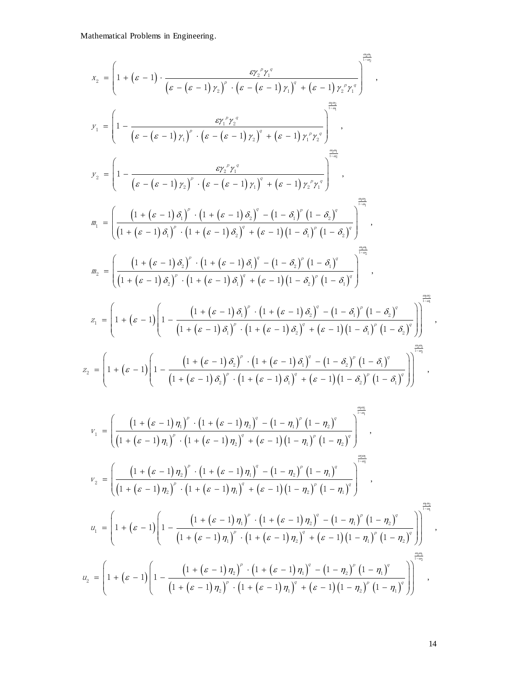$$
x_{2} = \left(1 + (s - 1) \cdot \frac{e^{i\frac{\pi}{2}x_{1}^{n}y_{1}^{n}}{(s - (s - 1) y_{1})^{n} \cdot (s - (s - 1) y_{1})^{n} + (s - 1) y_{2}^{n}y_{1}^{n}}\right)^{\frac{2\pi}{\sqrt{3}}},
$$
\n
$$
y_{1} = \left(1 - \frac{e^{i\frac{\pi}{2}y_{1}^{n}y_{2}^{n}}{(s - (s - 1) y_{1})^{n} \cdot (s - (s - 1) y_{1})^{n} + (s - 1) y_{1}^{n}y_{2}^{n}}\right)^{\frac{2\pi}{\sqrt{3}}},
$$
\n
$$
y_{2} = \left(1 - \frac{e^{i\frac{\pi}{2}y_{2}^{n}y_{2}^{n}}{(s - (s - 1) y_{2})^{n} \cdot (s - (s - 1) y_{1})^{n}y_{2}^{n}}\right)^{\frac{2\pi}{\sqrt{3}}},
$$
\n
$$
z_{3} = \left(\frac{(1 + (s - 1) \delta_{1})^{n} \cdot (1 + (s - 1) \delta_{2})^{n} - (1 - \delta_{1})^{n} (1 - \delta_{3})^{n}}{(1 + (s - 1) \delta_{1})^{n} \cdot (1 + (s - 1) \delta_{2})^{n} + (s - 1) (1 - \delta_{1})^{n} (1 - \delta_{2})^{n}}\right)^{\frac{2\pi}{\sqrt{3}}},
$$
\n
$$
z_{4} = \left(\frac{(1 + (s - 1) \delta_{1})^{n} \cdot (1 + (s - 1) \delta_{1})^{n} + (s - 1) (1 - \delta_{1})^{n} (1 - \delta_{2})^{n}}{(1 + (s - 1) \delta_{1})^{n} \cdot (1 + (s - 1) \delta_{1})^{n} + (s - 1) (1 - \delta_{1})^{n} (1 - \delta_{2})^{n}}\right)^{\frac{2\pi}{\sqrt{3}}},
$$
\n
$$
z_{4} = \left(1 + (s - 1) \left(1 - \frac{(1 + (s - 1) \delta_{1})^{n} \cdot (1 + (s - 1) \delta_{1})^{n} - (1 - \delta_{1})^{n} (1 - \delta_{1})^{n}}{(1 + (s
$$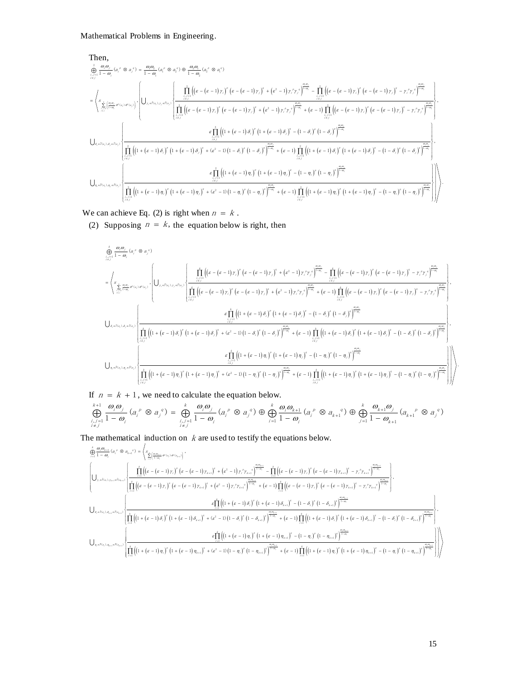Mathematical Problems in Engineering.  
\nThen,  
\n
$$
\frac{\hat{\Theta}_{\substack{i=1 \\ j \neq j}}^{n} (n - \hat{\theta})}{{(n - \hat{\theta})}^{n} (n^{n} \otimes a_{j}^{n})} = \frac{a_{1}a_{2}}{1 - a_{1}}(a_{i}^{n} \otimes a_{i}^{n}) \otimes \frac{a_{2}a_{1}}{1 - a_{2}}(a_{i}^{n} \otimes a_{i}^{n}) \otimes \frac{a_{1}a_{2}}{1 - a_{2}}(a_{i}^{n} \otimes a_{i}^{n})}
$$
\n
$$
= \left\langle s_{\frac{\sum_{i=1}^{k} {a_{i}a_{i}} \otimes a_{i} \otimes a_{i} \otimes a_{i}}{1 - a_{i}} \right\rangle \cdot \left| \left( U_{r,\varepsilon^{j}(x_{0}),r_{\varepsilon}^{j}(x_{0})} \right) \cdot \left( U_{r,\varepsilon^{j}(x_{0}),r_{\varepsilon}^{j}(x_{0})} \right) \cdot \left( U_{r,\varepsilon^{j}(x_{0}),r_{\varepsilon^{j}(x_{0})}} \right) \cdot \left( U_{r,\varepsilon^{j}(x_{0}),r_{\varepsilon^{j}(x_{0})}} \right) \cdot \left( U_{r,\varepsilon^{j}(x_{0}),r_{\varepsilon^{j}(x_{0})}} \right) \cdot \left( U_{r,\varepsilon^{j}(x_{0}),r_{\varepsilon^{j}(x_{0})}} \right) \cdot \left( U_{r,\varepsilon^{j}(x_{0}),r_{\varepsilon^{j}(x_{0})}} \right) \cdot \left( \frac{\prod_{i=1}^{n} \left( \left( \varepsilon - (\varepsilon - 1) r_{i} \right)^{n} \left( \varepsilon - (\varepsilon - 1) r_{i} \right)^{n} + \left( \varepsilon^{2} - 1 \right) r_{i}^{n} r_{i}^{n} \right)^{\frac{\alpha_{\alpha_{\alpha}}}{1 - \alpha_{\alpha}}}} + (\varepsilon - 1) \prod_{i=1 \atop i \neq j}^{n} \left( \left( \varepsilon - (\varepsilon - 1) r_{i} \right)^{n} - \left( \varepsilon - 1 \right) r_{i} \right)^{n} \cdot \left( \varepsilon - (\varepsilon - 1) r_{i} \right)^{\frac{\alpha_{\alpha_{\alpha
$$

We can achieve Eq. (2) is right when  $n = k$ .

(2) Supposing  $n = k$ , the equation below is right, then

2) Suppose 
$$
\inf_{B_{1}(a,b,c_{1},a_{2})} P(x)
$$
  
\n2) Suppose  $\lim_{\theta \to 0} \frac{1}{\theta}$  for  $a_{1} \in \mathbb{R}$  and  $a_{2} \in \mathbb{R}$  for  $a_{3} \in \mathbb{R}$  for  $a_{4} \in \mathbb{R}$  for  $a_{5} \in \mathbb{R}$  for  $a_{6} \in \mathbb{R}$  for  $a_{7} \in \mathbb{R}$  for  $a_{8} \in \mathbb{R}$  for  $a_{9} \in \mathbb{R}$  for  $a_{1} \in \mathbb{R}$  for  $a_{1} \in \mathbb{R}$  for  $a_{1} \in \mathbb{R}$  for  $a_{1} \in \mathbb{R}$  for  $a_{1} \in \mathbb{R}$  for  $a_{1} \in \mathbb{R}$  for  $a_{1} \in \mathbb{R}$  for  $a_{1} \in \mathbb{R}$  for  $a_{1} \in \mathbb{R}$  for  $a_{1} \in \mathbb{R}$  for  $a_{1} \in \mathbb{R}$  for  $a_{1} \in \mathbb{R}$  for  $a_{1} \in \mathbb{R}$  for  $a_{1} \in \mathbb{R}$  for  $a_{1} \in \mathbb{R}$  for  $a_{1} \in \mathbb{R}$  for  $a_{1} \in \mathbb{R}$  for  $a_{1} \in \mathbb{R}$  for  $a_{1} \in \mathbb{R}$  for  $a_{1} \in \mathbb{R}$  for  $a_{1} \in \mathbb{R}$  for  $a_{1} \in \mathbb{R}$  for  $a_{1} \in \mathbb{R}$  for  $a_{1} \in \mathbb{R}$  for  $a_{1} \in \mathbb{R}$  for  $a_{1} \in \mathbb{R}$  for  $a_{1} \in \mathbb{R}$  for  $a_{1} \in \mathbb{R}$  for  $a_{1} \in \mathbb{R}$  for  $a_{1} \in \mathbb{R}$  for  $a_{1} \in \mathbb{R}$  for  $a_{1} \in \mathbb{R}$  for  $a_{1} \in \mathbb$ 

If  $n = k + 1$ , we need to calculate the equation below.

$$
\begin{split}\n\text{If } n &= k + 1, \text{ we need to calculate the equation below.} \\
\bigoplus_{i,j=1}^{k+1} \frac{\omega_i \omega_j}{1-\omega_i} (a_i^p \otimes a_{i+1}^q) = \bigoplus_{i,j=1}^k \frac{\omega_i \omega_{i+1}}{1-\omega_i} (a_i^p \otimes a_{i+1}^q) = \bigoplus_{i,j=1}^{k+1} \frac{\omega_i \omega_{i+1}}{1-\omega_i} (a_i^p \otimes a_{i+1}^q) \\
\text{If } n = k + 1, \text{ we need to calculate the equation below.} \\
\bigoplus_{i,j=1}^{k+1} \frac{\omega_i \omega_j}{1-\omega_i} (a_i^p \otimes a_j^q) = \bigoplus_{i,j=1}^k \frac{\omega_i \omega_j}{1-\omega_i} (a_i^p \otimes a_j^q) \oplus \bigoplus_{i=1}^k \frac{\omega_i \omega_{k+1}}{1-\omega_i} (a_i^p \otimes a_{k+1}^q) \oplus \bigoplus_{j=1}^k \frac{\omega_{k+1} \omega_j}{1-\omega_{k+1}} (a_{k+1}^p \otimes a_j^q) \\
\text{The mathematical induction on } k \text{ are used to testify the equations below.} \\
\bigoplus_{i=1}^k \frac{\omega_i \omega_{k+1}}{1-\omega_i} (a_i^p \otimes a_{i+1}^q) = \bigg(\sum_{i=1}^k \left[\frac{\omega_i \omega_{i+1}}{1-\omega_i} (a_i^p \otimes a_{i+1}^q) \right]^{n-k+1} \\
\bigoplus_{i=1}^k \frac{\omega_i \omega_{i+1}}{1-\omega_i} (a_i^p \otimes a_{i+1}^q) = \bigg(\sum_{i=1}^k \left[\frac{\omega_i \omega_{i+1}}{1-\omega_i} (a_i^p \otimes a_{i+1}^q) \right]^{n-k+1} \\
\bigoplus_{i=1}^k \frac{\omega_i \omega_{i+1}}{1-\omega_i} (a_i^p \otimes a_{i+1}^q) = \bigg(\sum_{i=1}^k \left[\frac{\omega_i \omega_{i+1}}{1-\omega_i} (a_i^p \otimes a_{i+1}^q) \right]^{n-k+1} \\
\bigoplus_{i=1}^k \frac{\omega_i \omega_{i+1}}{1-\omega_i} (
$$

$$
\iint_{\substack{i,j=1 \ i\neq j}} \frac{1}{1-\omega_{i}} \langle d_{i} \otimes d_{j} \rangle = \iint_{\substack{i,j=1 \ i\neq j}} \frac{1}{1-\omega_{i}} \langle d_{i} \otimes d_{j} \rangle \otimes \underbrace{\bigoplus_{i=1}^{n} \frac{1}{1-\omega_{i}} \langle d_{i} \otimes d_{k+1} \rangle \otimes \bigoplus_{j=1}^{n} \frac{1}{1-\omega_{k+1}} \langle d_{k+1} \otimes d_{j} \rangle}
$$
\nthe mathematical induction on  $k$  are used to testify the equations below.  
\n
$$
\oint_{\substack{m=1 \ n \neq j}}^{\Phi_{m}(n)} \frac{\int_{\substack{m=1 \ n \neq j}}^{\Phi_{m}(n)} \left\{ \prod_{j=1}^{i} \left[ (s-(\varepsilon-1)\gamma_{i})^{e} (s-(\varepsilon-1)\gamma_{k+1})^{e} + (s^{2}-1)\gamma_{i}^{e}\gamma_{k+1}^{e}\right] \frac{a_{m+1}}{1-a_{m}} - \prod_{j=1}^{i} \left[ (s-(\varepsilon-1)\gamma_{i})^{e} (s-(\varepsilon-1)\gamma_{k+1})^{e} - \gamma_{i}^{e}\gamma_{k+1}^{e}\right] \frac{a_{m+1}}{1-a_{m}} \right\}}{\left[ \prod_{j=1}^{i} \left( (s-(\varepsilon-1)\gamma_{j})^{e} (s-(\varepsilon-1)\gamma_{k+1})^{e} + (s^{2}-1)\gamma_{i}^{e}\gamma_{k+1}^{e}\right] \frac{a_{m+1}}{1-a_{m}} - \prod_{j=1}^{i} \left[ (s-(\varepsilon-1)\gamma_{j})^{e} (s-(\varepsilon-1)\gamma_{k+1})^{e} - \gamma_{i}^{e}\gamma_{k+1}^{e}\right] \frac{a_{m+1}}{1-a_{m}} \right]}{1-a_{m}}.
$$
\n
$$
\bigcup_{\substack{n \neq i\alpha_{j},\alpha_{i},\alpha_{i} \neq i_{\alpha_{i},i}}^{\Phi_{m}(n_{i},\alpha_{i},\alpha_{i})}^{\Phi_{m}(n_{i},\alpha_{i})}^{\Phi_{m}(n_{i},\alpha_{i})}^{\Phi_{m}(n_{i},\alpha_{i})}^{\Phi_{m}(n_{i},
$$

.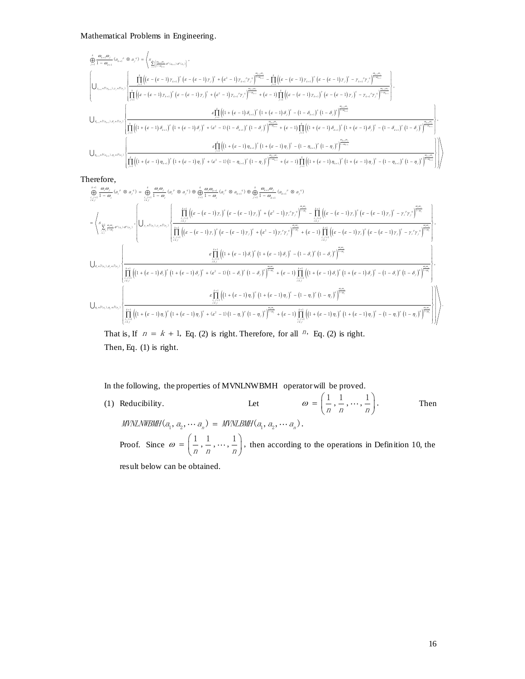$$
\begin{array}{l} \left\| \mathcal{L}_{1-\omega_{k+1}} \left( \partial_{\theta_{k+1}} \otimes \partial_{\beta} \right) \right\| = \left\langle \mathcal{L}_{\frac{2}{2\pi \left(\left( \alpha_{k+1} \right)^2 \left( \theta_{k+1} \right)^2 \left( \theta_{k+1} \right)^2 \left( \theta_{k+1} \right)^2 \right)^2}, \\ \left[ \left( \bigcup_{\gamma_{s+1} \in I_{\{0_{s+1} \right\}, \gamma_{s} \neq \{0\}} } \left| \mathcal{L}_{\gamma_{s+1} \left( \left( \epsilon - \left( \epsilon - 1 \right) \gamma_{s+1} \right)^2 \left( \epsilon - \left( \epsilon - 1 \right) \gamma_{s+1} \right)^2 \left( \epsilon - \left( \epsilon - 1 \right) \gamma_{s+1} \right)^2 \left( \epsilon - \left( \epsilon - 1 \right) \gamma_{s+1} \right)^2 \left( \epsilon - \left( \epsilon - 1 \right) \gamma_{s+1} \right)^2 \left( \epsilon - \left( \epsilon - 1 \right) \gamma_{s+1} \right)^2 \left( \epsilon - \left( \epsilon - 1 \right) \gamma_{s+1} \right)^2 \left( \epsilon - \left( \epsilon - 1 \right) \gamma_{s+1} \right)^2 \left( \epsilon - \left( \epsilon - 1 \right) \gamma_{s+1} \right)^2 \left( \epsilon - \left( \epsilon - 1 \right) \gamma_{s+1} \right)^2 \left( \epsilon - \left( \epsilon - 1 \right) \gamma_{s+1} \right)^2 \left( \epsilon - \left( \epsilon - 1 \right) \gamma_{s+1} \right)^2 \left( \epsilon - \left( \epsilon - 1 \right) \gamma_{s+1} \right)^2 \left( \epsilon - \left( \epsilon - 1 \right) \gamma_{s+1} \right)^2 \left( \epsilon - \left( \epsilon - 1 \right) \gamma_{s+1} \right)^2 \left( \epsilon - \left( \epsilon - 1 \right) \gamma_{s+1} \right)^2 \left( \epsilon - \left( \epsilon - 1 \right) \gamma_{s+1} \right)^2 \left( \epsilon - \left( \epsilon - 1 \right) \gamma_{s+1} \right)^2 \left( \epsilon - \left( \epsilon - 1 \right) \gamma_{s+1} \right)^2 \left( \epsilon - \left( \epsilon - 1 \right) \gamma_{s+1} \
$$

Therefore,

$$
\begin{split} &\left. \bigcup_{\substack{i=1 \\ i \neq j}} \frac{1}{\left( \prod_{i=1}^k \left( \left(1 + \left(\varepsilon-1 \right) \eta_{i+1} \right)^\varepsilon \left( 1 + \left(\varepsilon-1 \right) \eta_{j} \right)^\varepsilon + \left(\varepsilon^2-1 \right) \left( 1 - \eta_{i+1} \right)^\varepsilon \left( 1 - \eta_{j} \right)^\varepsilon \right) \right) \right) \right) \\ & \left. \bigoplus_{\substack{i=1 \\ i \neq j}} \frac{1}{\left( \prod_{i=1}^k \left( \eta_{i} \left( \varepsilon-1 \right) \eta_{i+1} \right)^\varepsilon \left( 1 + \left(\varepsilon-1 \right) \eta_{j} \right)^\varepsilon + \left(\varepsilon^2-1 \right) \left( 1 - \eta_{i+1} \right)^\varepsilon \left( 1 - \eta_{j} \right)^\varepsilon \right) \right) \right) \\ & = \left\langle \bigoplus_{\substack{i=1 \\ i \neq j}} \frac{1}{\eta_{i} \eta_{i}} \frac{\partial \rho_{i}}{\partial \eta_{i}} \otimes \partial_{\eta_{j}} \right\rangle = \left\langle \bigoplus_{\substack{i=1 \\ i \neq j}} \frac{1}{\left( \left( \varepsilon-1 \right) \eta_{i} \right)^\varepsilon \left( \varepsilon-1 \right) \eta_{j} \right)^\varepsilon + \left( \varepsilon^2-1 \right) \eta_{j} \right)^\varepsilon + \left( \varepsilon^2-1 \right) \eta_{j} \eta_{j} \eta_{j} \right) \right) \\ & = \left\langle \bigoplus_{\substack{i=1 \\ i \neq j}} \frac{1}{\eta_{i} \eta_{i}} \frac{\partial \rho_{i}}{\partial \eta_{i}} \partial \eta_{i}} \right\rangle = \left\langle \bigoplus_{\substack{i=1 \\ i \neq j}} \frac{1}{\left( \left( \varepsilon-1 \right) \eta_{i} \right)^\varepsilon \left( \varepsilon-1 \right) \eta_{j} \right)^\varepsilon \left( \varepsilon-1 \right) \eta_{j} \right)^\varepsilon + \left( \varepsilon^2-1 \right) \eta_{j} \eta_{j} \eta_{j} \right) \right\rangle \\ & = \left\langle
$$

That is, If  $n = k + 1$ , Eq. (2) is right. Therefore, for all  $n = \text{Eq. (2)}$  is right. Then, Eq. (1) is right.

In the following, the properties of MVNLNWBMH operator will be proved.

(1) Reducibility. Let  $\omega = \left(\frac{1}{n}, \frac{1}{n}, \cdots, \frac{1}{n}\right).$  $= \left( \frac{1}{n}, \frac{1}{n}, \cdots, \frac{1}{n} \right).$ Then 1 2 1 2 ( , , ) ( , , ). <sup>n</sup> <sup>n</sup> MVNLNWBMH <sup>a</sup> <sup>a</sup> <sup>a</sup> MVNLBMH <sup>a</sup> <sup>a</sup> <sup>a</sup> Proof. Since  $\omega = \left(\frac{1}{n}, \frac{1}{n}, \dots, \frac{1}{n}\right)$ ,  $t = \left(\frac{1}{n}, \frac{1}{n}, \cdots, \frac{1}{n}\right)$ , then according to the operations in Definition 10, the

result below can be obtained.

.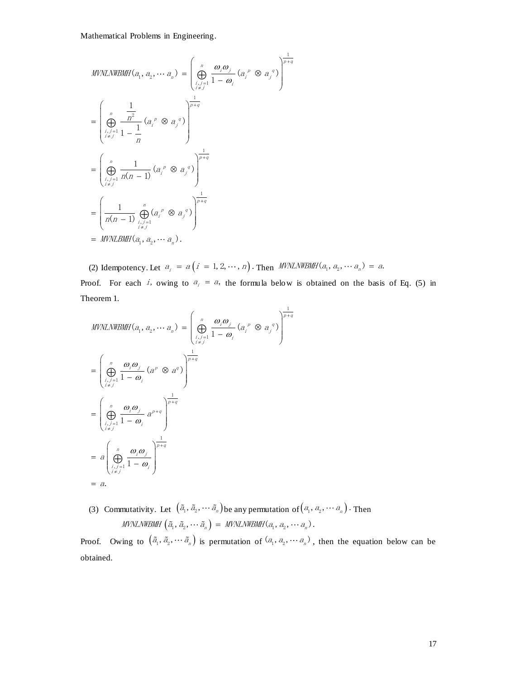$$
MVNLNWBMI(a_1, a_2, \cdots a_n) = \left(\bigoplus_{\substack{i,j=1 \ i \neq j}}^n \frac{\omega_i \omega_j}{1 - \omega_i} (a_i^p \otimes a_j^q) \right)^{\frac{1}{p+q}}
$$
  
\n
$$
= \left(\bigoplus_{\substack{i,j=1 \ i \neq j}}^n \frac{1}{1 - \frac{1}{n}} (a_i^p \otimes a_j^q) \right)^{\frac{1}{p+q}}
$$
  
\n
$$
= \left(\bigoplus_{\substack{i,j=1 \ i \neq j}}^n \frac{1}{n(n-1)} (a_i^p \otimes a_j^q) \right)^{\frac{1}{p+q}}
$$
  
\n
$$
= \left(\bigoplus_{\substack{i,j=1 \ i \neq j}}^n \frac{1}{n(n-1)} (a_i^p \otimes a_j^q) \right)^{\frac{1}{p+q}}
$$
  
\n
$$
= MUNLBMH(a_1, a_2, \cdots a_n).
$$

(2) Idempotency. Let  $a_i = a(i = 1, 2, \cdots, n)$ . Then  $MWMNWBMH(a_1, a_2, \cdots a_n) = a$ . Proof. For each i, owing to  $a_i = a$ , the formula below is obtained on the basis of Eq. (5) in Theorem 1.

$$
MVNLNWBMH(a_1, a_2, \cdots a_n) = \left(\bigoplus_{\substack{i,j=1 \ i \neq j}}^n \frac{\omega_i \omega_j}{1 - \omega_i} (a_i^p \otimes a_j^q) \right)^{\frac{1}{p+q}}
$$
  
\n
$$
= \left(\bigoplus_{\substack{i,j=1 \ i \neq j}}^n \frac{\omega_i \omega_j}{1 - \omega_i} (a^p \otimes a^q) \right)^{\frac{1}{p+q}}
$$
  
\n
$$
= \left(\bigoplus_{\substack{i,j=1 \ i \neq j}}^n \frac{\omega_i \omega_j}{1 - \omega_i} a^{p+q} \right)^{\frac{1}{p+q}}
$$
  
\n
$$
= a \left(\bigoplus_{\substack{i,j=1 \ i \neq j}}^n \frac{\omega_i \omega_j}{1 - \omega_i} \right)^{\frac{1}{p+q}}
$$
  
\n
$$
= a \left(\bigoplus_{\substack{i,j=1 \ i \neq j}}^n \frac{\omega_i \omega_j}{1 - \omega_i} \right)^{\frac{1}{p+q}}
$$
  
\n
$$
= a.
$$

(3) Commutativity. Let  $(\tilde{a}_1, \tilde{a}_2, \cdots, \tilde{a}_n)$  be any permutation of  $(a_1, a_2, \cdots, a_n)$ . Then  $\textit{MVNLNWBMH} \left( \tilde{a}_{1}, \tilde{a}_{2}, \cdots \tilde{a}_{n} \right) = \textit{MVNLNWBMH}(a_{1}, a_{2}, \cdots a_{n}).$ 

Proof. Owing to  $(\tilde{a}_1, \tilde{a}_2, \cdots, \tilde{a}_n)$  is permutation of  $(a_1, a_2, \cdots, a_n)$ , then the equation below can be obtained.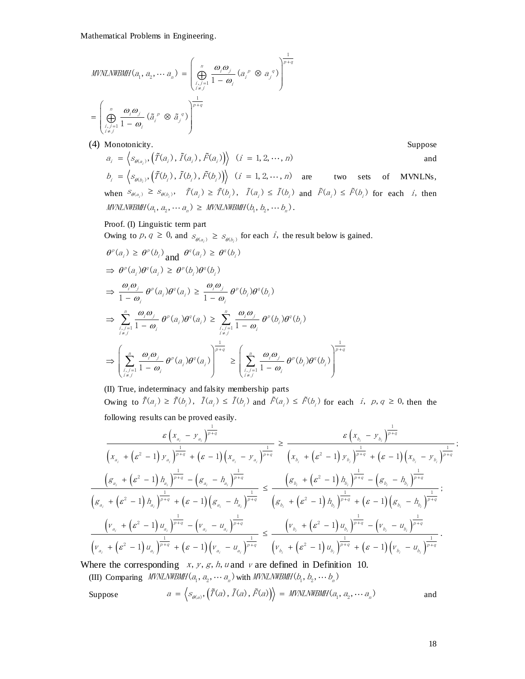$$
MVNLNWBMH(a_1, a_2, \cdots a_n) = \left(\bigoplus_{\substack{i,j=1 \ i \neq j}}^n \frac{\omega_i \omega_j}{1 - \omega_i} (a_i^p \otimes a_j^q) \right)^{\frac{1}{p+q}}
$$

$$
= \left(\bigoplus_{\substack{i,j=1 \ i \neq j}}^n \frac{\omega_i \omega_j}{1 - \omega_i} (\tilde{a}_i^p \otimes \tilde{a}_j^q) \right)^{\frac{1}{p+q}}
$$

(4) Monotonicity. Suppose

l.

Monotonicity.  
\n
$$
a_{i} = \left\langle s_{\theta(a_{i})}, \left(\tilde{T}(a_{i}), \tilde{T}(a_{i}), \tilde{F}(a_{i})\right) \right\rangle \quad (i = 1, 2, \dots, n)
$$
\nand\n
$$
b_{i} = \left\langle s_{\theta(b_{i})}, \left(\tilde{T}(b_{i}), \tilde{T}(b_{i}), \tilde{F}(b_{i})\right) \right\rangle \quad (i = 1, 2, \dots, n)
$$
\nare two sets of MVMLNs,  
\nwhen  $s_{\theta(a_{i})} \geq s_{\theta(b_{i})}, \quad \tilde{T}(a_{i}) \geq \tilde{T}(b_{i}), \quad \tilde{T}(a_{i}) \leq \tilde{T}(b_{i})$  and  $\tilde{F}(a_{i}) \leq \tilde{F}(b_{i})$  for each *i*, then  
\nMVMLNMBMH $(a_{1}, a_{2}, \dots, a_{n}) \geq MNNLNWBWH$  $(b_{1}, b_{2}, \dots, b_{n})$ .

## Proof. (I) Linguistic term part

Owing to p,  $q \ge 0$ , and  $s_{\theta(a_i)} \ge s_{\theta(b_i)}$  for each i, the result below is gained.

$$
\theta^{\rho}(a_i) \geq \theta^{\rho}(b_i) \text{ and } \theta^{\sigma}(a_i) \geq \theta^{\sigma}(b_i)
$$
\n
$$
\Rightarrow \theta^{\rho}(a_i)\theta^{\sigma}(a_i) \geq \theta^{\rho}(b_i)\theta^{\sigma}(b_i)
$$
\n
$$
\Rightarrow \frac{\omega_i \omega_j}{1 - \omega_i} \theta^{\rho}(a_i)\theta^{\sigma}(a_i) \geq \frac{\omega_i \omega_j}{1 - \omega_i} \theta^{\rho}(b_i)\theta^{\sigma}(b_i)
$$
\n
$$
\Rightarrow \sum_{\substack{i,j=1 \ i \neq j}}^{n} \frac{\omega_i \omega_j}{1 - \omega_i} \theta^{\rho}(a_i)\theta^{\sigma}(a_i) \geq \sum_{\substack{i,j=1 \ i \neq j}}^{n} \frac{\omega_i \omega_j}{1 - \omega_i} \theta^{\rho}(b_i)\theta^{\sigma}(b_i)
$$
\n
$$
\Rightarrow \left(\sum_{\substack{i,j=1 \ i \neq j}}^{n} \frac{\omega_i \omega_j}{1 - \omega_i} \theta^{\rho}(a_i)\theta^{\sigma}(a_i)\right)^{\frac{1}{p+q}} \geq \left(\sum_{\substack{i,j=1 \ i \neq j}}^{n} \frac{\omega_i \omega_j}{1 - \omega_i} \theta^{\rho}(b_i)\theta^{\sigma}(b_i)\right)^{\frac{1}{p+q}}
$$

(II) True, indeterminacy and falsity membership parts Owing to  $\tilde{T}(a_i) \ge \tilde{T}(b_i)$ ,  $\tilde{T}(a_i) \le \tilde{T}(b_i)$  and  $\tilde{F}(a_i) \le \tilde{F}(b_i)$  for each *i*,  $p, q \ge 0$ , then the following results can be proved easily. following results can be proved easily.  $\geq \tilde{T}(b_i)$ ,  $\tilde{T}(a_i) \leq \tilde{T}(b_i)$  and  $\tilde{F}(a_i) \leq \tilde{F}(b_i)$  for each  $i, p, q \geq 0$ , the<br>can be proved easily.<br> $\frac{\varepsilon (x_{a_i} - y_{a_i})^{\frac{1}{p+q}}}{\varepsilon (x_{b_i} - y_{b_i})^{\frac{1}{p+q}}}$ 

following results can be proved easily.  
\n
$$
\frac{\varepsilon (x_{a_i} - y_{a_i})^{\frac{1}{p+q}}}{(x_{a_i} + (\varepsilon^2 - 1) y_{a_i})^{\frac{1}{p+q}} + (\varepsilon - 1) (x_{a_i} - y_{a_i})^{\frac{1}{p+q}}} \ge \frac{\varepsilon (x_{b_i} - y_{b_i})^{\frac{1}{p+q}}}{(x_{b_i} + (\varepsilon^2 - 1) y_{b_i})^{\frac{1}{p+q}} + (\varepsilon - 1) (x_{b_i} - y_{b_i})^{\frac{1}{p+q}}};
$$
\n
$$
\frac{(\varepsilon a_i + (\varepsilon^2 - 1) h_{a_i})^{\frac{1}{p+q}} - (\varepsilon a_i - h_{a_i})^{\frac{1}{p+q}}}{(\varepsilon a_i + (\varepsilon^2 - 1) h_{a_i})^{\frac{1}{p+q}} + (\varepsilon - 1) (\varepsilon a_i - h_{a_i})^{\frac{1}{p+q}}} \le \frac{(\varepsilon b_i + (\varepsilon^2 - 1) h_{b_i})^{\frac{1}{p+q}} - (\varepsilon b_i - h_{b_i})^{\frac{1}{p+q}}}{(\varepsilon b_i + (\varepsilon^2 - 1) h_{b_i})^{\frac{1}{p+q}} + (\varepsilon - 1) (\varepsilon b_i - h_{b_i})^{\frac{1}{p+q}}};
$$
\n
$$
\frac{(\nu_{a_i} + (\varepsilon^2 - 1) u_{a_i})^{\frac{1}{p+q}} - (\nu_{a_i} - u_{a_i})^{\frac{1}{p+q}}}{(\nu_{a_i} + (\varepsilon^2 - 1) u_{b_i})^{\frac{1}{p+q}} + (\varepsilon - 1) (v_{b_i} - u_{b_i})^{\frac{1}{p+q}}}
$$

Where the corresponding  $x, y, g, h, u$  and  $v$  are defined in Definition 10.

(III) Comparing *MVNLNWBMIH*(
$$
a_1, a_2, \cdots a_n
$$
) with *MVNLNWBMIH*( $b_1, b_2, \cdots b_n$ )

(III) Comparing *MVNLNWBMH*(
$$
a_1, a_2, \dots a_n
$$
) with *MVNLNWBMH*( $b_1, b_2, \dots b_n$ )  
\nSuppose  $a = \langle s_{o(a)}, (\tilde{T}(a), \tilde{T}(a), \tilde{F}(a)) \rangle = MVMLNWBMH(a_1, a_2, \dots a_n)$  and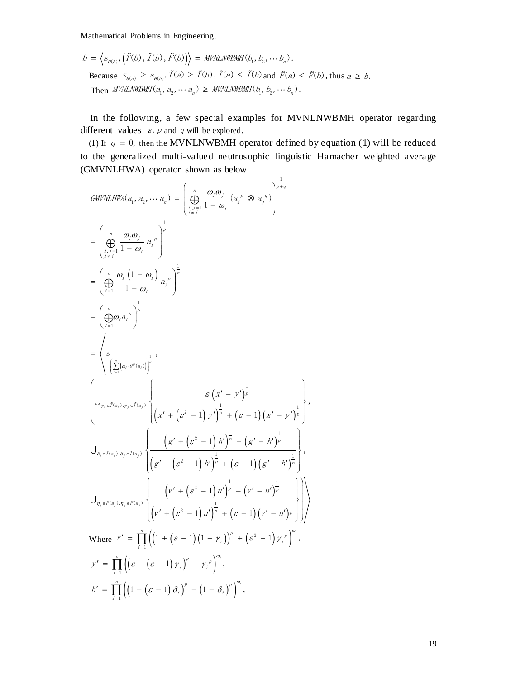Mathematical Problems in Engineering.  
\n
$$
b = \left\langle s_{\theta(b)}, \left(\tilde{T}(b), \tilde{T}(b), \tilde{F}(b)\right) \right\rangle = \text{MVILNWBMH}(b_1, b_2, \cdots b_n).
$$
\nBecause  $s_{\theta(a)} \ge s_{\theta(b)}, \tilde{T}(a) \ge \tilde{T}(b), \tilde{T}(a) \le \tilde{T}(b)$  and  $\tilde{F}(a) \le \tilde{F}(b)$ , thus  $a \ge b$ .  
\nThen *MVILNWBMH*( $a_1, a_2, \cdots a_n$ )  $\geq \text{MVILNWBMH}(b_1, b_2, \cdots b_n)$ .

In the following, a few special examples for MVNLNWBMH operator regarding different values  $\varepsilon$ , p and q will be explored.

(1) If  $q = 0$ , then the MVNLNWBMH operator defined by equation (1) will be reduced to the generalized multi-valued neutrosophic linguistic Hamacher weighted average

Mathematical Problems in Engineering.  
\n
$$
b = \left\langle s_{\sigma(i)}(f(b), \tilde{f}(b), \tilde{F}(b)) \right\rangle = M\sqrt{2} \sqrt{M} \sqrt{M} \left\langle b, b, \cdots, b \right\rangle.
$$
\nBecause  $s_{m(i)} \geq s_{m(i)} f(a) \geq \tilde{f}(b), \tilde{f}(a) \leq \tilde{f}(b), \text{and } \tilde{F}(a) \leq \tilde{F}(b), \text{thus } a \geq b.$   
\nThen *M/\sqrt{M} \sqrt{M} \sqrt{M} \left\langle a\_1, a\_2, \cdots a\_n \right\rangle \geq M\sqrt{M} \sqrt{M} \sqrt{M} \left\langle f, b\_2, \cdots b\_n \right\rangle.  
\nIn the following, a few special examples for MVMLNWBMH operator regarding  
\ndifferent values  $\varepsilon$ ,  $\rho$  and  $\phi$  will be coplored.  
\n(1) If  $\rho = 0$ , then the MVMLNNWBH H operator defined by equation (1) will be reduced  
\n(GMVNLHWA) operator shown as below.  
\n
$$
G M N \sqrt{L} H W A(a_1, a_2, \cdots a_n) = \left( \frac{\rho}{\rho} \frac{\omega}{\rho} \frac{\rho}{\rho} \right)^{\frac{1}{\rho - \varepsilon}}
$$
\n
$$
= \left( \frac{\rho}{\rho} \frac{\omega}{\rho} \frac{\rho}{1 - \omega} \frac{\rho}{a_1} \right)^{\frac{1}{\rho}}
$$
\n
$$
= \left( \frac{\rho}{\rho} \frac{\omega}{\rho} \frac{\rho}{1 - \omega} \frac{\rho}{a_1} \right)^{\frac{1}{\rho}}
$$
\n
$$
= \left( \frac{\rho}{\rho} \frac{\omega}{\rho} \frac{\rho}{\rho} \frac{\rho}{\rho} \right)^{\frac{1}{\rho}}
$$
\n
$$
= \left( \frac{\rho}{\rho} \frac{\omega}{\rho} \frac{\rho}{\rho} \frac{\rho}{\rho} \right)^{\frac{1}{\rho}}
$$
\n
$$
= \left( \frac{\rho}{\rho} \frac{\omega}{\rho} \frac{\rho}{\rho} \frac{\rho}{\rho} \right)^{\frac{1}{\rho}}
$$
\n
$$
= \left( \frac{\rho}{\rho} \frac{\omega}{\rho} \frac{\rho}{\
$$*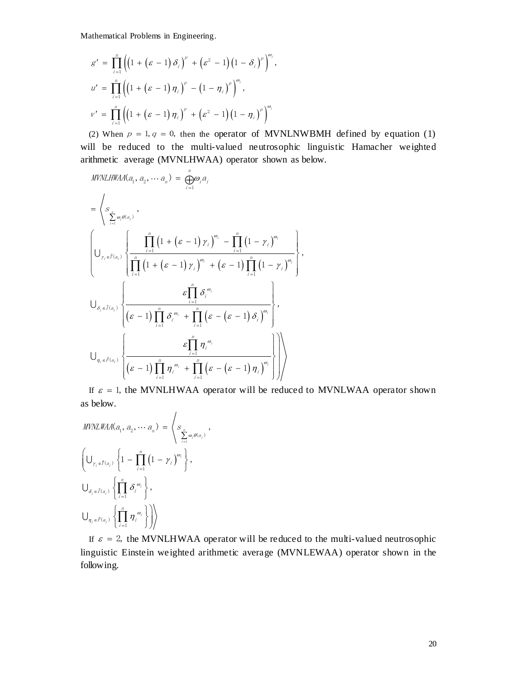$$
g' = \prod_{i=1}^{n} ((1 + (\varepsilon - 1) \delta_i)^p + (\varepsilon^2 - 1) (1 - \delta_i)^p)^{\omega_i},
$$
  
\n
$$
u' = \prod_{i=1}^{n} ((1 + (\varepsilon - 1) \eta_i)^p - (1 - \eta_i)^p)^{\omega_i},
$$
  
\n
$$
v' = \prod_{i=1}^{n} ((1 + (\varepsilon - 1) \eta_i)^p + (\varepsilon^2 - 1) (1 - \eta_i)^p)^{\omega_i}
$$

(2) When  $p = 1, q = 0$ , then the operator of MVNLNWBMH defined by equation (1) will be reduced to the multi-valued neutrosophic linguistic Hamacher weighted

$$
s' = \prod_{i=1}^{n} \left( \left( 1 + (\sigma - 1) \sigma_{i} \right)^{i} + (\sigma^{2} - 1) (1 - \delta_{i})^{i} \right),
$$
\n
$$
u' = \prod_{i=1}^{n} \left( \left( 1 + (\sigma - 1) \sigma_{i} \right)^{i} - (1 - \sigma_{i})^{i} \right)^{i} ,
$$
\n
$$
v' = \prod_{i=1}^{n} \left( \left( 1 + (\sigma - 1) \sigma_{i} \right)^{i} + (\sigma^{2} - 1) (1 - \eta_{i})^{i} \right)^{i} ,
$$
\n(2) When  $p = 1, q = 0$ , then the operator of MVNLNWBMH defined by equation (1) will be reduced to the multi-valued neutrosophic linguistic Hamacher weighted arithmetic average (MVNLHWAA) operator shown as below.\n\nMIVLHWA(a<sub>1</sub>, a<sub>2</sub>,..., a<sub>n</sub>) = 
$$
\oint_{\frac{r}{r-1}}^{\infty} a_{\sigma}
$$
\n
$$
= \begin{cases} s_{\sum_{i=1}^{n} \sigma_{i} \sigma_{i}}^{i} , \\ \frac{r}{r-1} \left( 1 + (\sigma - 1) \gamma_{i} \right)^{i} - \frac{r}{r-1} \left( 1 - \gamma_{i} \right)^{i} , \\ \frac{1}{r^{2}} \left( 1 + (\sigma - 1) \gamma_{i} \right)^{i} + (\sigma - 1) \prod_{i=1}^{n} (1 - \gamma_{i})^{i} , \end{cases}
$$
\n
$$
\bigcup_{\eta_{i} \in \mathcal{U}_{\alpha_{i}}} \left\{ \frac{s \prod_{i=1}^{n} \sigma_{i}^{i}}{(s-1) \prod_{i=1}^{n} \sigma_{i}^{i}} + \prod_{i=1}^{n} (\sigma - (\sigma - 1) \sigma_{i})^{i} , \right\},
$$
\n
$$
\bigcup_{\eta_{i} \in \mathcal{U}_{\alpha_{i}}} \left\{ \frac{s \prod_{i=1}^{n} \sigma_{i}^{i}}{(s-1) \prod_{i=1}^{n} \sigma_{i}^{i}} \right\} \bigg|_{\mathcal{U}_{\eta_{i}} \in \mathcal{U}_{\alpha_{i}}} \right\} = \begin{cases} s_{\frac{1}{r}, \alpha_{i}} & \text{if } \alpha_{
$$

If  $\varepsilon = 1$ , the MVNLHWAA operator will be reduced to MVNLWAA operator shown as below.

$$
MVNLWAA(a_1, a_2, \cdots a_n) = \left\langle S_{\substack{S_n \\ \sum_{i=1}^n \omega_i \theta(a_i)}} \right\rangle,
$$
  

$$
\left(\bigcup_{\gamma_i \in \tilde{T}(a_i)} \left\{1 - \prod_{i=1}^n \left(1 - \gamma_i\right)^{\omega_i}\right\}, \bigcup_{\delta_i \in \tilde{I}(a_i)} \left\{\prod_{i=1}^n \delta_i^{\omega_i}\right\}, \bigcup_{\eta_i \in \tilde{F}(a_i)} \left\{\prod_{i=1}^n \eta_i^{\omega_i}\right\}\right\rangle
$$

If  $\varepsilon = 2$ , the MVNLHWAA operator will be reduced to the multi-valued neutrosophic linguistic Einstein we ighted arithmetic average (MVNLEWAA) operator shown in the following.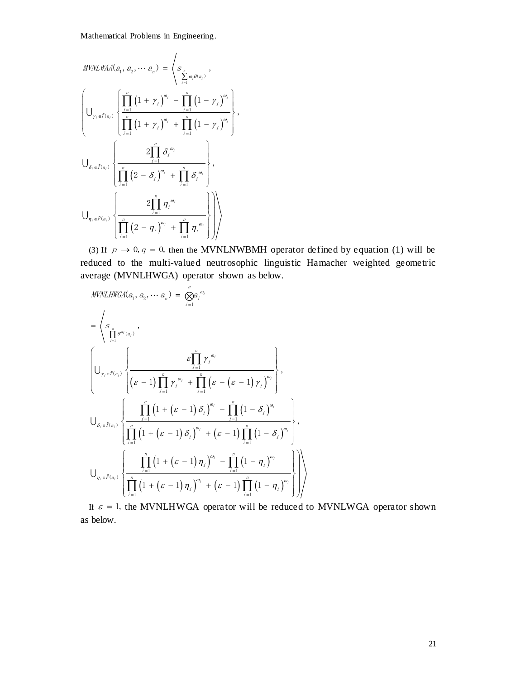$$
MVNLWAA(a_1, a_2, \cdots a_n) = \left\langle s_{\sum_{i=1}^n \omega_i \theta(a_i)}, \right\rangle
$$
  

$$
\left\{ \bigcup_{\gamma_i \in \tilde{T}(a_i)} \left\{ \prod_{\substack{i=1 \ i=1}}^n (1 + \gamma_i)^{\omega_i} - \prod_{\substack{i=1 \ i=1}}^n (1 - \gamma_i)^{\omega_i} \right\} \right\},
$$
  

$$
\bigcup_{\delta_i \in \tilde{I}(a_i)} \left\{ \frac{2 \prod_{i=1}^n \delta_i^{\omega_i}}{\prod_{i=1}^n (2 - \delta_i)^{\omega_i} + \prod_{i=1}^n \delta_i^{\omega_i}} \right\},
$$
  

$$
\bigcup_{\eta_i \in \tilde{F}(a_i)} \left\{ \frac{2 \prod_{i=1}^n \delta_i^{\omega_i}}{\prod_{i=1}^n (2 - \eta_i)^{\omega_i} + \prod_{i=1}^n \delta_i^{\omega_i}} \right\},
$$

(3) If  $p \to 0$ ,  $q = 0$ , then the MVNLNWBMH operator defined by equation (1) will be reduced to the multi-valued neutrosophic linguistic Hamacher weighted geometric

average (MVNLHWGA) operator shown as below.  
\n
$$
MVNLHWGA(a_1, a_2, \cdots a_n) = \bigotimes_{i=1}^{n} a_i^{\omega_i}
$$
\n
$$
= \left\langle s_{\frac{n}{\prod_{i=1}^{n} \theta^{\omega_i}(a_i)}}, \frac{\varepsilon_{\prod_{i=1}^{n} \gamma_i^{\omega_i}}}{\left( \varepsilon - 1 \right) \prod_{i=1}^{n} \gamma_i^{\omega_i} + \prod_{i=1}^{n} \left( \varepsilon - \left( \varepsilon - 1 \right) \gamma_i \right)^{\omega_i}} \right\rangle,
$$
\n
$$
\bigcup_{\delta_i \in \tilde{I}(a_i)} \left\{ \frac{\prod_{i=1}^{n} \left( 1 + \left( \varepsilon - 1 \right) \delta_i \right)^{\omega_i} - \prod_{i=1}^{n} \left( 1 - \delta_i \right)^{\omega_i}}{\prod_{i=1}^{n} \left( 1 + \left( \varepsilon - 1 \right) \delta_i \right)^{\omega_i} + \left( \varepsilon - 1 \right) \prod_{i=1}^{n} \left( 1 - \delta_i \right)^{\omega_i}} \right\},
$$
\n
$$
\bigcup_{\eta_i \in \tilde{F}(a_i)} \left\{ \frac{\prod_{i=1}^{n} \left( 1 + \left( \varepsilon - 1 \right) \eta_i \right)^{\omega_i} - \prod_{i=1}^{n} \left( 1 - \eta_i \right)^{\omega_i}}{\prod_{i=1}^{n} \left( 1 + \left( \varepsilon - 1 \right) \eta_i \right)^{\omega_i} + \left( \varepsilon - 1 \right) \prod_{i=1}^{n} \left( 1 - \eta_i \right)^{\omega_i}} \right\} \right\}
$$

If  $\varepsilon = 1$ , the MVNLHWGA operator will be reduced to MVNLWGA operator shown as below.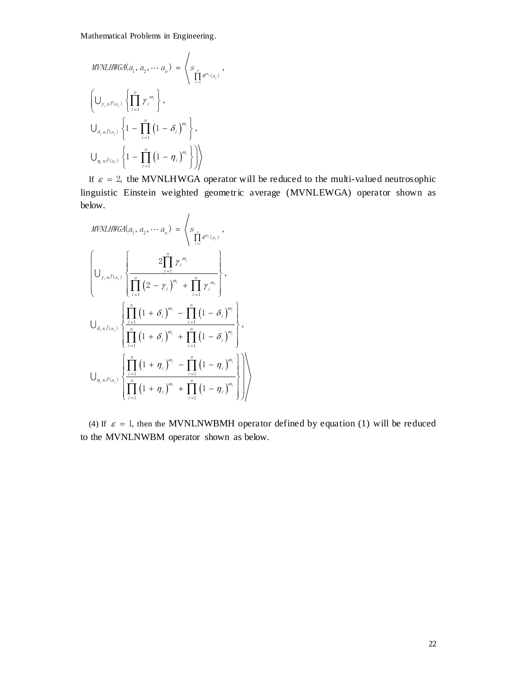$$
MVNLHWGA(a_1, a_2, \cdots a_n) = \left\langle s_{\prod_{i=1}^n \theta^{a_i}(a_i)}, \left\{ \bigcup_{\gamma_i \in \tilde{T}(a_i)} \left\{ \prod_{i=1}^n \gamma_i^{a_i} \right\} \right\}, \right\}
$$
  

$$
\bigcup_{\delta_i \in \tilde{I}(a_i)} \left\{ 1 - \prod_{i=1}^n \left( 1 - \delta_i \right)^{a_i} \right\},
$$
  

$$
\bigcup_{\eta_i \in \tilde{F}(a_i)} \left\{ 1 - \prod_{i=1}^n \left( 1 - \eta_i \right)^{a_i} \right\} \right\}
$$

If  $\varepsilon = 2$ , the MVNLHWGA operator will be reduced to the multi-valued neutrosophic linguistic Einstein weighted geometric average (MVNLEWGA) operator shown as below.

$$
MVMLHWGA(a_1, a_2, \cdots a_n) = \left\langle s_{\prod_{i=1}^n \theta^{a_i}(a_i)}, \frac{\sum_{i=1}^n \gamma_i^{a_i}}{\prod_{i=1}^n (2 - \gamma_i)^{a_i}} \right\rangle,
$$
\n
$$
\bigcup_{\delta_i \in \tilde{I}(a_i)} \left\{ \frac{\prod_{i=1}^n (1 + \delta_i)^{a_i} + \prod_{i=1}^n \gamma_i^{a_i}}{\prod_{i=1}^n (1 + \delta_i)^{a_i}} \right\},
$$
\n
$$
\bigcup_{\delta_i \in \tilde{I}(a_i)} \left\{ \prod_{i=1}^n (1 + \delta_i)^{a_i} + \prod_{i=1}^n (1 - \delta_i)^{a_i} \right\},
$$
\n
$$
\bigcup_{\eta_i \in \tilde{P}(a_i)} \left\{ \prod_{i=1}^n (1 + \eta_i)^{a_i} - \prod_{i=1}^n (1 - \eta_i)^{a_i} \right\} \right\}
$$

(4) If  $\varepsilon = 1$ , then the MVNLNWBMH operator defined by equation (1) will be reduced to the MVNLNWBM operator shown as below.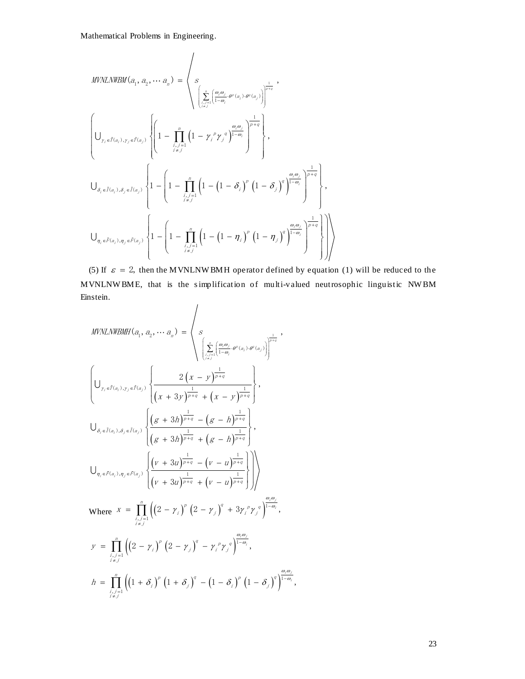$$
\begin{split} &\textit{MVNLMWBM}(a_1, a_2, \cdots a_n) = \left\langle s \\ &\sqrt{\sum_{\substack{i,j=1 \\ i \neq j}}^n \left( \frac{a_j \omega_j}{1-\omega_j} \cdot \partial^{\rho}(a_i) \cdot \partial^{\sigma}(a_j) \right)} \right|^{1-\gamma} \\ &\sqrt{\left( \sum_{\substack{i,j=1 \\ i \neq j}}^n \left( 1 - \sum_{\substack{j,j=1 \\ j \neq j}}^n \left( 1 - \gamma_j^{\rho} \gamma_j^{\sigma} \right)^{1-\omega_j} \right)^{1-\gamma} \right)}, \\ &\sqrt{\sum_{\delta_i \in \tilde{I}(a_i), \delta_j \in \tilde{I}(a_j)} \left\{ 1 - \left( 1 - \prod_{\substack{i,j=1 \\ i \neq j}}^n \left( 1 - \left( 1 - \delta_j \right)^{\rho} \left( 1 - \delta_j \right)^{\gamma} \right)^{1-\omega_j} \right\}, \\ &\sqrt{\sum_{\substack{i,j=1 \\ i \neq j}}^n \left( a_{ij} \right), \delta_j \in \tilde{I}(a_j)} \right\} \left\{ 1 - \left( 1 - \prod_{\substack{i,j=1 \\ i \neq j}}^n \left( 1 - \left( 1 - \eta_j \right)^{\rho} \left( 1 - \eta_j \right)^{\gamma} \right)^{1-\omega_j} \right)^{1-\omega_j} \right\}, \end{split}
$$

(5) If  $\varepsilon = 2$ , then the MVNLNW BMH operator defined by equation (1) will be reduced to the MVNLNW BME, that is the s implification of multi-valued neutrosophic linguistic NWBM Einstein.

$$
\left\{\n\begin{aligned}\nU_{r_{i}z\hat{r}(a_{i}),r_{j}z\hat{r}(a_{j})} & \left\{\n\begin{aligned}\n1 &= \int_{\frac{1}{2}\int_{\frac{1}{2}}^{2}\left(1 - \gamma_{i}^{r_{i}}\gamma_{j}^{u_{j}}\right)^{1-a_{i}}\n\end{aligned}\n\right\} \right\}, \\
U_{\delta_{i}z\hat{r}(a_{i}),\delta_{i}z\hat{r}(a_{j})} & \left\{\n1 - \left(1 - \int_{\frac{1}{2}\int_{\frac{1}{2}}^{2}\left(1 - \left(1 - \delta_{i}\right)^{u}\left(1 - \delta_{j}\right)^{u}\right)^{1-a_{i}}\right)^{\frac{1}{1-a_{i}}}}\n\right\}, \\
U_{\delta_{i}z\hat{r}(a_{i}),\delta_{i}z\hat{r}(a_{j})} & \left\{\n1 - \left(1 - \int_{\frac{1}{2}\int_{\frac{1}{2}}^{2}\left(1 - \left(1 - \eta_{i}\right)^{u}\left(1 - \eta_{j}\right)^{u}\right)^{\frac{1}{1-a_{i}}}}\n\right)^{\frac{1}{1-a_{i}}}\n\right\}, \\
\text{(5) If } \varepsilon = 2, \text{ then the MVNLNW EMH operation of multi-valued by equation (1) will be reduced to theunstine, \\
MIVLMWBMF, that is the simplification of multi-valued neutrosophic linguistic NWBMmstein.\n\n
$$
MIVLMWBMF, (a_{i}, a_{i}, \dots, a_{s}) = \n\left\{\n\begin{aligned}\n\frac{\left(\sum_{j=1}^{s} \left(\frac{a_{i}a_{j}}{1-a_{i}}\right)^{u}\left(1 - \eta_{j}\right)^{u}\right)^{\frac{1}{1-a_{i}}}}\n\cdot\n\end{aligned}\n\right\}, \\
U_{r_{i}z\hat{r}(a_{i}),r_{i}z\hat{r}(a_{i})} & \left\{\n\frac{\left(\varepsilon + 3h\right)^{\frac{1}{2+a_{i}}} + \left(\varepsilon - h\right)^{\frac{1}{1-a_{i}}}}{\left(\varepsilon + 3h\right)^{\frac{1}{2+a_{i}}} + \left(\varepsilon - h\right)^{\frac{1}{1-a_{i}}}}\n\right\}, \\
U_{\delta_{i}z\hat{r}(a_{i}),\delta_{i
$$
$$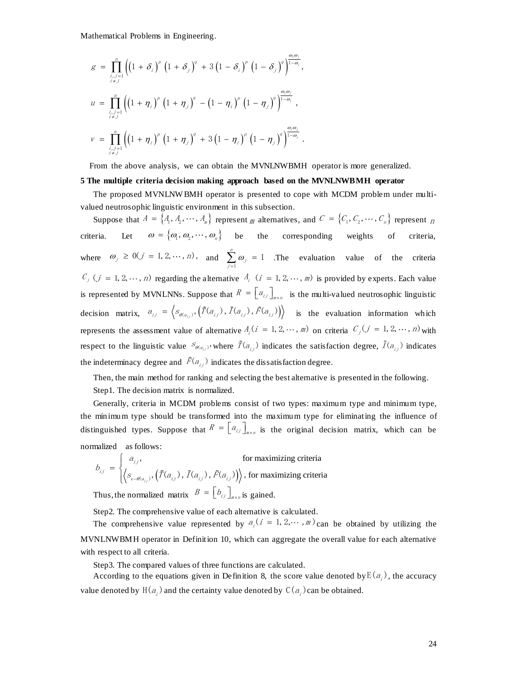$$
g = \prod_{\substack{i,j=1 \ i \neq j}}^{n} \left( \left(1 + \delta_{i}\right)^{p} \left(1 + \delta_{j}\right)^{q} + 3\left(1 - \delta_{i}\right)^{p} \left(1 - \delta_{j}\right)^{q} \right)^{\frac{\omega_{i}\omega_{j}}{1 - \omega_{i}}},
$$
  
\n
$$
u = \prod_{\substack{i,j=1 \ i \neq j}}^{n} \left( \left(1 + \eta_{i}\right)^{p} \left(1 + \eta_{j}\right)^{q} - \left(1 - \eta_{i}\right)^{p} \left(1 - \eta_{j}\right)^{q} \right)^{\frac{\omega_{i}\omega_{j}}{1 - \omega_{i}}},
$$
  
\n
$$
v = \prod_{\substack{i,j=1 \ i \neq j}}^{n} \left( \left(1 + \eta_{i}\right)^{p} \left(1 + \eta_{j}\right)^{q} + 3\left(1 - \eta_{i}\right)^{p} \left(1 - \eta_{j}\right)^{q} \right)^{\frac{\omega_{i}\omega_{j}}{1 - \omega_{i}}},
$$

From the above analysis, we can obtain the MVNLNWBMH operator is more generalized.

#### **5 The multiple criteria decision making approach based on the MVNLNWBMH operator**

The proposed MVNLNW BMH operator is presented to cope with MCDM problem under multivalued neutrosophic linguistic environment in this subsection.

 $\left[ (1+\delta_1) (1+\delta_2) (-\delta_1) (1-\delta_1) (-\delta_1) (1-\delta_2) \right]^{-\infty}$ .<br>  $(1+\eta_1)^2 (1+\eta_2)^2 - (1-\eta_1)^2 (1-\eta_2)^2 (1-\eta_2)^2 \Big]^{-\infty}$ .<br>  $(1+\eta_1)^2 (1+\eta_2)^2 + 3(1-\eta_1)^2 (1-\eta_2)^2 (1-\eta_2)^2 \Big]^{-\infty}$ .<br>
Above analysis, we can obtain the MVMTAWBMH operator is Suppose that  $A = \{A_1, A_2, \dots, A_m\}$  represent m alternatives, and  $C = \{C_1, C_2, \dots, C_n\}$  represent n criteria.  $\omega = {\omega_1, \omega_2, \cdots, \omega_n}$  be the corresponding weights of criteria, where  $\omega_j \ge 0$   $(j = 1, 2, \dots, n)$ , and  $\sum_{i=1}^{n} \omega_i$  $\sum_{j=1}^{\infty} \omega_j =$  $\sum_{i=1}^{n} \omega_i = 1$  $\sum_{j=1}^{\infty} \omega_j = 1$  . The evaluation value of the criteria  $C_j$  ( $j = 1, 2, \dots, n$ ) regarding the alternative  $A_i$  ( $i = 1, 2, \dots, m$ ) is provided by experts. Each value is represented by MVNLNNs. Suppose that  $R = \begin{bmatrix} a_{i,j} \end{bmatrix}_{m \times n}$  is the multi-valued neutrosophic linguistic decision matrix,  $a_{ij} = \langle s_{\theta(a_{ij})}, (\tilde{T}(a_{ij}), \tilde{T}(a_{ij}), \tilde{F}(a_{ij})) \rangle$  is the evaluation information which represents the assessment value of alternative  $A_i$  ( $i = 1, 2, \dots, m$ ) on criteria  $C_j$  ( $j = 1, 2, \dots, n$ ) with respect to the linguistic value  $S_{\theta(a_{i,j})}$ , where  $\tilde{T}(a_{i,j})$  indicates the satisfaction degree,  $\tilde{T}(a_{i,j})$  indicates the indeterminacy degree and  $\tilde{F}(a_{i,j})$  indicates the dissatisfaction degree.

Then, the main method for ranking and selecting the best alternative is presented in the following. Step1. The decision matrix is normalized.

Generally, criteria in MCDM problems consist of two types: maximum type and minimum type, the minimum type should be transformed into the maximum type for eliminating the influence of distinguished types. Suppose that  $R = [a_{ij}]_{m \times n}$  is the original decision matrix, which can be normalized as follows:

$$
b_{ij} = \begin{cases} a_{ij}, & \text{for maximizing criteria} \\ \langle s_{i-\theta(a_{ij})}, (\tilde{T}(a_{ij}), \tilde{T}(a_{ij}), \tilde{F}(a_{ij})) \rangle, & \text{for maximizing criteria} \end{cases}
$$
  
Thus, the normalized matrix  $B = [b_{ij}]_{\text{max}}^{\text{in}}$  is gained.

Step2. The comprehensive value of each alternative is calculated.

The comprehensive value represented by  $a_i$  ( $i = 1, 2, \dots, m$ ) can be obtained by utilizing the MVNLNWBMH operator in Definition 10, which can aggregate the overall value for each alternative with respect to all criteria.

Step3. The compared values of three functions are calculated.

According to the equations given in Definition 8, the score value denoted by  $E(a_i)$ , the accuracy value denoted by  $H(a_i)$  and the certainty value denoted by  $C(a_i)$  can be obtained.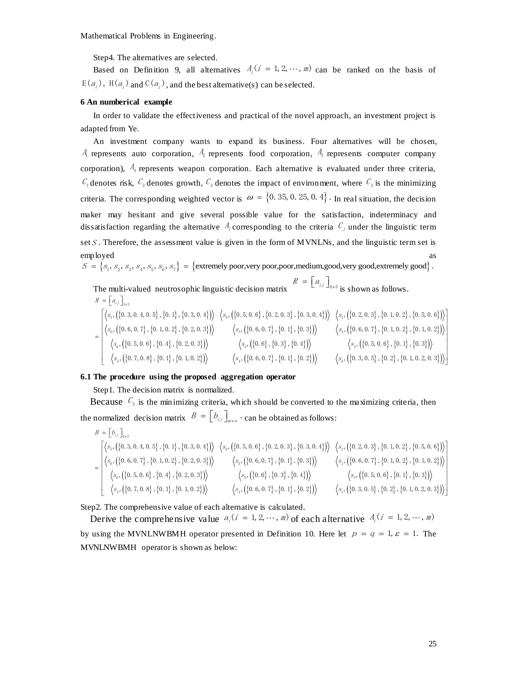Step4. The alternatives are selected.

Based on Definition 9, all alternatives  $A_i$   $(i = 1, 2, \dots, m)$  can be ranked on the basis of  $E(a_i)$ ,  $H(a_i)$  and  $C(a_i)$ , and the best alternative(s) can be selected.

#### **6 An numberical example**

In order to validate the effectiveness and practical of the novel approach, an investment project is adapted from Ye.

An investment company wants to expand its business. Four alternatives will be chosen,  $A_1$  represents auto corporation,  $A_2$  represents food corporation,  $A_3$  represents computer company corporation),  $A_4$  represents weapon corporation. Each alternative is evaluated under three criteria,  $C_1$  denotes risk,  $C_2$  denotes growth,  $C_3$  denotes the impact of environment, where  $C_3$  is the minimizing criteria. The corresponding weighted vector is  $\omega = \{0.35, 0.25, 0.4\}$ . In real situation, the decision maker may hesitant and give several possible value for the satisfaction, indeterminacy and dissatisfaction regarding the alternative  $A_i$  corresponding to the criteria  $C_j$  under the linguistic term set  $S$ . Therefore, the assessment value is given in the form of MVNLNs, and the linguistic term set is employed as a set of the set of the set of the set of the set of the set of the set of the set of the set of the set of the set of the set of the set of the set of the set of the set of the set of the set of the set of the emp loyed<br>  $S = \{s_1, s_2, s_3, s_4, s_5, s_6, s_7\} = \{\text{extremely poor, very poor, medium, good, very good, extremely good}\}.$ 

= { $s_1$ ,  $s_2$ ,  $s_3$ ,  $s_4$ ,  $s_5$ ,  $s_6$ ,  $s_7$ } = {extremely poor,very poor,poor,medium,good,very good,extremely<br>The multi-valued neutrosophic linguistic decision matrix  $R = [a_{ij}]_{4\times3}$  is shown as follows.<br> $R = [a_{ij}]_{4$ mlti-valued neutrosophic linguistic decision matrix  $R = [a_{ij}]_{4 \times 3}$  is shown as follows.<br>  ${a_{ij}}_{4 \times 3}$ ,  $\left(\{0.3, 0.4, 0.5\}, \{0.1\}, \{0.3, 0.4\}\right)$   $\left\langle s_6, \left(\{0.5, 0.6\}, \{0.2, 0.3\}, \{0.3, 0.4\}\right) \right\rangle$   $\left\langle s_5, \left(\{0.2$ multi-valued neutrosophic linguistic decision matrix  $R = [a_{ij}]_{4 \times 3}$  i<br>  $[a_{ij}]_{4 \times 3}$  i<br>  $s_5$ , ({0.3, 0.4, 0.5}, {0.1}, {0.3, 0.4}))  $\langle s_6, (\{0.5, 0.6\}, \{0.2, 0.3\}, \{0.3, 0.4\}) \rangle$   $\langle s_8, (\{0.3, 0.4\}, \{0.4, 0.5\}, \{0.5, 0$  $S_1$ ,  $S_2$ ,  $S_3$ ,  $S_4$ ,  $S_5$ ,  $S_6$ ,<br>e multi-valued neut<br>=  $[a_{ij}]_{4\times3}$ 

 $(\{0.3, 0.4, 0.5\}, \{0.1\}, \{0.3, 0.4\})$   $\langle s_6, (\{0.5, 0.6\}, \{0.2, 0.3\}, \{0.3, 0.4\})$   $\langle s_5, (\{0.2, 0.3\}, \{0.1, 0.2\}, \{0.5, 0.6\})$  $(\{0.6, 0.7\}, \{0.1, 0.2\}, \{0.2, 0.3\})$   $(s_{\rm s}, \{\{0.6, 0.7\}, \{0.1\}, \{0.3\}\})$   $(s_{\rm s}, \{\{0.6, 0.7\}, \{0.1, 0.2\}, \{0.1, 0.2\}\})$  $\{\{0.5, 0.6\}, \{0.4\}, \{0.2, 0.3\}\}\$   $\{S_5, \{\{0.6\}, \{0.3\}, \{0.4\}\}\}$  $\begin{bmatrix} a_{ij} \end{bmatrix}_{4\times 3}$ <br> $\{0.3, 0.4, 0.5\}$ ,  $\{0.1\}$ ,  $\{0.3, 0.4\}$   $\rangle$   $\left\langle s_6, \left( \{0.5, 0.6\}, \{0.2, 0.3\}, \{0.3, 0.4\} \right) \right\rangle$   $\left\langle s_5, \{0.4, 0.5\}, \{0.4, 0.5\}, \{0.4, 0.5\} \right\rangle$  $\langle 5, \{\{0.3, 0.4, 0.5\}, \{0.1\}, \{0.3, 0.4\}\}\rangle \quad \langle s_6, \{\{0.5, 0.6\}, \{0.2, 0.3\}, \{0.3, 0.4\}\}\rangle \quad \langle s_5, \{\{0.6, 0.7\}, \{0.1, 0.2\}, \{0.2, 0.3\}\}\rangle \quad \langle s_6, \{\{0.6, 0.7\}, \{0.1\}, \{0.3\}\}\rangle \quad \langle s_5, \{\{0.6, 0.7\}, \{0.1\}, \{0.3\}\}\rangle \quad \langle s_6,$  $\{\{0.6, 0.7\}, \{0.1, 0.2\}, \{0.2, 0.3\}\}\n\left.\n\begin{array}{c}\n\langle s_{5}, \{\{0.6, 0.7\}, \{0.1\}, \{0.3\}\}\rangle\n\end{array}\n\right.\n\left.\n\begin{array}{c}\n\langle s_{5}, \{\{0.6, 0.7\}, \{0.1\}, \{0.3\}\}\rangle\n\end{array}\n\right.\n\left.\n\begin{array}{c}\n\langle s_{5}, \{\{0.4\}, \{0.2, 0.3\}\}\rangle\n\end{array}\n\right.\n\left.\n\left.\n\begin{array}{c$ **EXECUTE AND ASSOCIATE ARTICAL CONSTITED AND ASSOCIATE ARTLES AND ASSOCIATE ARTLES AND ASSOCIATE ARTLES AND ASSOCIATE ARTLES AND ASSOCIATE ARTLES AND ASSOCIATE ARTLES AND ARTLES AND ARTLES AND ARTLES AND ARTLES AND ARTLES**  $\begin{array}{l} \left\{0.3,0.4,0.5\right\},\left\{0.1\right\},\left\{0.3,0.4\right\}\right) \end{array} \begin{array}{l} \left\langle s_{\rm s},\left(\left\{0.5,0.6\right\},\left\{0.2,0.3\right\},\left\{0.3,0.4\right\}\right)\right\rangle \end{array} \begin{array}{l} \left\langle s_{\rm s},\left(\left\{0.5,0.6\right\},\left\{0.2,0.3\right\},\left\{0.3,0.4\right\}\right)\right\rangle \end{array} \begin{array}{l} \left\langle s_{$ main-valued heurosophic imguistic decision hatrix<br>  $\begin{bmatrix} a_{ij} \end{bmatrix}_{4\times 3}$ <br>  $s_5$ ,  $(\{0.3, 0.4, 0.5\}, \{0.1\}, \{0.3, 0.4\}) \rangle$   $\langle s_6, (\{0.5, 0.6\}, \{0.2, 0.3\}, \{0.3, 0.4\}) \rangle$   $\langle s_5$ <br>  $s_6$ ,  $(\{0.6, 0.7\}, \{0.1, 0.2\}, \{0.2, 0$  $\begin{array}{l} \left\langle \left\langle \left\{ 0,3,0,4,0,5\right\} ,\left\{ 0,1\right\} ,\left\{ 0,3,0,4\right\} \right\rangle \right\rangle \end{array} \left\langle s_{_{6}},\left(\left\{ 0,5,0,6\right\} ,\left\{ 0,2,0,3\right\} ,\left\{ 0,3,0,4\right\} \right\rangle \right\rangle \end{array} \right\rangle \left\langle s_{_{5}},\left(\left\{ 0,4,0,7\right\} ,\left\{ 0,1,0,2\right\} ,\left\{ 0,2,0,3\right\} \right\r$  $=$  $\langle s, (\{0.5, 0.6\}, \{0.4\}, \{0.2, 0.3\}) \rangle$   $\langle s_s, (\{0.6\}, \{0.3\}, \{0.4\}) \rangle$   $\langle s_4, (\{0.5, 0.6\}, \{0.1\}, \{0.3\}) \rangle$ <br>  $\langle s_4, (\{0.7, 0.8\}, \{0.1\}, \{0.1, 0.2\}) \rangle$   $\langle s_4, (\{0.6, 0.7\}, \{0.1\}, \{0.2\}) \rangle$   $\langle s_6, (\{0.3, 0.5\}, \{0.2\}, \{0.1,$  $0.3$ }, { $0.1, 0.2$ }, { $0.5,$ <br> $0.7$ }, { $0.1, 0.2$ }, { $0.1,$ <br> $0.5, 0.6$ }, { $0.1$ }, { $0.3$ }  $s_{s}$ ,  $(\{0.5, 0.6\}, \{0.1\}, \{0.2, 0.3\})$   $\langle s_{s}$ ,  $(\{0.6, 0.7\}, \{0.1, 0.2\}, \{0.1, 0.2\})$   $\langle s_{s}$ ,  $(\{0.5, 0.6\}, \{0.4\}, \{0.2, 0.3\})$   $\langle s_{s}$ ,  $(\{0.6, 0.7\}, \{0.4\}, \{0.2, 0.3\})$   $\langle s_{s}$ ,  $(\{0.6, 0.7\}, \{0.4\})$   $\langle s_{s}$ , e multi-valued neutrosophic linguistic decision matrix  $R = [a_{ij}]_{4 \times 3}$  is shown as follows.<br>=  $[a_{ij}]_{4 \times 3}$ <br> $\left[\langle s_5, (\{0.3, 0.4, 0.5\}, \{0.1\}, \{0.3, 0.4\})\rangle \right] \langle s_6, (\{0.5, 0.6\}, \{0.2, 0.3\}, \{0.3, 0.4\})\rangle \left[\langle s_5, (\{0.2, 0.3$  $\begin{array}{|c|c|c|c|c|c|} \hline \left\langle s_{\scriptscriptstyle{6}}, \left(\{0.6, 0.7\}, \{0.1, 0.2\}, \{0.2, 0.3\}\right)\right\rangle & \left\langle s_{\scriptscriptstyle{5}}, \left(\{0.6, 0.7\}, \{0.1\}, \{0.3\}\right)\right\rangle & \left\langle s_{\scriptscriptstyle{5}}, \left(\{0.6, 0.7\}, \{0.1, 0.2\}, \{0.1, 0.2\}\}\right)\right\rangle \ \hline \left\langle s_{\scriptscriptstyle{6}}, \left(\{0.5, 0.6\}, \{0.4\$ 

## **6.1 The procedure using the proposed aggregation operator**

Step1. The decision matrix is normalized.

Because  $\mathcal{C}_3$  is the minimizing criteria, which should be converted to the maximizing criteria, then the normalized decision matrix  $B = [b_{ij}]_{m \times n}$  can be obtained as follows:<br>  $B = [b_{ij}]_{n \times n}$  $\text{secaus}$ <br>normali<br> $B = \begin{bmatrix} b_{ij} \end{bmatrix}$ cause  $C_3$  is the min<br>rmalized decision m<br>=  $[b_{ij}]_{4\times3}$ 

normalized decision matrix 
$$
B = [b_{ij}]_{m \times n}
$$
 can be obtained as follows:  
\n
$$
B = [b_{ij}]_{n \times 3}
$$
\n
$$
= \begin{bmatrix} \langle s_s, (\{0.3, 0.4, 0.5\}, \{0.1\}, \{0.3, 0.4\}) \rangle & \langle s_e, (\{0.5, 0.6\}, \{0.2, 0.3\}, \{0.3, 0.4\}) \rangle & \langle s_z, (\{0.2, 0.3\}, \{0.1, 0.2\}, \{0.5, 0.6\}) \rangle \\ \langle s_e, (\{0.5, 0.7\}, \{0.1, 0.2\}, \{0.2, 0.3\}) \rangle & \langle s_s, (\{0.6, 0.7\}, \{0.1\}, \{0.3\}) \rangle & \langle s_z, (\{0.6, 0.7\}, \{0.1\}, \{0.3\}) \rangle \\ \langle s_e, (\{0.5, 0.6\}, \{0.4\}, \{0.2, 0.3\}) \rangle & \langle s_s, (\{0.6\}, \{0.3\}, \{0.4\}) \rangle & \langle s_s, (\{0.5, 0.6\}, \{0.1\}, \{0.3\}) \rangle \\ \langle s_4, (\{0.7, 0.8\}, \{0.1\}, \{0.1, 0.2\}) \rangle & \langle s_4, (\{0.6, 0.7\}, \{0.1\}, \{0.2\}) \rangle & \langle s_1, (\{0.3, 0.5\}, \{0.2\}, \{0.1, 0.2, 0.3\}) \rangle \end{bmatrix}
$$

Step2. The comprehensive value of each alternative is calculated.

Derive the comprehensive value  $a_i$  ( $i = 1, 2, \cdots, m$ ) of each alternative  $A_i$  ( $i = 1, 2, \cdots, m$ ) by using the MVNLNWBMH operator presented in Definition 10. Here let  $p = q = 1$ ,  $\varepsilon = 1$ . The MVNLNWBMH operator is shown as below: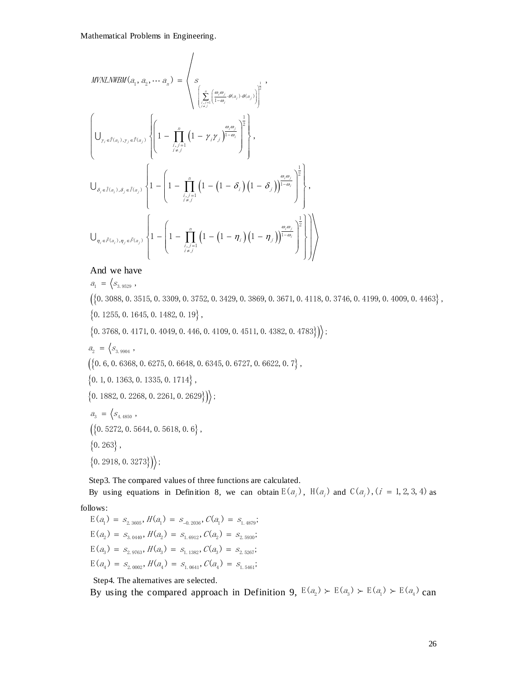*MPMLMBM (a<sub>1</sub>, a<sub>1</sub>, · · · a<sub>n</sub>) = 
$$
\begin{cases}\n\left(\sum_{i,j=1}^{n} \left(\frac{a_i a_j}{1-a_j} a_{i,j} a_{i,j} a_{i,j}\right)\right)^{\frac{1}{2}}, \\
\left(\int_{y_i \in f(x_i), y_i \in f(x_j)}\left\{\left(1 - \prod_{j=1}^{n} \left(1 - \gamma_j y_j\right)^{\frac{n(n}{1-a_j}}\right)^{\frac{1}{2}}\right\}, \\
\int_{\theta_i \in f(x_i), \theta_i \in f(x_i), \theta_i \in f(x_i)}\left\{1 - \left(1 - \prod_{j=1}^{n} \left(1 - \left(1 - \theta_i\right)\left(1 - \theta_j\right)\right)^{\frac{n(n-1)}{1-a_j}}\right)^{\frac{1}{2}}\right\}, \\
\int_{\theta_i \in f(x_i), \theta_i \in f(x_i), \theta_i \in f(x_i)}\left\{1 - \left(1 - \prod_{j=1}^{n} \left(1 - \left(1 - \theta_i\right)\left(1 - \theta_j\right)\right)^{\frac{n(n-1)}{1-a_j}}\right)^{\frac{1}{2}}\right\}\right\},\n\end{cases}
$$
\nAnd we have  
\n $a_i = \left\{\frac{a_i}{2, a_{i, 2m}}$ , 0. 1645, 0. 1482, 0. 19},\n  
\n(10.3088, 0. 3515, 0. 309, 0. 3752, 0. 3429, 0. 3869, 0. 3671, 0. 4118, 0. 3746, 0. 4199, 0. 4009, 0. 4463  
\n(0.3088, 0. 3515, 0. 309, 0. 4752, 0. 3869, 0. 3671, 0. 4118, 0. 3746, 0. 4199, 0. 4009, 0. 4463  
\n(0.3088, 0. 3515, 0. 309, 0. 4752, 0. 3869, 0. 3871, 0. 4118, 0. 3746, 0. 4199, 0. 4009, 0. 446*

$$
a_1 = \langle s_{3.9529} ,
$$

And we have<br>  $a_1 = \langle s_{3.9529} \rangle$ ,<br>
({0.3088,0.3515,0.3309,0.3752,0.3429,0.3869,0.3671,0.4118,0.3746,0.4199,0.4009,0.4463},  $\{0.3088, 0.3515, 0.3309, 0.3752, 0.3429, 0.3869, 0.3671, 0.4118, 0$ <br>0.1255, 0.1645, 0.1482, 0.19},<br>0.3768, 0.4171, 0.4049, 0.446, 0.4109, 0.4511, 0.4382, 0.4783}) $\rangle$ ;

- $\{0.1255, 0.1645, 0.1482, 0.19\}$ ,  $Q_1 = \langle S_{3.9529} \rangle,$ <br>{0.3088, 0.3515, 0.3309, 0.3752<br>0.1255, 0.1645, 0.1482, 0.19}
- $\begin{split} &\left\{0.\ 3768,\ 0.\ 4171,\ 0.\ 4049,\ 0.\ 446,\ 0.\ 4109,\ 0.\ 4511,\ 0.\ 4382,\ 0.\ 4783\right\}\right)_{\!\!a_2} \\ &\left. a_2\ =\ \left\langle s_{_{3.\ 9904}}\ ,\right. \end{split}$

$$
a_{2} = \Big\langle s_{3.9904} \Big\rangle,
$$

- $a_{2} = \langle s_{3.9904} \rangle,$ <br> $(\{0.6, 0.6368, 0.6275, 0.6648, 0.6345, 0.6727, 0.6622, 0.7\},\$  $\left(\left\{0.6, 0.6368, 0.6275, 0.6648, 0.6363, 0.1335, 0.1714\right\},\right)$
- 

 $\{0.1, 0.1363, 0.1335, 0.1714\},\$ <br> $\{0.1882, 0.2268, 0.2261, 0.2629\}\}$ 

$$
a_3 = \langle s_{4.4850} ,
$$
  
\n
$$
\langle \{0.5272, 0.5644, 0.5618, 0.6\},
$$
  
\n
$$
\langle 0.263 \rangle,
$$
  
\n
$$
\langle 0.2918, 0.3273 \rangle \rangle;
$$

Step3. The compared values of three functions are calculated. By using equations in Definition 8, we can obtain  $E(a_i)$ ,  $H(a_i)$  and  $C(a_i)$ ,  $(i = 1, 2, 3, 4)$  as

follows:

lows:<br>E( $a_1$ ) =  $s_{2.3605}$ ,  $H(a_1) = s_{0.2036}$ ,  $C(a_1) = s_{1.4879}$ ;  $E(a_2) = S_{3.0440}, H(a_2) = S_{1.6912}, C(a_2) = S_{2.5930};$  $E(a_3) = S_{2.9763}, H(a_3) = S_{1.1382}, C(a_3) = S_{2.5267}$  $E(a_4) = S_{2.0002}, H(a_4) = S_{1.0641}, C(a_4) = S_{1.5461};$ 

Step4. The alternatives are selected.

Step4. The alternatives are selected.<br>By using the compared approach in Definition 9,  $E(a_2) \succ E(a_3) \succ E(a_1) \succ E(a_4)$  can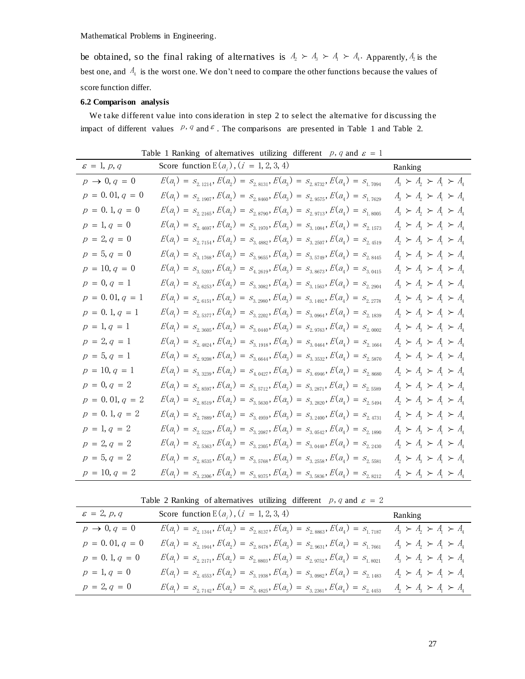be obtained, so the final raking of alternatives is  $A_2 \succ A_3 \succ A_1 \succ A_4$ . Apparently,  $A_2$  is the best one, and  $A_4$  is the worst one. We don't need to compare the other functions because the values of score function differ.

## **6.2 Comparison analysis**

We take different value into cons ideration in step 2 to select the alternative for discussing the impact of different values  $p, q$  and  $\epsilon$ . The comparisons are presented in Table 1 and Table 2.

| $\varepsilon = 1,\, p,\, q$ | Score function $E(a_i)$ , $(i = 1, 2, 3, 4)$                                         | Ranking                             |
|-----------------------------|--------------------------------------------------------------------------------------|-------------------------------------|
| $p \rightarrow 0, q = 0$    | $E(a_1) = S_{2.1214}, E(a_2) = S_{2.8131}, E(a_3) = S_{2.8732}, E(a_4) = S_{1.7094}$ | $A_3 \succ A_2 \succ A_1 \succ A_4$ |
| $p = 0.01, q = 0$           | $E(a_1) = S_{2,1907}, E(a_2) = S_{2,8460}, E(a_3) = S_{2,9575}, E(a_4) = S_{1,7629}$ | $A_3 \succ A_2 \succ A_1 \succ A_4$ |
| $p = 0.1, q = 0$            | $E(a_1) = S_{2.2165}, E(a_2) = S_{2.8790}, E(a_3) = S_{2.9713}, E(a_4) = S_{1.8005}$ | $A_3 \succ A_2 \succ A_1 \succ A_4$ |
| $p = 1, q = 0$              | $E(a_1) = S_{2.4697}, E(a_2) = S_{3.1970}, E(a_3) = S_{3.1084}, E(a_4) = S_{2.1573}$ | $A_2 \succ A_3 \succ A_1 \succ A_4$ |
| $p = 2, q = 0$              | $E(a_1) = S_{2.7154}, E(a_2) = S_{3.4882}, E(a_3) = S_{3.2507}, E(a_4) = S_{2.4519}$ | $A_2 \succ A_3 \succ A_1 \succ A_4$ |
| $p = 5, q = 0$              | $E(a_1) = S_{3.1768}, E(a_2) = S_{3.9655}, E(a_3) = S_{3.5749}, E(a_4) = S_{2.8445}$ | $A_2 \succ A_3 \succ A_1 \succ A_4$ |
| $p = 10, q = 0$             | $E(a_1) = S_{3.5203}, E(a_2) = S_{4.2619}, E(a_3) = S_{3.8673}, E(a_4) = S_{3.0415}$ | $A_2 \succ A_3 \succ A_1 \succ A_4$ |
| $p = 0, q = 1$              | $E(a_1) = S_{2.6253}, E(a_2) = S_{3.3082}, E(a_3) = S_{3.1563}, E(a_4) = S_{2.2904}$ | $A_3 \succ A_2 \succ A_1 \succ A_4$ |
| $p = 0.01, q = 1$           | $E(a_1) = S_{2.6151}, E(a_2) = S_{3.2980}, E(a_3) = S_{3.1492}, E(a_4) = S_{2.2778}$ | $A_2 \succ A_3 \succ A_1 \succ A_4$ |
| $p = 0.1, q = 1$            | $E(a_1) = S_{2.5377}, E(a_2) = S_{3.2202}, E(a_3) = S_{3.0964}, E(a_4) = S_{2.1839}$ | $A_2 \succ A_3 \succ A_1 \succ A_4$ |
| $p = 1, q = 1$              | $E(a_1) = S_{2.3605}, E(a_2) = S_{3.0440}, E(a_3) = S_{2.9763}, E(a_4) = S_{2.0002}$ | $A_2 \succ A_3 \succ A_1 \succ A_4$ |
| $p = 2, q = 1$              | $E(a_1) = S_{2.4824}, E(a_2) = S_{3.1918}, E(a_3) = S_{3.0464}, E(a_4) = S_{2.1664}$ | $A_2 \succ A_3 \succ A_1 \succ A_4$ |
| $p = 5, q = 1$              | $E(a_1) = S_{2.9208}, E(a_2) = S_{3.6644}, E(a_3) = S_{3.3532}, E(a_4) = S_{2.5870}$ | $A_2 \succ A_3 \succ A_1 \succ A_4$ |
| $p = 10, q = 1$             | $E(a_1) = S_{3.3239}, E(a_2) = S_{4.0427}, E(a_3) = S_{3.6946}, E(a_4) = S_{2.8680}$ | $A_2 \succ A_3 \succ A_1 \succ A_4$ |
| $p = 0, q = 2$              | $E(a_1) = S_{2.8597}, E(a_2) = S_{3.5712}, E(a_3) = S_{3.2871}, E(a_4) = S_{2.5589}$ | $A_2 \succ A_3 \succ A_1 \succ A_4$ |
| $p = 0.01, q = 2$           | $E(a_1) = S_{2.8519}, E(a_2) = S_{3.5630}, E(a_3) = S_{3.2820}, E(a_4) = S_{2.5494}$ | $A_2 \succ A_3 \succ A_1 \succ A_4$ |
| $p = 0.1, q = 2$            | $E(a_1) = S_{2.7889}, E(a_2) = S_{3.4959}, E(a_3) = S_{3.2400}, E(a_4) = S_{2.4731}$ | $A_2 \succ A_3 \succ A_1 \succ A_4$ |
| $p = 1, q = 2$              | $E(a_1) = S_{2.5228}, E(a_2) = S_{3.2087}, E(a_3) = S_{3.0542}, E(a_4) = S_{2.1890}$ | $A_2 \succ A_3 \succ A_1 \succ A_4$ |
| $p = 2, q = 2$              | $E(a_1) = S_{2.5363}, E(a_2) = S_{3.2305}, E(a_3) = S_{3.0440}, E(a_4) = S_{2.2430}$ | $A_2 \succ A_3 \succ A_1 \succ A_4$ |
| $p = 5, q = 2$              | $E(a_1) = S_{2.8535}, E(a_2) = S_{3.5768}, E(a_3) = S_{3.2558}, E(a_4) = S_{2.5581}$ | $A_2 \succ A_3 \succ A_1 \succ A_4$ |
| $p = 10, q = 2$             | $E(a_1) = S_{3.2306}, E(a_2) = S_{3.9375}, E(a_3) = S_{3.5836}, E(a_4) = S_{2.8212}$ | $A_2 \succ A_3 \succ A_1 \succ A_4$ |

Table 1 Ranking of alternatives utilizing different p, q and  $\varepsilon = 1$ 

Table 2 Ranking of alternatives utilizing different p, q and  $\varepsilon = 2$ 

| $\varepsilon = 2, p, q$  | Score function $E(a_i)$ , $(i = 1, 2, 3, 4)$                                         | Ranking                             |
|--------------------------|--------------------------------------------------------------------------------------|-------------------------------------|
| $p \rightarrow 0, q = 0$ | $E(a_1) = S_{2.1344}, E(a_2) = S_{2.8137}, E(a_3) = S_{2.8863}, E(a_4) = S_{1.7187}$ | $A_3 \succ A_2 \succ A_1 \succ A_4$ |
| $p = 0.01, q = 0$        | $E(a_1) = S_{2.1944}, E(a_2) = S_{2.8478}, E(a_3) = S_{2.9631}, E(a_4) = S_{1.7661}$ | $A_3 \succ A_2 \succ A_1 \succ A_4$ |
| $p = 0.1, q = 0$         | $E(a_1) = S_{2,2171}, E(a_2) = S_{2,8803}, E(a_3) = S_{2,9752}, E(a_4) = S_{1,8021}$ | $A_3 \succ A_2 \succ A_1 \succ A_4$ |
| $p = 1, q = 0$           | $E(a_1) = S_{2.4553}, E(a_2) = S_{3.1938}, E(a_3) = S_{3.0982}, E(a_4) = S_{2.1483}$ | $A_2 \succ A_3 \succ A_1 \succ A_4$ |
| $p = 2, q = 0$           | $E(a_1) = S_{2.7142}, E(a_2) = S_{3.4825}, E(a_3) = S_{3.2361}, E(a_4) = S_{2.4453}$ | $A_2 \succ A_3 \succ A_1 \succ A_4$ |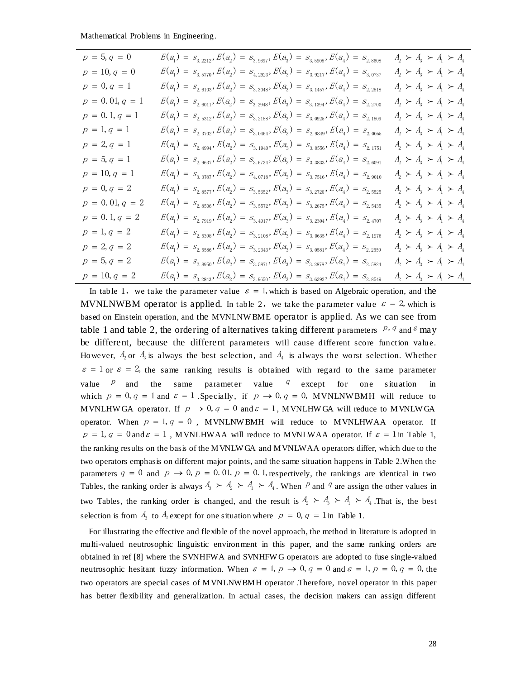| Mathematical Problems in Engineering. |                                                                                                                                                                                                                                                                                                                                                                                                                                                                                                                                                                                                                                                                                                                                                                                                                                                                                                                                                                                                                                                                                                                                                                                                                                                                                                                                                                                                                                                                                                                                                                                                                                                                                                                                                                                                                                                                                                                                                                                                                                                                                                                                                            |                                     |
|---------------------------------------|------------------------------------------------------------------------------------------------------------------------------------------------------------------------------------------------------------------------------------------------------------------------------------------------------------------------------------------------------------------------------------------------------------------------------------------------------------------------------------------------------------------------------------------------------------------------------------------------------------------------------------------------------------------------------------------------------------------------------------------------------------------------------------------------------------------------------------------------------------------------------------------------------------------------------------------------------------------------------------------------------------------------------------------------------------------------------------------------------------------------------------------------------------------------------------------------------------------------------------------------------------------------------------------------------------------------------------------------------------------------------------------------------------------------------------------------------------------------------------------------------------------------------------------------------------------------------------------------------------------------------------------------------------------------------------------------------------------------------------------------------------------------------------------------------------------------------------------------------------------------------------------------------------------------------------------------------------------------------------------------------------------------------------------------------------------------------------------------------------------------------------------------------------|-------------------------------------|
| $p = 5, q = 0$                        | $E(a_1) = S_{3,2212}, E(a_2) = S_{3,9697}, E(a_3) = S_{3,5908}, E(a_4) = S_{2,8608}$                                                                                                                                                                                                                                                                                                                                                                                                                                                                                                                                                                                                                                                                                                                                                                                                                                                                                                                                                                                                                                                                                                                                                                                                                                                                                                                                                                                                                                                                                                                                                                                                                                                                                                                                                                                                                                                                                                                                                                                                                                                                       | $A_2 \succ A_3 \succ A_1 \succ A_4$ |
| $p = 10, q = 0$                       | $E(a_1) = S_{3.5770}, E(a_2) = S_{4.2923}, E(a_3) = S_{3.9217}, E(a_4) = S_{3.0737}$                                                                                                                                                                                                                                                                                                                                                                                                                                                                                                                                                                                                                                                                                                                                                                                                                                                                                                                                                                                                                                                                                                                                                                                                                                                                                                                                                                                                                                                                                                                                                                                                                                                                                                                                                                                                                                                                                                                                                                                                                                                                       | $A_2 \succ A_3 \succ A_1 \succ A_4$ |
| $p = 0, q = 1$                        | $E(a_1) = S_{2.6103}, E(a_2) = S_{3.3048}, E(a_3) = S_{3.1457}, E(a_4) = S_{2.2818}$                                                                                                                                                                                                                                                                                                                                                                                                                                                                                                                                                                                                                                                                                                                                                                                                                                                                                                                                                                                                                                                                                                                                                                                                                                                                                                                                                                                                                                                                                                                                                                                                                                                                                                                                                                                                                                                                                                                                                                                                                                                                       | $A_2 \succ A_3 \succ A_1 \succ A_4$ |
| $p = 0.01, q = 1$                     | $E(a_1) = S_{2.6011}, E(a_2) = S_{3.2948}, E(a_3) = S_{3.1394}, E(a_4) = S_{2.2700}$                                                                                                                                                                                                                                                                                                                                                                                                                                                                                                                                                                                                                                                                                                                                                                                                                                                                                                                                                                                                                                                                                                                                                                                                                                                                                                                                                                                                                                                                                                                                                                                                                                                                                                                                                                                                                                                                                                                                                                                                                                                                       | $A_2 \succ A_3 \succ A_1 \succ A_4$ |
| $p = 0.1, q = 1$                      | $E(a_1) = S_{2.5312}, E(a_2) = S_{3.2188}, E(a_3) = S_{3.0925}, E(a_4) = S_{2.1809}$                                                                                                                                                                                                                                                                                                                                                                                                                                                                                                                                                                                                                                                                                                                                                                                                                                                                                                                                                                                                                                                                                                                                                                                                                                                                                                                                                                                                                                                                                                                                                                                                                                                                                                                                                                                                                                                                                                                                                                                                                                                                       | $A_2 \succ A_3 \succ A_1 \succ A_4$ |
| $p = 1, q = 1$                        | $E(a_1) = S_{2.3702}, E(a_2) = S_{3.0464}, E(a_3) = S_{2.9849}, E(a_4) = S_{2.0055}$                                                                                                                                                                                                                                                                                                                                                                                                                                                                                                                                                                                                                                                                                                                                                                                                                                                                                                                                                                                                                                                                                                                                                                                                                                                                                                                                                                                                                                                                                                                                                                                                                                                                                                                                                                                                                                                                                                                                                                                                                                                                       | $A_2 \succ A_3 \succ A_1 \succ A_4$ |
| $p = 2, q = 1$                        | $E(a_1) = S_{2,4994}, E(a_2) = S_{3,1940}, E(a_3) = S_{3,0556}, E(a_4) = S_{2,1751}$                                                                                                                                                                                                                                                                                                                                                                                                                                                                                                                                                                                                                                                                                                                                                                                                                                                                                                                                                                                                                                                                                                                                                                                                                                                                                                                                                                                                                                                                                                                                                                                                                                                                                                                                                                                                                                                                                                                                                                                                                                                                       | $A_2 \succ A_3 \succ A_1 \succ A_4$ |
| $p = 5, q = 1$                        | $E(a_1) = S_{2.9637}, E(a_2) = S_{3.6734}, E(a_3) = S_{3.3833}, E(a_4) = S_{2.6091}$                                                                                                                                                                                                                                                                                                                                                                                                                                                                                                                                                                                                                                                                                                                                                                                                                                                                                                                                                                                                                                                                                                                                                                                                                                                                                                                                                                                                                                                                                                                                                                                                                                                                                                                                                                                                                                                                                                                                                                                                                                                                       | $A_2 \succ A_3 \succ A_1 \succ A_4$ |
| $p = 10, q = 1$                       | $E(a_1) = S_{3.3787}, E(a_2) = S_{4.0718}, E(a_3) = S_{3.7516}, E(a_4) = S_{2.9010}$                                                                                                                                                                                                                                                                                                                                                                                                                                                                                                                                                                                                                                                                                                                                                                                                                                                                                                                                                                                                                                                                                                                                                                                                                                                                                                                                                                                                                                                                                                                                                                                                                                                                                                                                                                                                                                                                                                                                                                                                                                                                       | $A_2 \succ A_3 \succ A_1 \succ A_4$ |
| $p = 0, q = 2$                        | $E(a_1) = S_{2.8577}, E(a_2) = S_{3.5652}, E(a_3) = S_{3.2720}, E(a_4) = S_{2.5525}$                                                                                                                                                                                                                                                                                                                                                                                                                                                                                                                                                                                                                                                                                                                                                                                                                                                                                                                                                                                                                                                                                                                                                                                                                                                                                                                                                                                                                                                                                                                                                                                                                                                                                                                                                                                                                                                                                                                                                                                                                                                                       | $A_2 \succ A_3 \succ A_1 \succ A_4$ |
| $p = 0.01, q = 2$                     | $E(a_1) = S_{2.8506}, E(a_2) = S_{3.5572}, E(a_3) = S_{3.2675}, E(a_4) = S_{2.5435}$                                                                                                                                                                                                                                                                                                                                                                                                                                                                                                                                                                                                                                                                                                                                                                                                                                                                                                                                                                                                                                                                                                                                                                                                                                                                                                                                                                                                                                                                                                                                                                                                                                                                                                                                                                                                                                                                                                                                                                                                                                                                       | $A_2 \succ A_3 \succ A_1 \succ A_4$ |
| $p = 0.1, q = 2$                      | $E(a_1) = S_{2.7919}, E(a_2) = S_{3.4917}, E(a_3) = S_{3.2304}, E(a_4) = S_{2.4707}$                                                                                                                                                                                                                                                                                                                                                                                                                                                                                                                                                                                                                                                                                                                                                                                                                                                                                                                                                                                                                                                                                                                                                                                                                                                                                                                                                                                                                                                                                                                                                                                                                                                                                                                                                                                                                                                                                                                                                                                                                                                                       | $A_2 \succ A_3 \succ A_1 \succ A_4$ |
| $p = 1, q = 2$                        | $E(a_1) = S_{2.5398}, E(a_2) = S_{3.2108}, E(a_3) = S_{3.0635}, E(a_4) = S_{2.1976}$                                                                                                                                                                                                                                                                                                                                                                                                                                                                                                                                                                                                                                                                                                                                                                                                                                                                                                                                                                                                                                                                                                                                                                                                                                                                                                                                                                                                                                                                                                                                                                                                                                                                                                                                                                                                                                                                                                                                                                                                                                                                       | $A_2 \succ A_3 \succ A_1 \succ A_4$ |
| $p = 2, q = 2$                        | $E(a_1) = S_{2.5586}, E(a_2) = S_{3.2343}, E(a_3) = S_{3.0581}, E(a_4) = S_{2.2559}$                                                                                                                                                                                                                                                                                                                                                                                                                                                                                                                                                                                                                                                                                                                                                                                                                                                                                                                                                                                                                                                                                                                                                                                                                                                                                                                                                                                                                                                                                                                                                                                                                                                                                                                                                                                                                                                                                                                                                                                                                                                                       | $A_2 \succ A_3 \succ A_1 \succ A_4$ |
| $p = 5, q = 2$                        | $E(a_1) = S_{2.8950}, E(a_2) = S_{3.5871}, E(a_3) = S_{3.2878}, E(a_4) = S_{2.5824}$                                                                                                                                                                                                                                                                                                                                                                                                                                                                                                                                                                                                                                                                                                                                                                                                                                                                                                                                                                                                                                                                                                                                                                                                                                                                                                                                                                                                                                                                                                                                                                                                                                                                                                                                                                                                                                                                                                                                                                                                                                                                       | $A_2 \succ A_3 \succ A_1 \succ A_4$ |
| $p = 10, q = 2$                       | $E(a_1) = S_{3.2843}, E(a_2) = S_{3.9650}, E(a_3) = S_{3.6392}, E(a_4) = S_{2.8549}$                                                                                                                                                                                                                                                                                                                                                                                                                                                                                                                                                                                                                                                                                                                                                                                                                                                                                                                                                                                                                                                                                                                                                                                                                                                                                                                                                                                                                                                                                                                                                                                                                                                                                                                                                                                                                                                                                                                                                                                                                                                                       | $A_2 \succ A_3 \succ A_1 \succ A_4$ |
| value<br>$\overline{p}$<br>and<br>the | be different, because the different parameters will cause different score function value.<br>However, $A_2$ or $A_3$ is always the best selection, and $A_4$ is always the worst selection. Whether<br>$\varepsilon = 1$ or $\varepsilon = 2$ , the same ranking results is obtained with regard to the same parameter<br>parameter value $q$ except for<br>same<br>one<br>which $p = 0$ , $q = 1$ and $\varepsilon = 1$ . Specially, if $p \to 0$ , $q = 0$ , MVNLNWBMH will reduce to<br>MVNLHWGA operator. If $p \to 0$ , $q = 0$ and $\varepsilon = 1$ , MVNLHWGA will reduce to MVNLWGA<br>operator. When $p = 1, q = 0$ , MVNLNWBMH will reduce to MVNLHWAA operator. If<br>$p = 1, q = 0$ and $\varepsilon = 1$ , MVNLHWAA will reduce to MVNLWAA operator. If $\varepsilon = 1$ in Table 1,<br>the ranking results on the basis of the MVNLWGA and MVNLWAA operators differ, which due to the<br>two operators emphasis on different major points, and the same situation happens in Table 2. When the<br>parameters $q = 0$ and $p \rightarrow 0$ , $p = 0.01$ , $p = 0.1$ , respectively, the rankings are identical in two<br>Tables, the ranking order is always $A_3 \succ A_2 \succ A_1 \succ A_4$ . When P and P are assign the other values in<br>two Tables, the ranking order is changed, and the result is $A_2 \succ A_3 \succ A_1 \succ A_4$ . That is, the best<br>selection is from $A_3$ to $A_2$ except for one situation where $p = 0$ , $q = 1$ in Table 1.<br>For illustrating the effective and flexible of the novel approach, the method in literature is adopted in<br>multi-valued neutrosophic linguistic environment in this paper, and the same ranking orders are<br>obtained in ref [8] where the SVNHFWA and SVNHFWG operators are adopted to fuse single-valued<br>neutrosophic hesitant fuzzy information. When $\varepsilon = 1$ , $p \to 0$ , $q = 0$ and $\varepsilon = 1$ , $p = 0$ , $q = 0$ , the<br>two operators are special cases of MVNLNWBMH operator .Therefore, novel operator in this paper<br>has better flexibility and generalization. In actual cases, the decision makers can assign different | s itu at ion<br>in                  |
|                                       |                                                                                                                                                                                                                                                                                                                                                                                                                                                                                                                                                                                                                                                                                                                                                                                                                                                                                                                                                                                                                                                                                                                                                                                                                                                                                                                                                                                                                                                                                                                                                                                                                                                                                                                                                                                                                                                                                                                                                                                                                                                                                                                                                            | 28                                  |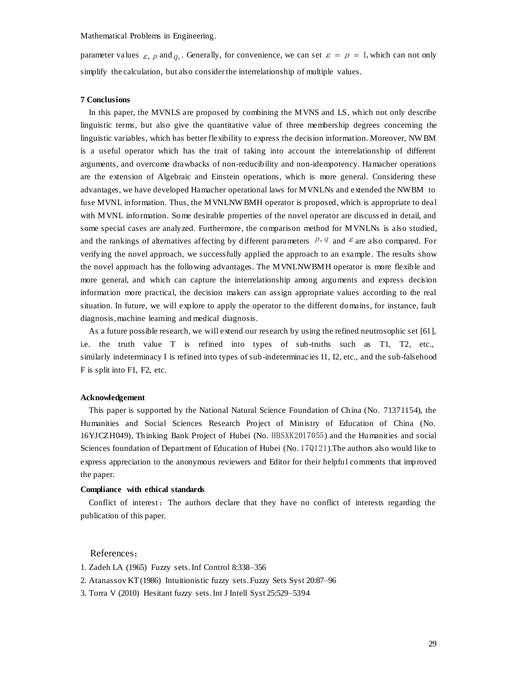parameter values  $\varepsilon$ , p and q. Generally, for convenience, we can set  $\varepsilon = p = 1$ , which can not only simplify the calculation, but also considerthe interrelationship of multiple values.

#### **7 Conclusions**

In this paper, the MVNLS are proposed by combining the MVNS and LS, which not only describe linguistic terms, but also give the quantitative value of three membership degrees concerning the linguistic variables, which has better flexibility to express the decision information. Moreover, NW BM is a useful operator which has the trait of taking into account the interrelationship of different arguments, and overcome drawbacks of non-reducibility and non-idempotency. Hamacher operations are the extension of Algebraic and Einstein operations, which is more general. Considering these advantages, we have developed Hamacher operational laws for MVNLNs and extended the NWBM to fuse MVNL information. Thus, the MVNLNW BMH operator is proposed, which is appropriate to deal with MVNL information. Some desirable properties of the novel operator are discuss ed in detail, and some special cases are analyzed. Furthermore, the comparison method for MVNLNs is also studied, and the rankings of alternatives affecting by different parameters  $p, q$  and  $\epsilon$  are also compared. For verifying the novel approach, we successfully applied the approach to an example. The results show the novel approach has the following advantages. The MVNLNWBMH operator is more flexible and more general, and which can capture the interrelationship among arguments and express decision information more practical, the decision makers can assign appropriate values according to the real situation. In future, we will explore to apply the operator to the different domains, for instance, fault diagnosis, machine learning and medical diagnosis.

As a future possible research, we will extend our research by using the refined neutrosophic set [61], i.e. the truth value T is refined into types of sub-truths such as T1, T2, etc., similarly indeterminacy I is refined into types of sub-indeterminacies I1, I2, etc., and the sub-falsehood F is split into F1, F2, etc.

#### **Acknowledgement**

This paper is supported by the National Natural Science Foundation of China (No. 71371154), the Humanities and Social Sciences Research Project of Ministry of Education of China (No. 16YJCZH049), Thinking Bank Project of Hubei (No. HBSXK2017055) and the Humanities and social Sciences foundation of Department of Education of Hubei (No. 17Q121).The authors also would like to express appreciation to the anonymous reviewers and Editor for their helpful comments that improved the paper.

#### **Compliance with ethical standards**

Conflict of interest: The authors declare that they have no conflict of interests regarding the publication of this paper.

## References:

- 1. Zadeh LA (1965) Fuzzy sets. Inf Control 8:338–356
- 2. Atanassov KT (1986) Intuitionistic fuzzy sets. Fuzzy Sets Syst 20:87–96
- 3. Torra V (2010) Hesitant fuzzy sets. Int J Intell Syst 25:529–5394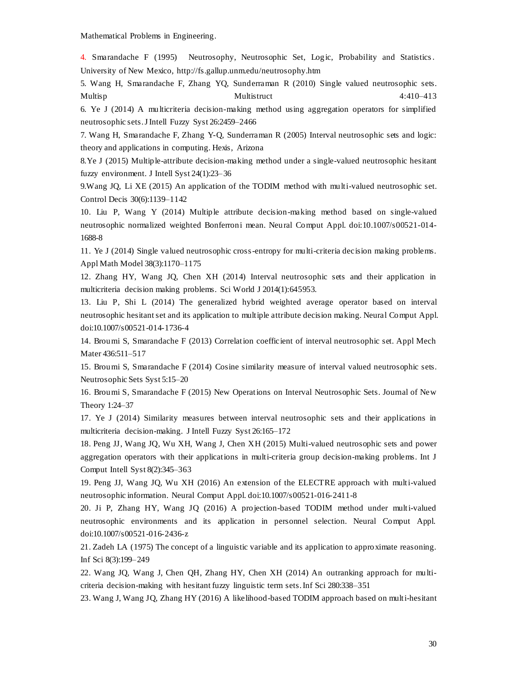4. Smarandache F (1995) Neutrosophy, Neutrosophic Set, Logic, Probability and Statistics . University of New Mexico, http://fs.gallup.unm.edu/neutrosophy.htm

5. Wang H, Smarandache F, Zhang YQ, Sunderraman R (2010) Single valued neutrosophic sets. Multisp Multistruct 4:410–413

6. Ye J (2014) A multicriteria decision-making method using aggregation operators for simplified neutrosophic sets. J Intell Fuzzy Syst 26:2459–2466

7. Wang H, Smarandache F, Zhang Y-Q, Sunderraman R (2005) Interval neutrosophic sets and logic: theory and applications in computing. Hexis, Arizona

8.Ye J (2015) Multiple-attribute decision-making method under a single-valued neutrosophic hesitant fuzzy environment. J Intell Syst 24(1):23–36

9.Wang JQ, Li XE (2015) An application of the TODIM method with multi-valued neutrosophic set. Control Decis 30(6):1139–1142

10. Liu P, Wang Y (2014) Multiple attribute decision-making method based on single-valued neutrosophic normalized weighted Bonferroni mean. Neural Comput Appl. doi:10.1007/s00521-014- 1688-8

11. Ye J (2014) Single valued neutrosophic cross-entropy for multi-criteria decision making problems. Appl Math Model 38(3):1170–1175

12. Zhang HY, Wang JQ, Chen XH (2014) Interval neutrosophic sets and their application in multicriteria decision making problems. Sci World J 2014(1):645953.

13. Liu P, Shi L (2014) The generalized hybrid weighted average operator based on interval neutrosophic hesitant set and its application to multiple attribute decision making. Neural Comput Appl. doi:10.1007/s00521-014-1736-4

14. Broumi S, Smarandache F (2013) Correlation coefficient of interval neutrosophic set. Appl Mech Mater 436:511–517

15. Broumi S, Smarandache F (2014) Cosine similarity measure of interval valued neutrosophic sets. Neutrosophic Sets Syst 5:15–20

16. Broumi S, Smarandache F (2015) New Operations on Interval Neutrosophic Sets. Journal of New Theory 1:24–37

17. Ye J (2014) Similarity measures between interval neutrosophic sets and their applications in multicriteria decision-making. J Intell Fuzzy Syst 26:165–172

18. Peng JJ, Wang JQ, Wu XH, Wang J, Chen XH (2015) Multi-valued neutrosophic sets and power aggregation operators with their applications in multi-criteria group decision-making problems. Int J Comput Intell Syst 8(2):345–363

19. Peng JJ, Wang JQ, Wu XH (2016) An extension of the ELECTRE approach with multi-valued neutrosophic information. Neural Comput Appl. doi[:10.1007/s00521-016-2411-8](http://dx.doi.org/10.1007/s00521-016-2411-8)

20. Ji P, Zhang HY, Wang JQ (2016) A projection-based TODIM method under multi-valued neutrosophic environments and its application in personnel selection. Neural Comput Appl. do[i:10.1007/s00521-016-2436-z](http://dx.doi.org/10.1007/s00521-016-2436-z)

21. Zadeh LA (1975) The concept of a linguistic variable and its application to approximate reasoning. Inf Sci 8(3):199–249

22. Wang JQ, Wang J, Chen QH, Zhang HY, Chen XH (2014) An outranking approach for multicriteria decision-making with hesitant fuzzy linguistic term sets. Inf Sci 280:338–351

23. Wang J, Wang JQ, Zhang HY (2016) A likelihood-based TODIM approach based on multi-hesitant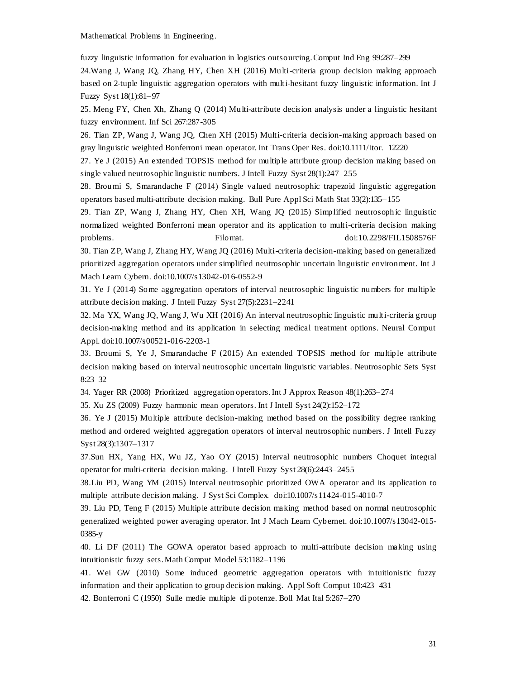fuzzy linguistic information for evaluation in logistics outsourcing. Comput Ind Eng 99:287–299

24.Wang J, Wang JQ, Zhang HY, Chen XH (2016) Multi-criteria group decision making approach based on 2-tuple linguistic aggregation operators with multi-hesitant fuzzy linguistic information. Int J Fuzzy Syst 18(1):81–97

25. Meng FY, Chen Xh, Zhang Q (2014) Multi-attribute decision analysis under a linguistic hesitant fuzzy environment. Inf Sci 267:287-305

26. Tian ZP, Wang J, Wang JQ, Chen XH (2015) Multi-criteria decision-making approach based on gray linguistic weighted Bonferroni mean operator. Int Trans Oper Res. doi:10.1111/itor. 12220

27. Ye J (2015) An extended TOPSIS method for multiple attribute group decision making based on single valued neutrosophic linguistic numbers. J Intell Fuzzy Syst 28(1):247–255

28. Broumi S, Smarandache F (2014) Single valued neutrosophic trapezoid linguistic aggregation operators based multi-attribute decision making. Bull Pure Appl Sci Math Stat 33(2):135–155

29. Tian ZP, Wang J, Zhang HY, Chen XH, Wang JQ (2015) Simplified neutrosoph ic linguistic normalized weighted Bonferroni mean operator and its application to multi-criteria decision making problems. Filomat. doi:10.2298/FIL1508576F

30. Tian ZP, Wang J, Zhang HY, Wang JQ (2016) Multi-criteria decision-making based on generalized prioritized aggregation operators under simplified neutrosophic uncertain linguistic environment. Int J Mach Learn Cybern. do[i:10.1007/s13042-016-0552-9](http://dx.doi.org/10.1007/s13042-016-0552-9)

31. Ye J (2014) Some aggregation operators of interval neutrosophic linguistic numbers for multiple attribute decision making. J Intell Fuzzy Syst 27(5):2231–2241

32. Ma YX, Wang JQ, Wang J, Wu XH (2016) An interval neutrosophic linguistic multi-criteria group decision-making method and its application in selecting medical treatment options. Neural Comput Appl. doi[:10.1007/s00521-016-2203-1](http://dx.doi.org/10.1007/s00521-016-2203-1)

33. Broumi S, Ye J, Smarandache F (2015) An extended TOPSIS method for multiple attribute decision making based on interval neutrosophic uncertain linguistic variables. Neutrosophic Sets Syst 8:23–32

34. Yager RR (2008) Prioritized aggregation operators. Int J Approx Reason 48(1):263–274

35. Xu ZS (2009) Fuzzy harmonic mean operators. Int J Intell Syst 24(2):152–172

36. Ye J (2015) Multiple attribute decision-making method based on the possibility degree ranking method and ordered weighted aggregation operators of interval neutrosophic numbers. J Intell Fuzzy Syst 28(3):1307–1317

37.Sun HX, Yang HX, Wu JZ, Yao OY (2015) Interval neutrosophic numbers Choquet integral operator for multi-criteria decision making. J Intell Fuzzy Syst 28(6):2443–2455

38.Liu PD, Wang YM (2015) Interval neutrosophic prioritized OWA operator and its application to multiple attribute decision making. J Syst Sci Complex. doi:10.1007/s11424-015-4010-7

39. Liu PD, Teng F (2015) Multiple attribute decision making method based on normal neutrosophic generalized weighted power averaging operator. Int J Mach Learn Cybernet. doi:10.1007/s13042-015- 0385-y

40. Li DF (2011) The GOWA operator based approach to multi-attribute decision making using intuitionistic fuzzy sets. Math Comput Model 53:1182–1196

41. Wei GW (2010) Some induced geometric aggregation operators with intuitionistic fuzzy information and their application to group decision making. Appl Soft Comput 10:423–431

42. Bonferroni C (1950) Sulle medie multiple di potenze. Boll Mat Ital 5:267–270

31